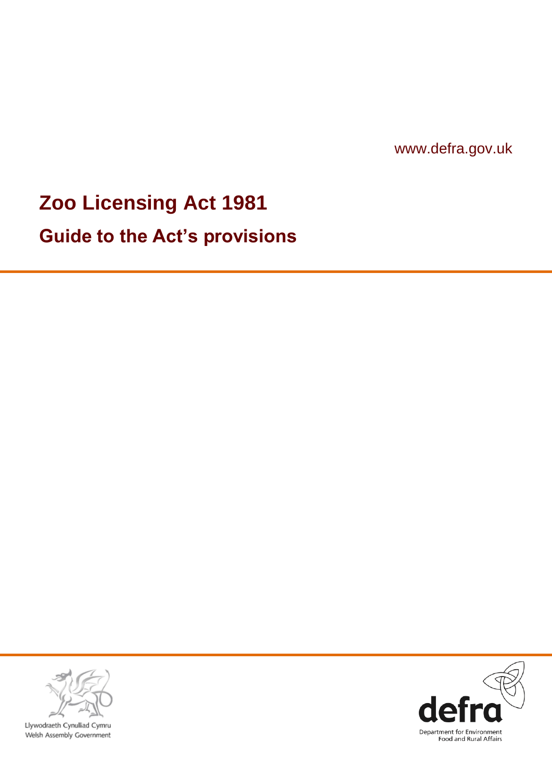www.defra.gov.uk

# **Zoo Licensing Act 1981**

**Guide to the Act"s provisions**



Llywodraeth Cynulliad Cymru Welsh Assembly Government

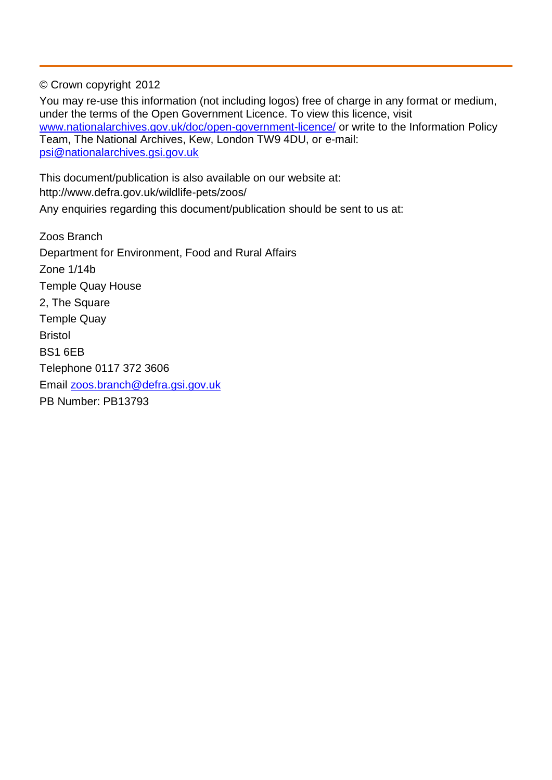© Crown copyright 2012

You may re-use this information (not including logos) free of charge in any format or medium, under the terms of the Open Government Licence. To view this licence, visit [www.nationalarchives.gov.uk/doc/open-government-licence/](http://www.nationalarchives.gov.uk/doc/open-government-licence/) or write to the Information Policy Team, The National Archives, Kew, London TW9 4DU, or e-mail: [psi@nationalarchives.gsi.gov.uk](mailto:psi@nationalarchives.gsi.gov.uk)

This document/publication is also available on our website at: http://www.defra.gov.uk/wildlife-pets/zoos/ Any enquiries regarding this document/publication should be sent to us at:

Zoos Branch Department for Environment, Food and Rural Affairs Zone 1/14b Temple Quay House 2, The Square Temple Quay Bristol BS1 6EB Telephone 0117 372 3606 Email [zoos.branch@defra.gsi.gov.uk](mailto:zoos.branch@defra.gsi.gov.uk) PB Number: PB13793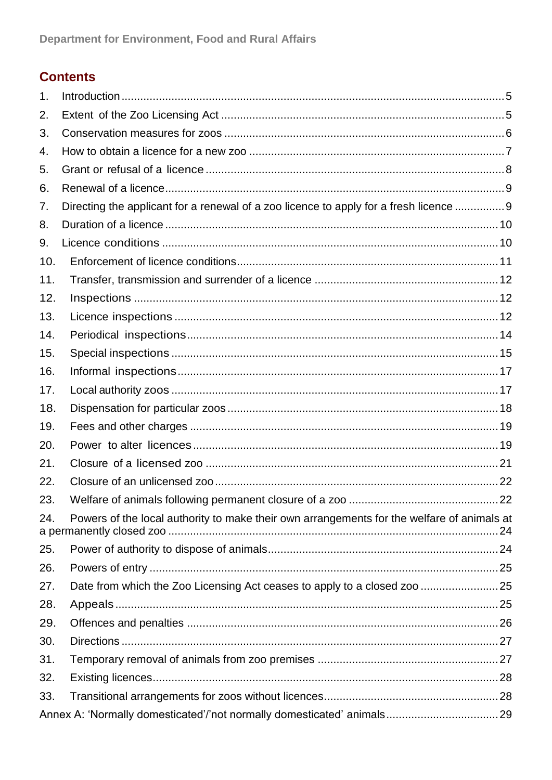#### **Contents**

| 1.  |                                                                                            |  |
|-----|--------------------------------------------------------------------------------------------|--|
| 2.  |                                                                                            |  |
| 3.  |                                                                                            |  |
| 4.  |                                                                                            |  |
| 5.  |                                                                                            |  |
| 6.  |                                                                                            |  |
| 7.  | Directing the applicant for a renewal of a zoo licence to apply for a fresh licence  9     |  |
| 8.  |                                                                                            |  |
| 9.  |                                                                                            |  |
| 10. |                                                                                            |  |
| 11. |                                                                                            |  |
| 12. |                                                                                            |  |
| 13. |                                                                                            |  |
| 14. |                                                                                            |  |
| 15. |                                                                                            |  |
| 16. |                                                                                            |  |
| 17. |                                                                                            |  |
| 18. |                                                                                            |  |
| 19. |                                                                                            |  |
| 20. |                                                                                            |  |
| 21. |                                                                                            |  |
| 22. |                                                                                            |  |
| 23. |                                                                                            |  |
| 24. | Powers of the local authority to make their own arrangements for the welfare of animals at |  |
| 25. |                                                                                            |  |
| 26. |                                                                                            |  |
| 27. | Date from which the Zoo Licensing Act ceases to apply to a closed zoo 25                   |  |
| 28. |                                                                                            |  |
| 29. |                                                                                            |  |
| 30. |                                                                                            |  |
| 31. |                                                                                            |  |
| 32. |                                                                                            |  |
| 33. |                                                                                            |  |
|     |                                                                                            |  |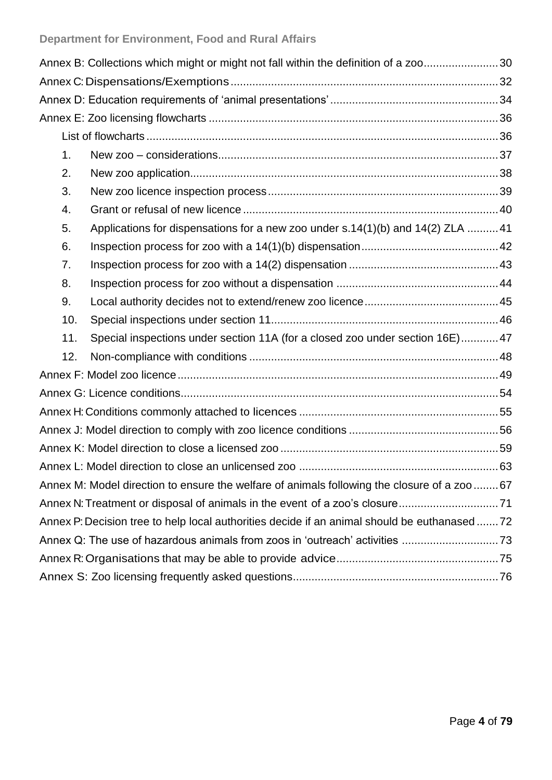|                                                                                             | Annex B: Collections which might or might not fall within the definition of a zoo30 |  |  |  |  |  |  |  |  |
|---------------------------------------------------------------------------------------------|-------------------------------------------------------------------------------------|--|--|--|--|--|--|--|--|
|                                                                                             |                                                                                     |  |  |  |  |  |  |  |  |
|                                                                                             |                                                                                     |  |  |  |  |  |  |  |  |
|                                                                                             |                                                                                     |  |  |  |  |  |  |  |  |
|                                                                                             |                                                                                     |  |  |  |  |  |  |  |  |
| 1.                                                                                          |                                                                                     |  |  |  |  |  |  |  |  |
| 2.                                                                                          |                                                                                     |  |  |  |  |  |  |  |  |
| 3.                                                                                          |                                                                                     |  |  |  |  |  |  |  |  |
| 4.                                                                                          |                                                                                     |  |  |  |  |  |  |  |  |
| 5.                                                                                          | Applications for dispensations for a new zoo under s.14(1)(b) and 14(2) ZLA 41      |  |  |  |  |  |  |  |  |
| 6.                                                                                          |                                                                                     |  |  |  |  |  |  |  |  |
| 7.                                                                                          |                                                                                     |  |  |  |  |  |  |  |  |
| 8.                                                                                          |                                                                                     |  |  |  |  |  |  |  |  |
| 9.                                                                                          |                                                                                     |  |  |  |  |  |  |  |  |
| 10.                                                                                         |                                                                                     |  |  |  |  |  |  |  |  |
| 11.                                                                                         | Special inspections under section 11A (for a closed zoo under section 16E)47        |  |  |  |  |  |  |  |  |
| 12.                                                                                         |                                                                                     |  |  |  |  |  |  |  |  |
|                                                                                             |                                                                                     |  |  |  |  |  |  |  |  |
|                                                                                             |                                                                                     |  |  |  |  |  |  |  |  |
|                                                                                             |                                                                                     |  |  |  |  |  |  |  |  |
|                                                                                             |                                                                                     |  |  |  |  |  |  |  |  |
|                                                                                             |                                                                                     |  |  |  |  |  |  |  |  |
|                                                                                             |                                                                                     |  |  |  |  |  |  |  |  |
| Annex M: Model direction to ensure the welfare of animals following the closure of a zoo 67 |                                                                                     |  |  |  |  |  |  |  |  |
| Annex N: Treatment or disposal of animals in the event of a zoo's closure71                 |                                                                                     |  |  |  |  |  |  |  |  |
| Annex P: Decision tree to help local authorities decide if an animal should be euthanased72 |                                                                                     |  |  |  |  |  |  |  |  |
|                                                                                             |                                                                                     |  |  |  |  |  |  |  |  |
|                                                                                             |                                                                                     |  |  |  |  |  |  |  |  |
|                                                                                             |                                                                                     |  |  |  |  |  |  |  |  |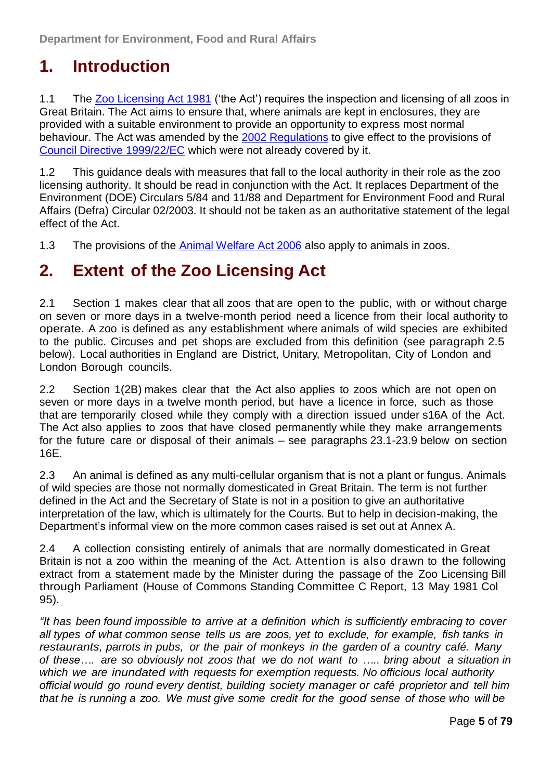### <span id="page-4-0"></span>**1. Introduction**

1.1 The [Zoo Licensing Act 1981](http://www.legislation.gov.uk/ukpga/1981/37) ('the Act') requires the inspection and licensing of all zoos in Great Britain. The Act aims to ensure that, where animals are kept in enclosures, they are provided with a suitable environment to provide an opportunity to express most normal behaviour. The Act was amended by the [2002 Regulations](http://www.legislation.gov.uk/uksi/2002/3080/contents/made) to give effect to the provisions of [Council Directive 1999/22/EC](http://eur-lex.europa.eu/smartapi/cgi/sga_doc?smartapi!celexplus!prod!DocNumber&lg=en&type_doc=Directive&an_doc=1999&nu_doc=22) which were not already covered by it.

1.2 This guidance deals with measures that fall to the local authority in their role as the zoo licensing authority. It should be read in conjunction with the Act. It replaces Department of the Environment (DOE) Circulars 5/84 and 11/88 and Department for Environment Food and Rural Affairs (Defra) Circular 02/2003. It should not be taken as an authoritative statement of the legal effect of the Act.

1.3 The provisions of the [Animal Welfare Act 2006](http://www.legislation.gov.uk/ukpga/2006/45/contents) also apply to animals in zoos.

#### <span id="page-4-1"></span>**2. Extent of the Zoo Licensing Act**

2.1 Section 1 makes clear that all zoos that are open to the public, with or without charge on seven or more days in a twelve-month period need a licence from their local authority to operate. A zoo is defined as any establishment where animals of wild species are exhibited to the public. Circuses and pet shops are excluded from this definition (see paragraph 2.5 below). Local authorities in England are District, Unitary, Metropolitan, City of London and London Borough councils.

2.2 Section 1(2B) makes clear that the Act also applies to zoos which are not open on seven or more days in a twelve month period, but have a licence in force, such as those that are temporarily closed while they comply with a direction issued under s16A of the Act. The Act also applies to zoos that have closed permanently while they make arrangements for the future care or disposal of their animals – see paragraphs 23.1-23.9 below on section 16E.

2.3 An animal is defined as any multi-cellular organism that is not a plant or fungus. Animals of wild species are those not normally domesticated in Great Britain. The term is not further defined in the Act and the Secretary of State is not in a position to give an authoritative interpretation of the law, which is ultimately for the Courts. But to help in decision-making, the Department's informal view on the more common cases raised is set out at [Annex A.](#page-28-0)

2.4 A collection consisting entirely of animals that are normally domesticated in Great Britain is not a zoo within the meaning of the Act. Attention is also drawn to the following extract from a statement made by the Minister during the passage of the Zoo Licensing Bill through Parliament (House of Commons Standing Committee C Report, 13 May 1981 Col 95).

*"It has been found impossible to arrive at a definition which is sufficiently embracing to cover all types of what common sense tells us are zoos, yet to exclude, for example, fish tanks in restaurants, parrots in pubs, or the pair of monkeys in the garden of a country café. Many of these…. are so obviously not zoos that we do not want to ….. bring about a situation in which we are inundated with requests for exemption requests. No officious local authority official would go round every dentist, building society manager or café proprietor and tell him that he is running a zoo. We must give some credit for the good sense of those who will be*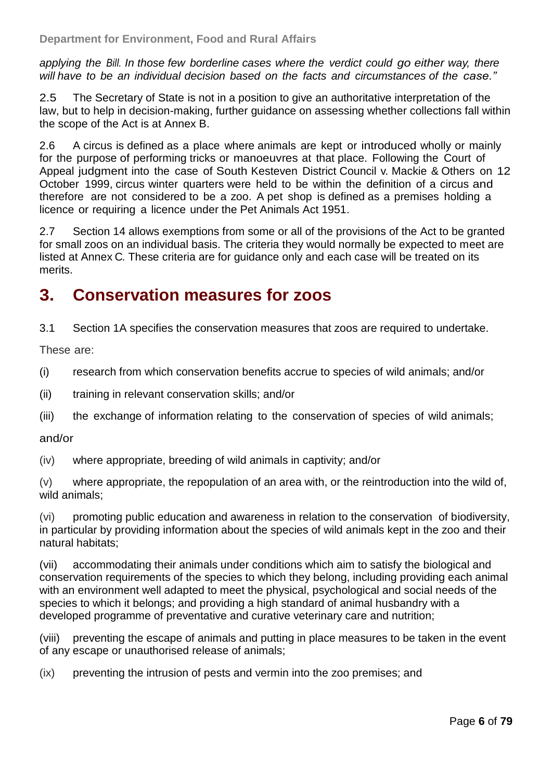*applying the Bill. In those few borderline cases where the verdict could go either way, there will have to be an individual decision based on the facts and circumstances of the case."*

2.5 The Secretary of State is not in a position to give an authoritative interpretation of the law, but to help in decision-making, further guidance on assessing whether collections fall within the scope of the Act is at [Annex B.](#page-29-0)

2.6 A circus is defined as a place where animals are kept or introduced wholly or mainly for the purpose of performing tricks or manoeuvres at that place. Following the Court of Appeal judgment into the case of South Kesteven District Council v. Mackie & Others on 12 October 1999, circus winter quarters were held to be within the definition of a circus and therefore are not considered to be a zoo. A pet shop is defined as a premises holding a licence or requiring a licence under the [Pet Animals Act 1951.](http://www.legislation.gov.uk/ukpga/Geo6/14-15/35)

2.7 Section 14 allows exemptions from some or all of the provisions of the Act to be granted for small zoos on an individual basis. The criteria they would normally be expected to meet are listed at [Annex](#page-31-0) C. These criteria are for guidance only and each case will be treated on its merits.

#### <span id="page-5-0"></span>**3. Conservation measures for zoos**

3.1 Section 1A specifies the conservation measures that zoos are required to undertake.

These are:

(i) research from which conservation benefits accrue to species of wild animals; and/or

- (ii) training in relevant conservation skills; and/or
- (iii) the exchange of information relating to the conservation of species of wild animals;

#### and/or

(iv) where appropriate, breeding of wild animals in captivity; and/or

(v) where appropriate, the repopulation of an area with, or the reintroduction into the wild of, wild animals;

(vi) promoting public education and awareness in relation to the conservation of biodiversity, in particular by providing information about the species of wild animals kept in the zoo and their natural habitats;

(vii) accommodating their animals under conditions which aim to satisfy the biological and conservation requirements of the species to which they belong, including providing each animal with an environment well adapted to meet the physical, psychological and social needs of the species to which it belongs; and providing a high standard of animal husbandry with a developed programme of preventative and curative veterinary care and nutrition;

(viii) preventing the escape of animals and putting in place measures to be taken in the event of any escape or unauthorised release of animals;

(ix) preventing the intrusion of pests and vermin into the zoo premises; and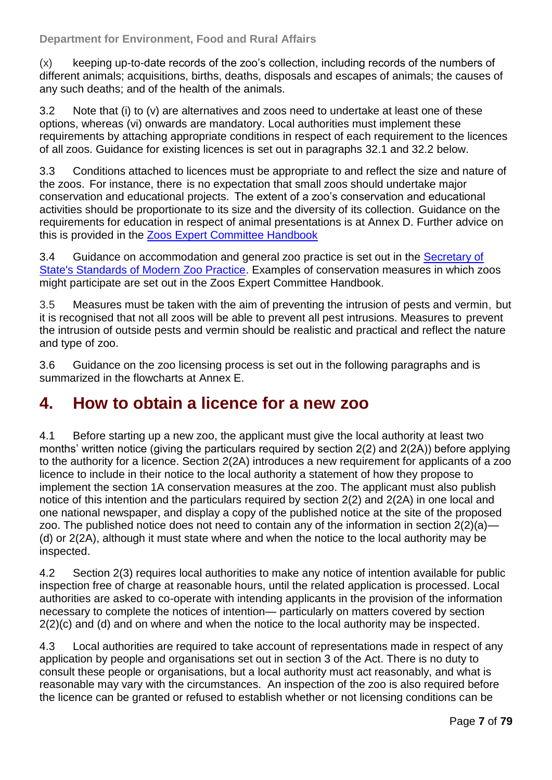(x) keeping up-to-date records of the zoo's collection, including records of the numbers of different animals; acquisitions, births, deaths, disposals and escapes of animals; the causes of any such deaths; and of the health of the animals.

3.2 Note that (i) to (v) are alternatives and zoos need to undertake at least one of these options, whereas (vi) onwards are mandatory. Local authorities must implement these requirements by attaching appropriate conditions in respect of each requirement to the licences of all zoos. Guidance for existing licences is set out in paragraphs 32.1 and 32.2 below.

3.3 Conditions attached to licences must be appropriate to and reflect the size and nature of the zoos. For instance, there is no expectation that small zoos should undertake major conservation and educational projects. The extent of a zoo's conservation and educational activities should be proportionate to its size and the diversity of its collection. Guidance on the requirements for education in respect of animal presentations is at [Annex D.](#page-33-0) Further advice on this is provided in the [Zoos Expert Committee Handbook](http://www.defra.gov.uk/wildlife-pets/zoos/)

3.4 Guidance on accommodation and general zoo practice is set out in the [Secretary of](http://www.defra.gov.uk/wildlife-pets/zoos/)  [State's Standards of Modern Zoo Practice.](http://www.defra.gov.uk/wildlife-pets/zoos/) Examples of conservation measures in which zoos might participate are set out in the Zoos Expert Committee Handbook.

3.5 Measures must be taken with the aim of preventing the intrusion of pests and vermin, but it is recognised that not all zoos will be able to prevent all pest intrusions. Measures to prevent the intrusion of outside pests and vermin should be realistic and practical and reflect the nature and type of zoo.

3.6 Guidance on the zoo licensing process is set out in the following paragraphs and is summarized in the flowcharts at [Annex E.](#page-35-0)

#### <span id="page-6-0"></span>**4. How to obtain a licence for a new zoo**

4.1 Before starting up a new zoo, the applicant must give the local authority at least two months' written notice (giving the particulars required by section 2(2) and 2(2A)) before applying to the authority for a licence. Section 2(2A) introduces a new requirement for applicants of a zoo licence to include in their notice to the local authority a statement of how they propose to implement the section 1A conservation measures at the zoo. The applicant must also publish notice of this intention and the particulars required by section 2(2) and 2(2A) in one local and one national newspaper, and display a copy of the published notice at the site of the proposed zoo. The published notice does not need to contain any of the information in section 2(2)(a)— (d) or 2(2A), although it must state where and when the notice to the local authority may be inspected.

4.2 Section 2(3) requires local authorities to make any notice of intention available for public inspection free of charge at reasonable hours, until the related application is processed. Local authorities are asked to co-operate with intending applicants in the provision of the information necessary to complete the notices of intention— particularly on matters covered by section 2(2)(c) and (d) and on where and when the notice to the local authority may be inspected.

4.3 Local authorities are required to take account of representations made in respect of any application by people and organisations set out in section 3 of the Act. There is no duty to consult these people or organisations, but a local authority must act reasonably, and what is reasonable may vary with the circumstances. An inspection of the zoo is also required before the licence can be granted or refused to establish whether or not licensing conditions can be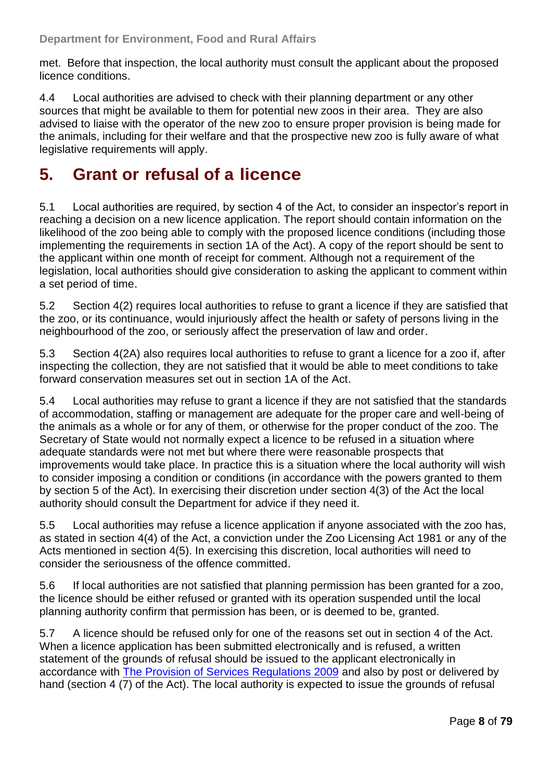met. Before that inspection, the local authority must consult the applicant about the proposed licence conditions.

4.4 Local authorities are advised to check with their planning department or any other sources that might be available to them for potential new zoos in their area. They are also advised to liaise with the operator of the new zoo to ensure proper provision is being made for the animals, including for their welfare and that the prospective new zoo is fully aware of what legislative requirements will apply.

#### <span id="page-7-0"></span>**5. Grant or refusal of a licence**

5.1 Local authorities are required, by section 4 of the Act, to consider an inspector's report in reaching a decision on a new licence application. The report should contain information on the likelihood of the zoo being able to comply with the proposed licence conditions (including those implementing the requirements in section 1A of the Act). A copy of the report should be sent to the applicant within one month of receipt for comment. Although not a requirement of the legislation, local authorities should give consideration to asking the applicant to comment within a set period of time.

5.2 Section 4(2) requires local authorities to refuse to grant a licence if they are satisfied that the zoo, or its continuance, would injuriously affect the health or safety of persons living in the neighbourhood of the zoo, or seriously affect the preservation of law and order.

5.3 Section 4(2A) also requires local authorities to refuse to grant a licence for a zoo if, after inspecting the collection, they are not satisfied that it would be able to meet conditions to take forward conservation measures set out in section 1A of the Act.

5.4 Local authorities may refuse to grant a licence if they are not satisfied that the standards of accommodation, staffing or management are adequate for the proper care and well-being of the animals as a whole or for any of them, or otherwise for the proper conduct of the zoo. The Secretary of State would not normally expect a licence to be refused in a situation where adequate standards were not met but where there were reasonable prospects that improvements would take place. In practice this is a situation where the local authority will wish to consider imposing a condition or conditions (in accordance with the powers granted to them by section 5 of the Act). In exercising their discretion under section 4(3) of the Act the local authority should consult the Department for advice if they need it.

5.5 Local authorities may refuse a licence application if anyone associated with the zoo has, as stated in section 4(4) of the Act, a conviction under the Zoo Licensing Act 1981 or any of the Acts mentioned in section 4(5). In exercising this discretion, local authorities will need to consider the seriousness of the offence committed.

5.6 If local authorities are not satisfied that planning permission has been granted for a zoo, the licence should be either refused or granted with its operation suspended until the local planning authority confirm that permission has been, or is deemed to be, granted.

5.7 A licence should be refused only for one of the reasons set out in section 4 of the Act. When a licence application has been submitted electronically and is refused, a written statement of the grounds of refusal should be issued to the applicant electronically in accordance with [The Provision of Services Regulations 2009](http://www.legislation.gov.uk/ukdsi/2009/9780111486276/contents) and also by post or delivered by hand (section 4 (7) of the Act). The local authority is expected to issue the grounds of refusal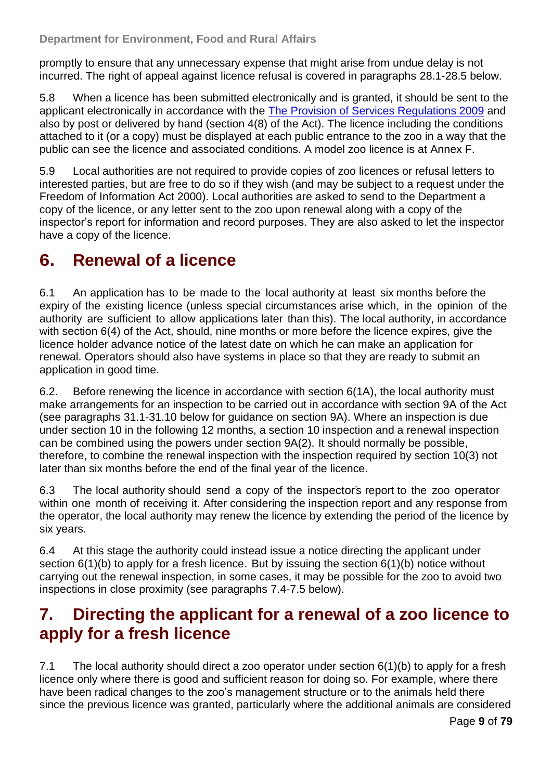promptly to ensure that any unnecessary expense that might arise from undue delay is not incurred. The right of appeal against licence refusal is covered in paragraphs 28.1-28.5 below.

5.8 When a licence has been submitted electronically and is granted, it should be sent to the applicant electronically in accordance with the [The Provision of Services Regulations 2009](http://www.legislation.gov.uk/ukdsi/2009/9780111486276/contents) and also by post or delivered by hand (section 4(8) of the Act). The licence including the conditions attached to it (or a copy) must be displayed at each public entrance to the zoo in a way that the public can see the licence and associated conditions. A model zoo licence is at [Annex F.](#page-48-0)

5.9 Local authorities are not required to provide copies of zoo licences or refusal letters to interested parties, but are free to do so if they wish (and may be subject to a request under the Freedom of Information Act 2000). Local authorities are asked to send to the Department a copy of the licence, or any letter sent to the zoo upon renewal along with a copy of the inspector's report for information and record purposes. They are also asked to let the inspector have a copy of the licence.

### <span id="page-8-0"></span>**6. Renewal of a licence**

6.1 An application has to be made to the local authority at least six months before the expiry of the existing licence (unless special circumstances arise which, in the opinion of the authority are sufficient to allow applications later than this). The local authority, in accordance with section 6(4) of the Act, should, nine months or more before the licence expires, give the licence holder advance notice of the latest date on which he can make an application for renewal. Operators should also have systems in place so that they are ready to submit an application in good time.

6.2. Before renewing the licence in accordance with section 6(1A), the local authority must make arrangements for an inspection to be carried out in accordance with section 9A of the Act (see paragraphs 31.1-31.10 below for guidance on section 9A). Where an inspection is due under section 10 in the following 12 months, a section 10 inspection and a renewal inspection can be combined using the powers under section 9A(2). It should normally be possible, therefore, to combine the renewal inspection with the inspection required by section 10(3) not later than six months before the end of the final year of the licence.

6.3 The local authority should send a copy of the inspector's report to the zoo operator within one month of receiving it. After considering the inspection report and any response from the operator, the local authority may renew the licence by extending the period of the licence by six years.

6.4 At this stage the authority could instead issue a notice directing the applicant under section 6(1)(b) to apply for a fresh licence. But by issuing the section 6(1)(b) notice without carrying out the renewal inspection, in some cases, it may be possible for the zoo to avoid two inspections in close proximity (see paragraphs 7.4-7.5 below).

#### <span id="page-8-1"></span>**7. Directing the applicant for a renewal of a zoo licence to apply for a fresh licence**

7.1 The local authority should direct a zoo operator under section 6(1)(b) to apply for a fresh licence only where there is good and sufficient reason for doing so. For example, where there have been radical changes to the zoo's management structure or to the animals held there since the previous licence was granted, particularly where the additional animals are considered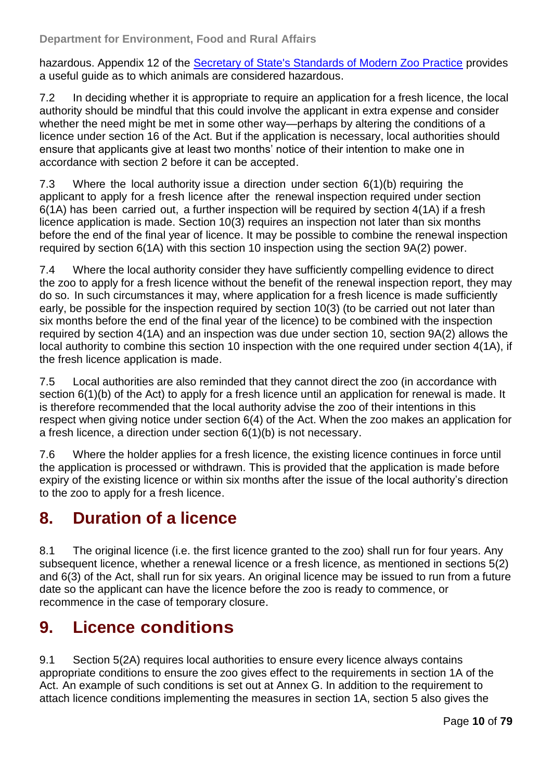hazardous. Appendix 12 of the [Secretary of State's Standards of Modern Zoo Practice](http://www.defra.gov.uk/wildlife-pets/zoos/) provides a useful guide as to which animals are considered hazardous.

7.2 In deciding whether it is appropriate to require an application for a fresh licence, the local authority should be mindful that this could involve the applicant in extra expense and consider whether the need might be met in some other way—perhaps by altering the conditions of a licence under section 16 of the Act. But if the application is necessary, local authorities should ensure that applicants give at least two months' notice of their intention to make one in accordance with section 2 before it can be accepted.

7.3 Where the local authority issue a direction under section 6(1)(b) requiring the applicant to apply for a fresh licence after the renewal inspection required under section 6(1A) has been carried out, a further inspection will be required by section 4(1A) if a fresh licence application is made. Section 10(3) requires an inspection not later than six months before the end of the final year of licence. It may be possible to combine the renewal inspection required by section 6(1A) with this section 10 inspection using the section 9A(2) power.

7.4 Where the local authority consider they have sufficiently compelling evidence to direct the zoo to apply for a fresh licence without the benefit of the renewal inspection report, they may do so. In such circumstances it may, where application for a fresh licence is made sufficiently early, be possible for the inspection required by section 10(3) (to be carried out not later than six months before the end of the final year of the licence) to be combined with the inspection required by section 4(1A) and an inspection was due under section 10, section 9A(2) allows the local authority to combine this section 10 inspection with the one required under section 4(1A), if the fresh licence application is made.

7.5 Local authorities are also reminded that they cannot direct the zoo (in accordance with section 6(1)(b) of the Act) to apply for a fresh licence until an application for renewal is made. It is therefore recommended that the local authority advise the zoo of their intentions in this respect when giving notice under section 6(4) of the Act. When the zoo makes an application for a fresh licence, a direction under section 6(1)(b) is not necessary.

7.6 Where the holder applies for a fresh licence, the existing licence continues in force until the application is processed or withdrawn. This is provided that the application is made before expiry of the existing licence or within six months after the issue of the local authority's direction to the zoo to apply for a fresh licence.

### <span id="page-9-0"></span>**8. Duration of a licence**

8.1 The original licence (i.e. the first licence granted to the zoo) shall run for four years. Any subsequent licence, whether a renewal licence or a fresh licence, as mentioned in sections 5(2) and 6(3) of the Act, shall run for six years. An original licence may be issued to run from a future date so the applicant can have the licence before the zoo is ready to commence, or recommence in the case of temporary closure.

### <span id="page-9-1"></span>**9. Licence conditions**

9.1 Section 5(2A) requires local authorities to ensure every licence always contains appropriate conditions to ensure the zoo gives effect to the requirements in section 1A of the Act. An example of such conditions is set out at [Annex G.](#page-53-0) In addition to the requirement to attach licence conditions implementing the measures in section 1A, section 5 also gives the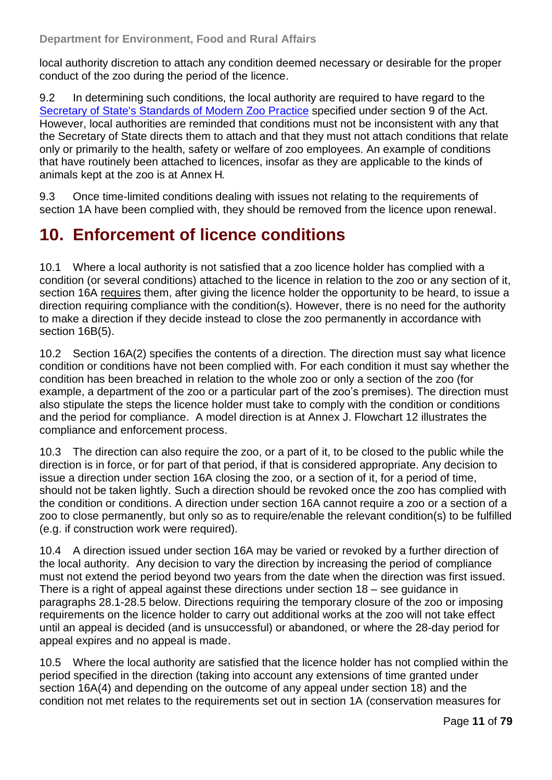local authority discretion to attach any condition deemed necessary or desirable for the proper conduct of the zoo during the period of the licence.

9.2 In determining such conditions, the local authority are required to have regard to the [Secretary of State's Standards of Modern Zoo Practice](http://www.defra.gov.uk/wildlife-pets/zoos/) specified under section 9 of the Act. However, local authorities are reminded that conditions must not be inconsistent with any that the Secretary of State directs them to attach and that they must not attach conditions that relate only or primarily to the health, safety or welfare of zoo employees. An example of conditions that have routinely been attached to licences, insofar as they are applicable to the kinds of animals kept at the zoo is at [Annex](#page-54-0) H.

9.3 Once time-limited conditions dealing with issues not relating to the requirements of section 1A have been complied with, they should be removed from the licence upon renewal.

#### <span id="page-10-0"></span>**10. Enforcement of licence conditions**

10.1 Where a local authority is not satisfied that a zoo licence holder has complied with a condition (or several conditions) attached to the licence in relation to the zoo or any section of it, section 16A requires them, after giving the licence holder the opportunity to be heard, to issue a direction requiring compliance with the condition(s). However, there is no need for the authority to make a direction if they decide instead to close the zoo permanently in accordance with section 16B(5).

10.2 Section 16A(2) specifies the contents of a direction. The direction must say what licence condition or conditions have not been complied with. For each condition it must say whether the condition has been breached in relation to the whole zoo or only a section of the zoo (for example, a department of the zoo or a particular part of the zoo's premises). The direction must also stipulate the steps the licence holder must take to comply with the condition or conditions and the period for compliance. A model direction is at [Annex J.](#page-55-0) Flowchart 12 illustrates the compliance and enforcement process.

10.3 The direction can also require the zoo, or a part of it, to be closed to the public while the direction is in force, or for part of that period, if that is considered appropriate. Any decision to issue a direction under section 16A closing the zoo, or a section of it, for a period of time, should not be taken lightly. Such a direction should be revoked once the zoo has complied with the condition or conditions. A direction under section 16A cannot require a zoo or a section of a zoo to close permanently, but only so as to require/enable the relevant condition(s) to be fulfilled (e.g. if construction work were required).

10.4 A direction issued under section 16A may be varied or revoked by a further direction of the local authority. Any decision to vary the direction by increasing the period of compliance must not extend the period beyond two years from the date when the direction was first issued. There is a right of appeal against these directions under section 18 – see guidance in paragraphs 28.1-28.5 below. Directions requiring the temporary closure of the zoo or imposing requirements on the licence holder to carry out additional works at the zoo will not take effect until an appeal is decided (and is unsuccessful) or abandoned, or where the 28-day period for appeal expires and no appeal is made.

10.5 Where the local authority are satisfied that the licence holder has not complied within the period specified in the direction (taking into account any extensions of time granted under section 16A(4) and depending on the outcome of any appeal under section 18) and the condition not met relates to the requirements set out in section 1A (conservation measures for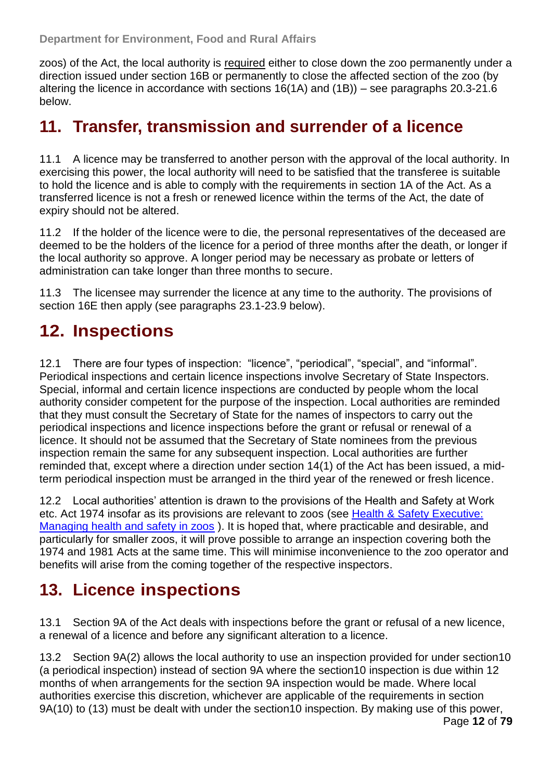zoos) of the Act, the local authority is required either to close down the zoo permanently under a direction issued under section 16B or permanently to close the affected section of the zoo (by altering the licence in accordance with sections 16(1A) and (1B)) – see paragraphs 20.3-21.6 below.

#### <span id="page-11-0"></span>**11. Transfer, transmission and surrender of a licence**

11.1 A licence may be transferred to another person with the approval of the local authority. In exercising this power, the local authority will need to be satisfied that the transferee is suitable to hold the licence and is able to comply with the requirements in section 1A of the Act. As a transferred licence is not a fresh or renewed licence within the terms of the Act, the date of expiry should not be altered.

11.2 If the holder of the licence were to die, the personal representatives of the deceased are deemed to be the holders of the licence for a period of three months after the death, or longer if the local authority so approve. A longer period may be necessary as probate or letters of administration can take longer than three months to secure.

11.3 The licensee may surrender the licence at any time to the authority. The provisions of section 16E then apply (see paragraphs 23.1-23.9 below).

### <span id="page-11-1"></span>**12. Inspections**

12.1 There are four types of inspection: "licence", "periodical", "special", and "informal". Periodical inspections and certain licence inspections involve Secretary of State Inspectors. Special, informal and certain licence inspections are conducted by people whom the local authority consider competent for the purpose of the inspection. Local authorities are reminded that they must consult the Secretary of State for the names of inspectors to carry out the periodical inspections and licence inspections before the grant or refusal or renewal of a licence. It should not be assumed that the Secretary of State nominees from the previous inspection remain the same for any subsequent inspection. Local authorities are further reminded that, except where a direction under section 14(1) of the Act has been issued, a midterm periodical inspection must be arranged in the third year of the renewed or fresh licence.

12.2 Local authorities' attention is drawn to the provisions of the Health and Safety at Work etc. Act 1974 insofar as its provisions are relevant to zoos (see [Health & Safety Executive:](http://www.hse.gov.uk/pubns/books/hsg219.htm)  [Managing health and safety in zoos](http://www.hse.gov.uk/pubns/books/hsg219.htm) ). It is hoped that, where practicable and desirable, and particularly for smaller zoos, it will prove possible to arrange an inspection covering both the 1974 and 1981 Acts at the same time. This will minimise inconvenience to the zoo operator and benefits will arise from the coming together of the respective inspectors.

### <span id="page-11-2"></span>**13. Licence inspections**

13.1 Section 9A of the Act deals with inspections before the grant or refusal of a new licence, a renewal of a licence and before any significant alteration to a licence.

13.2 Section 9A(2) allows the local authority to use an inspection provided for under section10 (a periodical inspection) instead of section 9A where the section10 inspection is due within 12 months of when arrangements for the section 9A inspection would be made. Where local authorities exercise this discretion, whichever are applicable of the requirements in section 9A(10) to (13) must be dealt with under the section10 inspection. By making use of this power,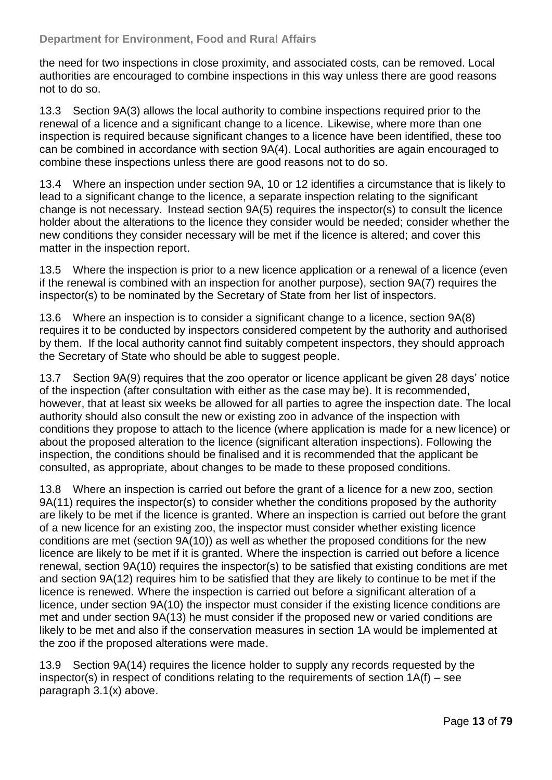the need for two inspections in close proximity, and associated costs, can be removed. Local authorities are encouraged to combine inspections in this way unless there are good reasons not to do so.

13.3 Section 9A(3) allows the local authority to combine inspections required prior to the renewal of a licence and a significant change to a licence. Likewise, where more than one inspection is required because significant changes to a licence have been identified, these too can be combined in accordance with section 9A(4). Local authorities are again encouraged to combine these inspections unless there are good reasons not to do so.

13.4 Where an inspection under section 9A, 10 or 12 identifies a circumstance that is likely to lead to a significant change to the licence, a separate inspection relating to the significant change is not necessary. Instead section 9A(5) requires the inspector(s) to consult the licence holder about the alterations to the licence they consider would be needed; consider whether the new conditions they consider necessary will be met if the licence is altered; and cover this matter in the inspection report.

13.5 Where the inspection is prior to a new licence application or a renewal of a licence (even if the renewal is combined with an inspection for another purpose), section 9A(7) requires the inspector(s) to be nominated by the Secretary of State from her list of inspectors.

13.6 Where an inspection is to consider a significant change to a licence, section 9A(8) requires it to be conducted by inspectors considered competent by the authority and authorised by them. If the local authority cannot find suitably competent inspectors, they should approach the Secretary of State who should be able to suggest people.

13.7 Section 9A(9) requires that the zoo operator or licence applicant be given 28 days' notice of the inspection (after consultation with either as the case may be). It is recommended, however, that at least six weeks be allowed for all parties to agree the inspection date. The local authority should also consult the new or existing zoo in advance of the inspection with conditions they propose to attach to the licence (where application is made for a new licence) or about the proposed alteration to the licence (significant alteration inspections). Following the inspection, the conditions should be finalised and it is recommended that the applicant be consulted, as appropriate, about changes to be made to these proposed conditions.

13.8 Where an inspection is carried out before the grant of a licence for a new zoo, section 9A(11) requires the inspector(s) to consider whether the conditions proposed by the authority are likely to be met if the licence is granted. Where an inspection is carried out before the grant of a new licence for an existing zoo, the inspector must consider whether existing licence conditions are met (section 9A(10)) as well as whether the proposed conditions for the new licence are likely to be met if it is granted. Where the inspection is carried out before a licence renewal, section 9A(10) requires the inspector(s) to be satisfied that existing conditions are met and section 9A(12) requires him to be satisfied that they are likely to continue to be met if the licence is renewed. Where the inspection is carried out before a significant alteration of a licence, under section 9A(10) the inspector must consider if the existing licence conditions are met and under section 9A(13) he must consider if the proposed new or varied conditions are likely to be met and also if the conservation measures in section 1A would be implemented at the zoo if the proposed alterations were made.

13.9 Section 9A(14) requires the licence holder to supply any records requested by the inspector(s) in respect of conditions relating to the requirements of section  $1A(f)$  – see paragraph 3.1(x) above.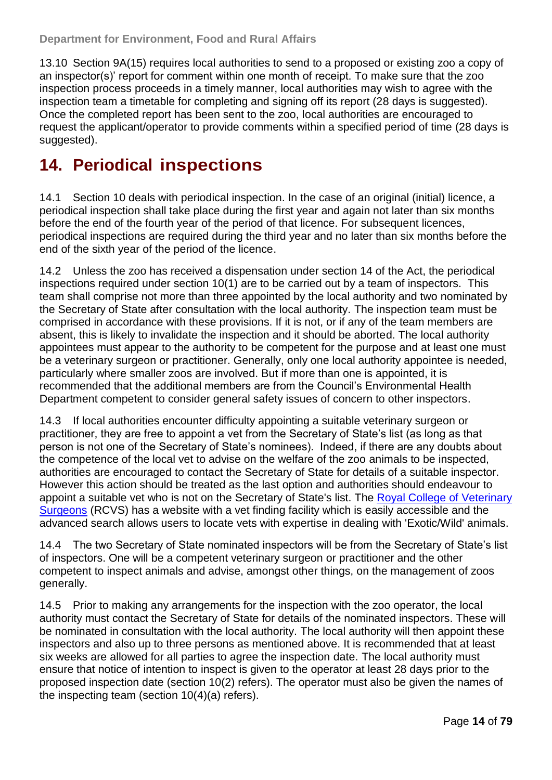13.10 Section 9A(15) requires local authorities to send to a proposed or existing zoo a copy of an inspector(s)' report for comment within one month of receipt. To make sure that the zoo inspection process proceeds in a timely manner, local authorities may wish to agree with the inspection team a timetable for completing and signing off its report (28 days is suggested). Once the completed report has been sent to the zoo, local authorities are encouraged to request the applicant/operator to provide comments within a specified period of time (28 days is suggested).

#### <span id="page-13-0"></span>**14. Periodical inspections**

14.1 Section 10 deals with periodical inspection. In the case of an original (initial) licence, a periodical inspection shall take place during the first year and again not later than six months before the end of the fourth year of the period of that licence. For subsequent licences, periodical inspections are required during the third year and no later than six months before the end of the sixth year of the period of the licence.

14.2 Unless the zoo has received a dispensation under section 14 of the Act, the periodical inspections required under section 10(1) are to be carried out by a team of inspectors. This team shall comprise not more than three appointed by the local authority and two nominated by the Secretary of State after consultation with the local authority. The inspection team must be comprised in accordance with these provisions. If it is not, or if any of the team members are absent, this is likely to invalidate the inspection and it should be aborted. The local authority appointees must appear to the authority to be competent for the purpose and at least one must be a veterinary surgeon or practitioner. Generally, only one local authority appointee is needed, particularly where smaller zoos are involved. But if more than one is appointed, it is recommended that the additional members are from the Council's Environmental Health Department competent to consider general safety issues of concern to other inspectors.

14.3 If local authorities encounter difficulty appointing a suitable veterinary surgeon or practitioner, they are free to appoint a vet from the Secretary of State's list (as long as that person is not one of the Secretary of State's nominees). Indeed, if there are any doubts about the competence of the local vet to advise on the welfare of the zoo animals to be inspected, authorities are encouraged to contact the Secretary of State for details of a suitable inspector. However this action should be treated as the last option and authorities should endeavour to appoint a suitable vet who is not on the Secretary of State's list. The [Royal College of Veterinary](http://www.rcvs.org.uk/home/)  [Surgeons](http://www.rcvs.org.uk/home/) (RCVS) has a website with a vet finding facility which is easily accessible and the advanced search allows users to locate vets with expertise in dealing with 'Exotic/Wild' animals.

14.4 The two Secretary of State nominated inspectors will be from the Secretary of State's list of inspectors. One will be a competent veterinary surgeon or practitioner and the other competent to inspect animals and advise, amongst other things, on the management of zoos generally.

14.5 Prior to making any arrangements for the inspection with the zoo operator, the local authority must contact the Secretary of State for details of the nominated inspectors. These will be nominated in consultation with the local authority. The local authority will then appoint these inspectors and also up to three persons as mentioned above. It is recommended that at least six weeks are allowed for all parties to agree the inspection date. The local authority must ensure that notice of intention to inspect is given to the operator at least 28 days prior to the proposed inspection date (section 10(2) refers). The operator must also be given the names of the inspecting team (section 10(4)(a) refers).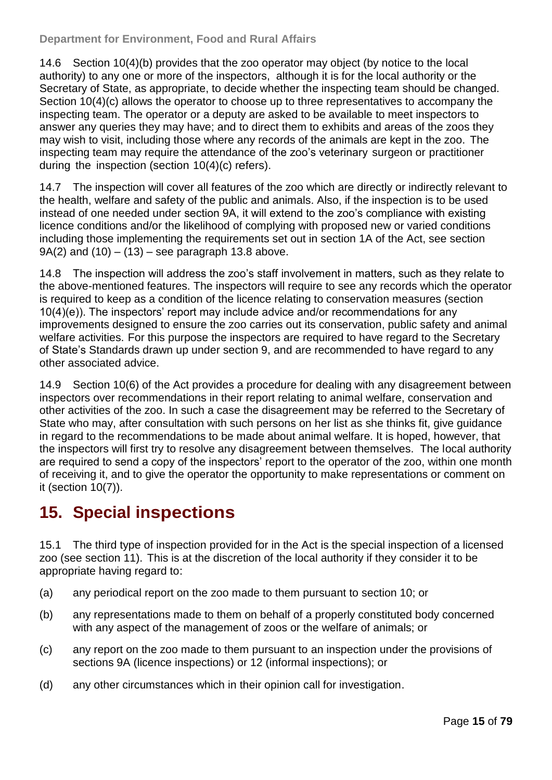14.6 Section 10(4)(b) provides that the zoo operator may object (by notice to the local authority) to any one or more of the inspectors, although it is for the local authority or the Secretary of State, as appropriate, to decide whether the inspecting team should be changed. Section 10(4)(c) allows the operator to choose up to three representatives to accompany the inspecting team. The operator or a deputy are asked to be available to meet inspectors to answer any queries they may have; and to direct them to exhibits and areas of the zoos they may wish to visit, including those where any records of the animals are kept in the zoo. The inspecting team may require the attendance of the zoo's veterinary surgeon or practitioner during the inspection (section 10(4)(c) refers).

14.7 The inspection will cover all features of the zoo which are directly or indirectly relevant to the health, welfare and safety of the public and animals. Also, if the inspection is to be used instead of one needed under section 9A, it will extend to the zoo's compliance with existing licence conditions and/or the likelihood of complying with proposed new or varied conditions including those implementing the requirements set out in section 1A of the Act, see section  $9A(2)$  and  $(10) - (13)$  – see paragraph 13.8 above.

14.8 The inspection will address the zoo's staff involvement in matters, such as they relate to the above-mentioned features. The inspectors will require to see any records which the operator is required to keep as a condition of the licence relating to conservation measures (section 10(4)(e)). The inspectors' report may include advice and/or recommendations for any improvements designed to ensure the zoo carries out its conservation, public safety and animal welfare activities. For this purpose the inspectors are required to have regard to the Secretary of State's Standards drawn up under section 9, and are recommended to have regard to any other associated advice.

14.9 Section 10(6) of the Act provides a procedure for dealing with any disagreement between inspectors over recommendations in their report relating to animal welfare, conservation and other activities of the zoo. In such a case the disagreement may be referred to the Secretary of State who may, after consultation with such persons on her list as she thinks fit, give guidance in regard to the recommendations to be made about animal welfare. It is hoped, however, that the inspectors will first try to resolve any disagreement between themselves. The local authority are required to send a copy of the inspectors' report to the operator of the zoo, within one month of receiving it, and to give the operator the opportunity to make representations or comment on it (section 10(7)).

### <span id="page-14-0"></span>**15. Special inspections**

15.1 The third type of inspection provided for in the Act is the special inspection of a licensed zoo (see section 11). This is at the discretion of the local authority if they consider it to be appropriate having regard to:

- (a) any periodical report on the zoo made to them pursuant to section 10; or
- (b) any representations made to them on behalf of a properly constituted body concerned with any aspect of the management of zoos or the welfare of animals; or
- (c) any report on the zoo made to them pursuant to an inspection under the provisions of sections 9A (licence inspections) or 12 (informal inspections); or
- (d) any other circumstances which in their opinion call for investigation.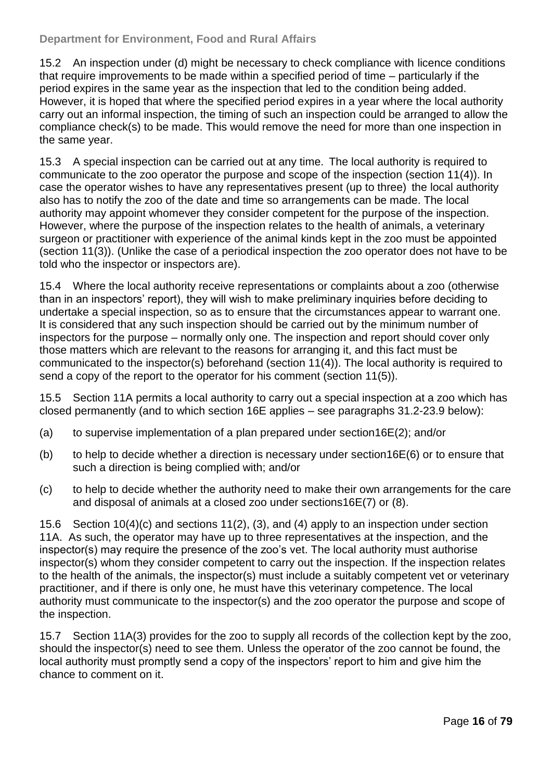15.2 An inspection under (d) might be necessary to check compliance with licence conditions that require improvements to be made within a specified period of time – particularly if the period expires in the same year as the inspection that led to the condition being added. However, it is hoped that where the specified period expires in a year where the local authority carry out an informal inspection, the timing of such an inspection could be arranged to allow the compliance check(s) to be made. This would remove the need for more than one inspection in the same year.

15.3 A special inspection can be carried out at any time. The local authority is required to communicate to the zoo operator the purpose and scope of the inspection (section 11(4)). In case the operator wishes to have any representatives present (up to three) the local authority also has to notify the zoo of the date and time so arrangements can be made. The local authority may appoint whomever they consider competent for the purpose of the inspection. However, where the purpose of the inspection relates to the health of animals, a veterinary surgeon or practitioner with experience of the animal kinds kept in the zoo must be appointed (section 11(3)). (Unlike the case of a periodical inspection the zoo operator does not have to be told who the inspector or inspectors are).

15.4 Where the local authority receive representations or complaints about a zoo (otherwise than in an inspectors' report), they will wish to make preliminary inquiries before deciding to undertake a special inspection, so as to ensure that the circumstances appear to warrant one. It is considered that any such inspection should be carried out by the minimum number of inspectors for the purpose – normally only one. The inspection and report should cover only those matters which are relevant to the reasons for arranging it, and this fact must be communicated to the inspector(s) beforehand (section 11(4)). The local authority is required to send a copy of the report to the operator for his comment (section 11(5)).

15.5 Section 11A permits a local authority to carry out a special inspection at a zoo which has closed permanently (and to which section 16E applies – see paragraphs 31.2-23.9 below):

- (a) to supervise implementation of a plan prepared under section16E(2); and/or
- (b) to help to decide whether a direction is necessary under section  $16E(6)$  or to ensure that such a direction is being complied with; and/or
- (c) to help to decide whether the authority need to make their own arrangements for the care and disposal of animals at a closed zoo under sections16E(7) or (8).

15.6 Section 10(4)(c) and sections 11(2), (3), and (4) apply to an inspection under section 11A. As such, the operator may have up to three representatives at the inspection, and the inspector(s) may require the presence of the zoo's vet. The local authority must authorise inspector(s) whom they consider competent to carry out the inspection. If the inspection relates to the health of the animals, the inspector(s) must include a suitably competent vet or veterinary practitioner, and if there is only one, he must have this veterinary competence. The local authority must communicate to the inspector(s) and the zoo operator the purpose and scope of the inspection.

15.7 Section 11A(3) provides for the zoo to supply all records of the collection kept by the zoo, should the inspector(s) need to see them. Unless the operator of the zoo cannot be found, the local authority must promptly send a copy of the inspectors' report to him and give him the chance to comment on it.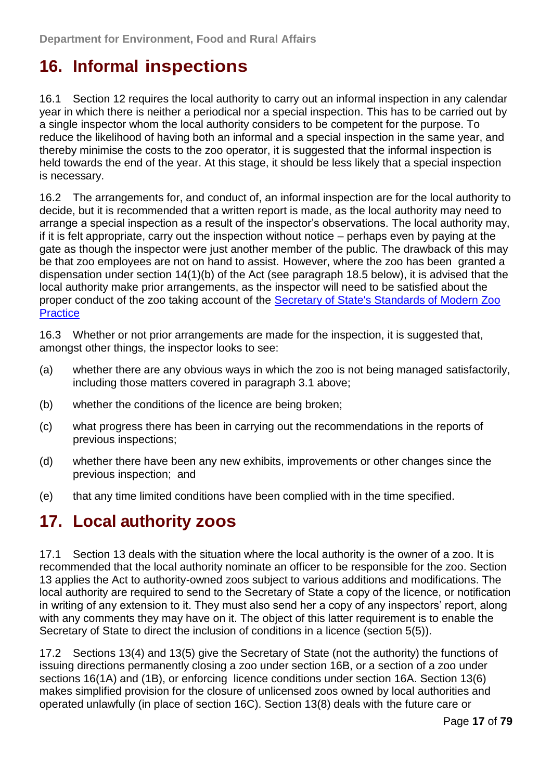### <span id="page-16-0"></span>**16. Informal inspections**

16.1 Section 12 requires the local authority to carry out an informal inspection in any calendar year in which there is neither a periodical nor a special inspection. This has to be carried out by a single inspector whom the local authority considers to be competent for the purpose. To reduce the likelihood of having both an informal and a special inspection in the same year, and thereby minimise the costs to the zoo operator, it is suggested that the informal inspection is held towards the end of the year. At this stage, it should be less likely that a special inspection is necessary.

16.2 The arrangements for, and conduct of, an informal inspection are for the local authority to decide, but it is recommended that a written report is made, as the local authority may need to arrange a special inspection as a result of the inspector's observations. The local authority may, if it is felt appropriate, carry out the inspection without notice – perhaps even by paying at the gate as though the inspector were just another member of the public. The drawback of this may be that zoo employees are not on hand to assist. However, where the zoo has been granted a dispensation under section 14(1)(b) of the Act (see paragraph 18.5 below), it is advised that the local authority make prior arrangements, as the inspector will need to be satisfied about the proper conduct of the zoo taking account of the [Secretary of State's Standards of Modern Zoo](http://www.defra.gov.uk/wildlife-pets/zoos/)  **[Practice](http://www.defra.gov.uk/wildlife-pets/zoos/)** 

16.3 Whether or not prior arrangements are made for the inspection, it is suggested that, amongst other things, the inspector looks to see:

- (a) whether there are any obvious ways in which the zoo is not being managed satisfactorily, including those matters covered in paragraph 3.1 above;
- (b) whether the conditions of the licence are being broken;
- (c) what progress there has been in carrying out the recommendations in the reports of previous inspections;
- (d) whether there have been any new exhibits, improvements or other changes since the previous inspection; and
- (e) that any time limited conditions have been complied with in the time specified.

#### <span id="page-16-1"></span>**17. Local authority zoos**

17.1 Section 13 deals with the situation where the local authority is the owner of a zoo. It is recommended that the local authority nominate an officer to be responsible for the zoo. Section 13 applies the Act to authority-owned zoos subject to various additions and modifications. The local authority are required to send to the Secretary of State a copy of the licence, or notification in writing of any extension to it. They must also send her a copy of any inspectors' report, along with any comments they may have on it. The object of this latter requirement is to enable the Secretary of State to direct the inclusion of conditions in a licence (section 5(5)).

17.2 Sections 13(4) and 13(5) give the Secretary of State (not the authority) the functions of issuing directions permanently closing a zoo under section 16B, or a section of a zoo under sections 16(1A) and (1B), or enforcing licence conditions under section 16A. Section 13(6) makes simplified provision for the closure of unlicensed zoos owned by local authorities and operated unlawfully (in place of section 16C). Section 13(8) deals with the future care or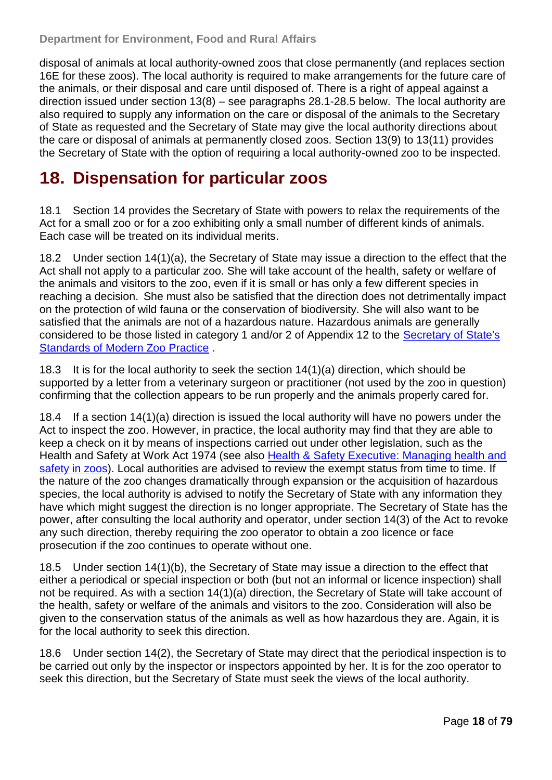disposal of animals at local authority-owned zoos that close permanently (and replaces section 16E for these zoos). The local authority is required to make arrangements for the future care of the animals, or their disposal and care until disposed of. There is a right of appeal against a direction issued under section 13(8) – see paragraphs 28.1-28.5 below. The local authority are also required to supply any information on the care or disposal of the animals to the Secretary of State as requested and the Secretary of State may give the local authority directions about the care or disposal of animals at permanently closed zoos. Section 13(9) to 13(11) provides the Secretary of State with the option of requiring a local authority-owned zoo to be inspected.

#### <span id="page-17-0"></span>**18. Dispensation for particular zoos**

18.1 Section 14 provides the Secretary of State with powers to relax the requirements of the Act for a small zoo or for a zoo exhibiting only a small number of different kinds of animals. Each case will be treated on its individual merits.

18.2 Under section 14(1)(a), the Secretary of State may issue a direction to the effect that the Act shall not apply to a particular zoo. She will take account of the health, safety or welfare of the animals and visitors to the zoo, even if it is small or has only a few different species in reaching a decision. She must also be satisfied that the direction does not detrimentally impact on the protection of wild fauna or the conservation of biodiversity. She will also want to be satisfied that the animals are not of a hazardous nature. Hazardous animals are generally considered to be those listed in category 1 and/or 2 of Appendix 12 to the [Secretary of State's](http://www.defra.gov.uk/wildlife-pets/zoos/)  [Standards of Modern Zoo Practice](http://www.defra.gov.uk/wildlife-pets/zoos/) .

18.3 It is for the local authority to seek the section 14(1)(a) direction, which should be supported by a letter from a veterinary surgeon or practitioner (not used by the zoo in question) confirming that the collection appears to be run properly and the animals properly cared for.

18.4 If a section 14(1)(a) direction is issued the local authority will have no powers under the Act to inspect the zoo. However, in practice, the local authority may find that they are able to keep a check on it by means of inspections carried out under other legislation, such as the Health and Safety at Work Act 1974 (see also [Health & Safety Executive: Managing health and](http://www.hse.gov.uk/pubns/books/hsg219.htm)  [safety in zoos\)](http://www.hse.gov.uk/pubns/books/hsg219.htm). Local authorities are advised to review the exempt status from time to time. If the nature of the zoo changes dramatically through expansion or the acquisition of hazardous species, the local authority is advised to notify the Secretary of State with any information they have which might suggest the direction is no longer appropriate. The Secretary of State has the power, after consulting the local authority and operator, under section 14(3) of the Act to revoke any such direction, thereby requiring the zoo operator to obtain a zoo licence or face prosecution if the zoo continues to operate without one.

18.5 Under section 14(1)(b), the Secretary of State may issue a direction to the effect that either a periodical or special inspection or both (but not an informal or licence inspection) shall not be required. As with a section 14(1)(a) direction, the Secretary of State will take account of the health, safety or welfare of the animals and visitors to the zoo. Consideration will also be given to the conservation status of the animals as well as how hazardous they are. Again, it is for the local authority to seek this direction.

18.6 Under section 14(2), the Secretary of State may direct that the periodical inspection is to be carried out only by the inspector or inspectors appointed by her. It is for the zoo operator to seek this direction, but the Secretary of State must seek the views of the local authority.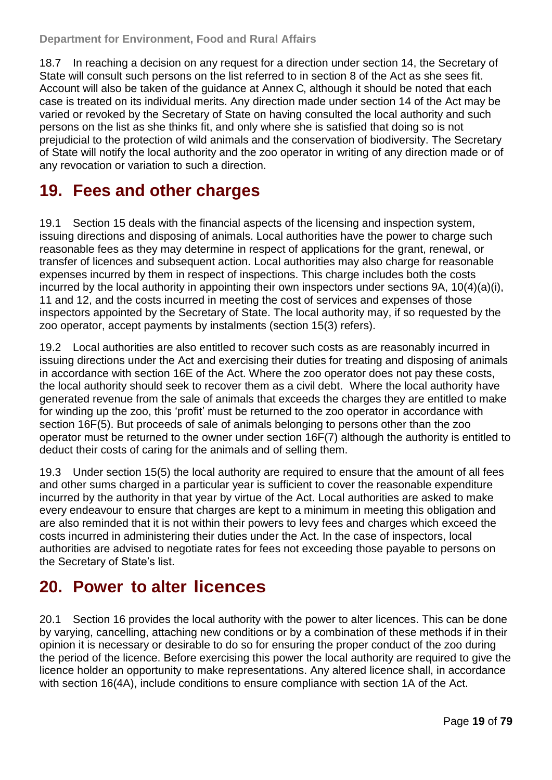18.7 In reaching a decision on any request for a direction under section 14, the Secretary of State will consult such persons on the list referred to in section 8 of the Act as she sees fit. Account will also be taken of the guidance at [Annex](#page-31-0) C, although it should be noted that each case is treated on its individual merits. Any direction made under section 14 of the Act may be varied or revoked by the Secretary of State on having consulted the local authority and such persons on the list as she thinks fit, and only where she is satisfied that doing so is not prejudicial to the protection of wild animals and the conservation of biodiversity. The Secretary of State will notify the local authority and the zoo operator in writing of any direction made or of any revocation or variation to such a direction.

### <span id="page-18-0"></span>**19. Fees and other charges**

19.1 Section 15 deals with the financial aspects of the licensing and inspection system, issuing directions and disposing of animals. Local authorities have the power to charge such reasonable fees as they may determine in respect of applications for the grant, renewal, or transfer of licences and subsequent action. Local authorities may also charge for reasonable expenses incurred by them in respect of inspections. This charge includes both the costs incurred by the local authority in appointing their own inspectors under sections 9A, 10(4)(a)(i), 11 and 12, and the costs incurred in meeting the cost of services and expenses of those inspectors appointed by the Secretary of State. The local authority may, if so requested by the zoo operator, accept payments by instalments (section 15(3) refers).

19.2 Local authorities are also entitled to recover such costs as are reasonably incurred in issuing directions under the Act and exercising their duties for treating and disposing of animals in accordance with section 16E of the Act. Where the zoo operator does not pay these costs, the local authority should seek to recover them as a civil debt. Where the local authority have generated revenue from the sale of animals that exceeds the charges they are entitled to make for winding up the zoo, this 'profit' must be returned to the zoo operator in accordance with section 16F(5). But proceeds of sale of animals belonging to persons other than the zoo operator must be returned to the owner under section 16F(7) although the authority is entitled to deduct their costs of caring for the animals and of selling them.

19.3 Under section 15(5) the local authority are required to ensure that the amount of all fees and other sums charged in a particular year is sufficient to cover the reasonable expenditure incurred by the authority in that year by virtue of the Act. Local authorities are asked to make every endeavour to ensure that charges are kept to a minimum in meeting this obligation and are also reminded that it is not within their powers to levy fees and charges which exceed the costs incurred in administering their duties under the Act. In the case of inspectors, local authorities are advised to negotiate rates for fees not exceeding those payable to persons on the Secretary of State's list.

#### <span id="page-18-1"></span>**20. Power to alter licences**

20.1 Section 16 provides the local authority with the power to alter licences. This can be done by varying, cancelling, attaching new conditions or by a combination of these methods if in their opinion it is necessary or desirable to do so for ensuring the proper conduct of the zoo during the period of the licence. Before exercising this power the local authority are required to give the licence holder an opportunity to make representations. Any altered licence shall, in accordance with section 16(4A), include conditions to ensure compliance with section 1A of the Act.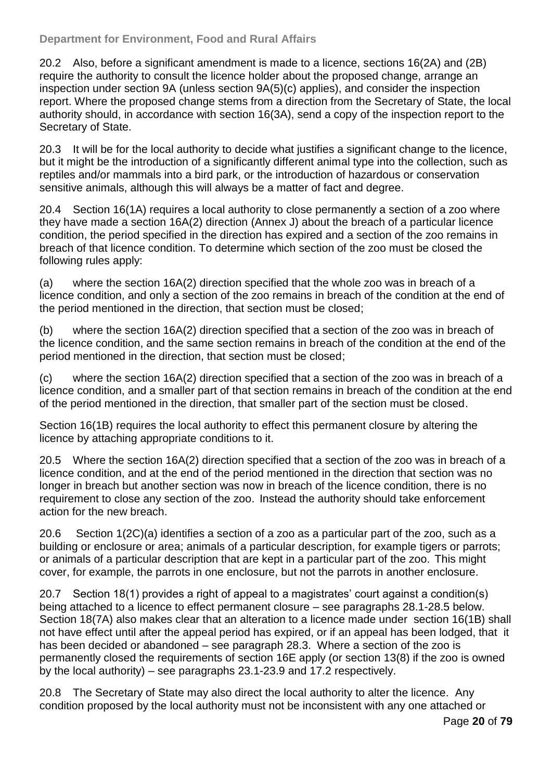#### **Department for Environment, Food and Rural Affairs**

20.2 Also, before a significant amendment is made to a licence, sections 16(2A) and (2B) require the authority to consult the licence holder about the proposed change, arrange an inspection under section 9A (unless section 9A(5)(c) applies), and consider the inspection report. Where the proposed change stems from a direction from the Secretary of State, the local authority should, in accordance with section 16(3A), send a copy of the inspection report to the Secretary of State.

20.3 It will be for the local authority to decide what justifies a significant change to the licence, but it might be the introduction of a significantly different animal type into the collection, such as reptiles and/or mammals into a bird park, or the introduction of hazardous or conservation sensitive animals, although this will always be a matter of fact and degree.

20.4 Section 16(1A) requires a local authority to close permanently a section of a zoo where they have made a section 16A(2) direction [\(Annex J\)](#page-55-0) about the breach of a particular licence condition, the period specified in the direction has expired and a section of the zoo remains in breach of that licence condition. To determine which section of the zoo must be closed the following rules apply:

(a) where the section 16A(2) direction specified that the whole zoo was in breach of a licence condition, and only a section of the zoo remains in breach of the condition at the end of the period mentioned in the direction, that section must be closed;

(b) where the section 16A(2) direction specified that a section of the zoo was in breach of the licence condition, and the same section remains in breach of the condition at the end of the period mentioned in the direction, that section must be closed;

(c) where the section 16A(2) direction specified that a section of the zoo was in breach of a licence condition, and a smaller part of that section remains in breach of the condition at the end of the period mentioned in the direction, that smaller part of the section must be closed.

Section 16(1B) requires the local authority to effect this permanent closure by altering the licence by attaching appropriate conditions to it.

20.5 Where the section 16A(2) direction specified that a section of the zoo was in breach of a licence condition, and at the end of the period mentioned in the direction that section was no longer in breach but another section was now in breach of the licence condition, there is no requirement to close any section of the zoo. Instead the authority should take enforcement action for the new breach.

20.6 Section 1(2C)(a) identifies a section of a zoo as a particular part of the zoo, such as a building or enclosure or area; animals of a particular description, for example tigers or parrots; or animals of a particular description that are kept in a particular part of the zoo. This might cover, for example, the parrots in one enclosure, but not the parrots in another enclosure.

20.7 Section 18(1) provides a right of appeal to a magistrates' court against a condition(s) being attached to a licence to effect permanent closure – see paragraphs 28.1-28.5 below. Section 18(7A) also makes clear that an alteration to a licence made under section 16(1B) shall not have effect until after the appeal period has expired, or if an appeal has been lodged, that it has been decided or abandoned – see paragraph 28.3. Where a section of the zoo is permanently closed the requirements of section 16E apply (or section 13(8) if the zoo is owned by the local authority) – see paragraphs 23.1-23.9 and 17.2 respectively.

20.8 The Secretary of State may also direct the local authority to alter the licence. Any condition proposed by the local authority must not be inconsistent with any one attached or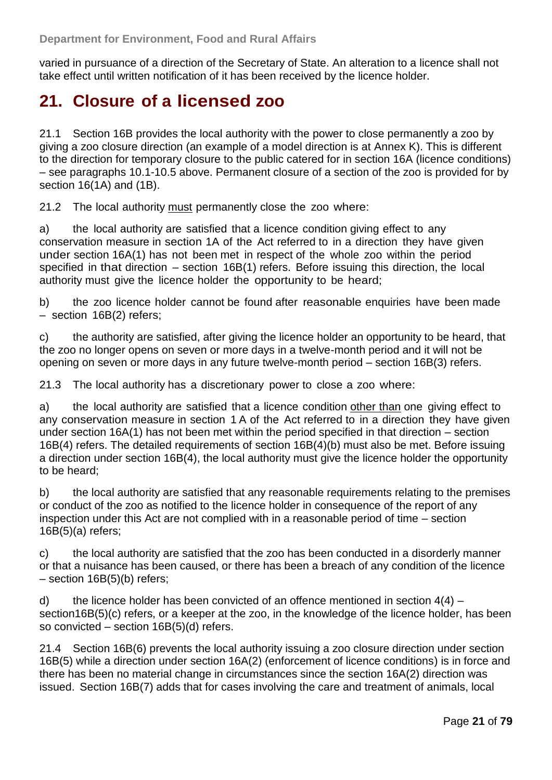varied in pursuance of a direction of the Secretary of State. An alteration to a licence shall not take effect until written notification of it has been received by the licence holder.

#### <span id="page-20-0"></span>**21. Closure of a licensed zoo**

21.1 Section 16B provides the local authority with the power to close permanently a zoo by giving a zoo closure direction (an example of a model direction is at [Annex K\)](#page-58-0). This is different to the direction for temporary closure to the public catered for in section 16A (licence conditions) – see paragraphs 10.1-10.5 above. Permanent closure of a section of the zoo is provided for by section 16(1A) and (1B).

21.2 The local authority must permanently close the zoo where:

a) the local authority are satisfied that a licence condition giving effect to any conservation measure in section 1A of the Act referred to in a direction they have given under section 16A(1) has not been met in respect of the whole zoo within the period specified in that direction – section 16B(1) refers. Before issuing this direction, the local authority must give the licence holder the opportunity to be heard;

b) the zoo licence holder cannot be found after reasonable enquiries have been made – section 16B(2) refers;

c) the authority are satisfied, after giving the licence holder an opportunity to be heard, that the zoo no longer opens on seven or more days in a twelve-month period and it will not be opening on seven or more days in any future twelve-month period – section 16B(3) refers.

21.3 The local authority has a discretionary power to close a zoo where:

a) the local authority are satisfied that a licence condition other than one giving effect to any conservation measure in section 1 A of the Act referred to in a direction they have given under section 16A(1) has not been met within the period specified in that direction – section 16B(4) refers. The detailed requirements of section 16B(4)(b) must also be met. Before issuing a direction under section 16B(4), the local authority must give the licence holder the opportunity to be heard;

b) the local authority are satisfied that any reasonable requirements relating to the premises or conduct of the zoo as notified to the licence holder in consequence of the report of any inspection under this Act are not complied with in a reasonable period of time – section 16B(5)(a) refers;

c) the local authority are satisfied that the zoo has been conducted in a disorderly manner or that a nuisance has been caused, or there has been a breach of any condition of the licence – section 16B(5)(b) refers;

d) the licence holder has been convicted of an offence mentioned in section  $4(4)$  – section16B(5)(c) refers, or a keeper at the zoo, in the knowledge of the licence holder, has been so convicted – section 16B(5)(d) refers.

21.4 Section 16B(6) prevents the local authority issuing a zoo closure direction under section 16B(5) while a direction under section 16A(2) (enforcement of licence conditions) is in force and there has been no material change in circumstances since the section 16A(2) direction was issued. Section 16B(7) adds that for cases involving the care and treatment of animals, local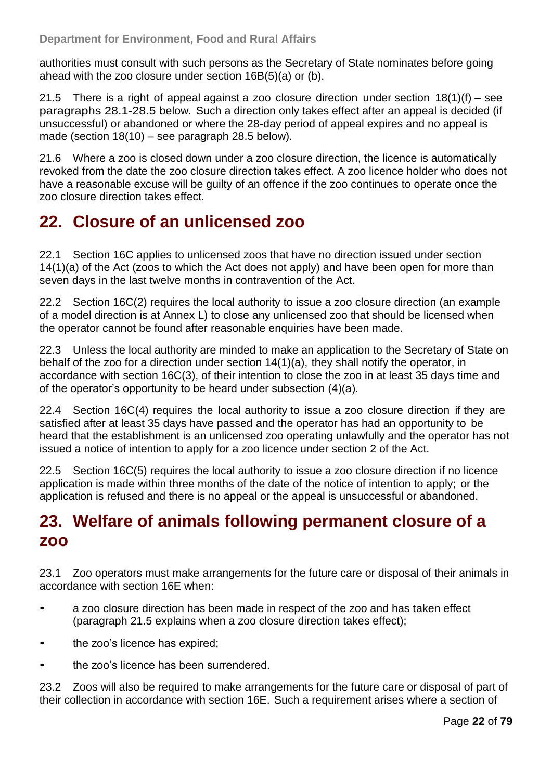authorities must consult with such persons as the Secretary of State nominates before going ahead with the zoo closure under section 16B(5)(a) or (b).

21.5 There is a right of appeal against a zoo closure direction under section  $18(1)(f)$  – see paragraphs 28.1-28.5 below. Such a direction only takes effect after an appeal is decided (if unsuccessful) or abandoned or where the 28-day period of appeal expires and no appeal is made (section 18(10) – see paragraph 28.5 below).

21.6 Where a zoo is closed down under a zoo closure direction, the licence is automatically revoked from the date the zoo closure direction takes effect. A zoo licence holder who does not have a reasonable excuse will be guilty of an offence if the zoo continues to operate once the zoo closure direction takes effect.

#### <span id="page-21-0"></span>**22. Closure of an unlicensed zoo**

22.1 Section 16C applies to unlicensed zoos that have no direction issued under section 14(1)(a) of the Act (zoos to which the Act does not apply) and have been open for more than seven days in the last twelve months in contravention of the Act.

22.2 Section 16C(2) requires the local authority to issue a zoo closure direction (an example of a model direction is at [Annex L\)](#page-62-0) to close any unlicensed zoo that should be licensed when the operator cannot be found after reasonable enquiries have been made.

22.3 Unless the local authority are minded to make an application to the Secretary of State on behalf of the zoo for a direction under section 14(1)(a), they shall notify the operator, in accordance with section 16C(3), of their intention to close the zoo in at least 35 days time and of the operator's opportunity to be heard under subsection (4)(a).

22.4 Section 16C(4) requires the local authority to issue a zoo closure direction if they are satisfied after at least 35 days have passed and the operator has had an opportunity to be heard that the establishment is an unlicensed zoo operating unlawfully and the operator has not issued a notice of intention to apply for a zoo licence under section 2 of the Act.

22.5 Section 16C(5) requires the local authority to issue a zoo closure direction if no licence application is made within three months of the date of the notice of intention to apply; or the application is refused and there is no appeal or the appeal is unsuccessful or abandoned.

#### <span id="page-21-1"></span>**23. Welfare of animals following permanent closure of a zoo**

23.1 Zoo operators must make arrangements for the future care or disposal of their animals in accordance with section 16E when:

- a zoo closure direction has been made in respect of the zoo and has taken effect (paragraph 21.5 explains when a zoo closure direction takes effect);
- the zoo's licence has expired;
- the zoo's licence has been surrendered.

23.2 Zoos will also be required to make arrangements for the future care or disposal of part of their collection in accordance with section 16E. Such a requirement arises where a section of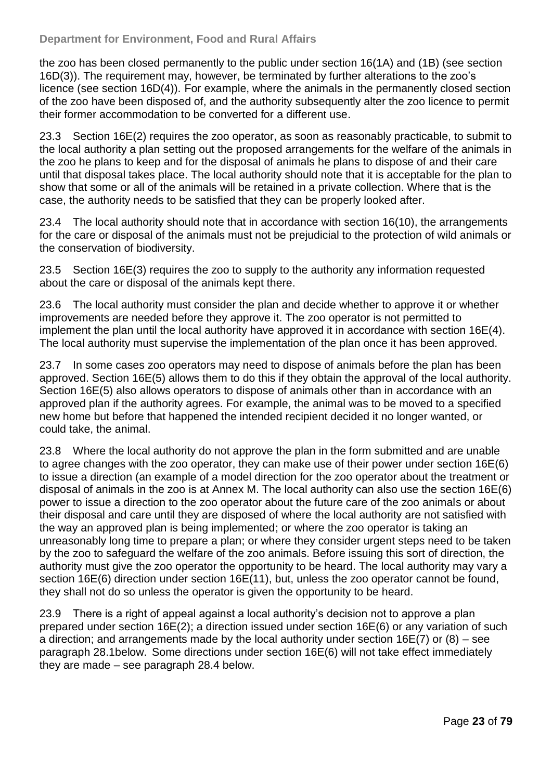#### **Department for Environment, Food and Rural Affairs**

the zoo has been closed permanently to the public under section 16(1A) and (1B) (see section 16D(3)). The requirement may, however, be terminated by further alterations to the zoo's licence (see section 16D(4)). For example, where the animals in the permanently closed section of the zoo have been disposed of, and the authority subsequently alter the zoo licence to permit their former accommodation to be converted for a different use.

23.3 Section 16E(2) requires the zoo operator, as soon as reasonably practicable, to submit to the local authority a plan setting out the proposed arrangements for the welfare of the animals in the zoo he plans to keep and for the disposal of animals he plans to dispose of and their care until that disposal takes place. The local authority should note that it is acceptable for the plan to show that some or all of the animals will be retained in a private collection. Where that is the case, the authority needs to be satisfied that they can be properly looked after.

23.4 The local authority should note that in accordance with section 16(10), the arrangements for the care or disposal of the animals must not be prejudicial to the protection of wild animals or the conservation of biodiversity.

23.5 Section 16E(3) requires the zoo to supply to the authority any information requested about the care or disposal of the animals kept there.

23.6 The local authority must consider the plan and decide whether to approve it or whether improvements are needed before they approve it. The zoo operator is not permitted to implement the plan until the local authority have approved it in accordance with section 16E(4). The local authority must supervise the implementation of the plan once it has been approved.

23.7 In some cases zoo operators may need to dispose of animals before the plan has been approved. Section 16E(5) allows them to do this if they obtain the approval of the local authority. Section 16E(5) also allows operators to dispose of animals other than in accordance with an approved plan if the authority agrees. For example, the animal was to be moved to a specified new home but before that happened the intended recipient decided it no longer wanted, or could take, the animal.

23.8 Where the local authority do not approve the plan in the form submitted and are unable to agree changes with the zoo operator, they can make use of their power under section 16E(6) to issue a direction (an example of a model direction for the zoo operator about the treatment or disposal of animals in the zoo is at [Annex M.](#page-66-0) The local authority can also use the section 16E(6) power to issue a direction to the zoo operator about the future care of the zoo animals or about their disposal and care until they are disposed of where the local authority are not satisfied with the way an approved plan is being implemented; or where the zoo operator is taking an unreasonably long time to prepare a plan; or where they consider urgent steps need to be taken by the zoo to safeguard the welfare of the zoo animals. Before issuing this sort of direction, the authority must give the zoo operator the opportunity to be heard. The local authority may vary a section 16E(6) direction under section 16E(11), but, unless the zoo operator cannot be found, they shall not do so unless the operator is given the opportunity to be heard.

23.9 There is a right of appeal against a local authority's decision not to approve a plan prepared under section 16E(2); a direction issued under section 16E(6) or any variation of such a direction; and arrangements made by the local authority under section 16E(7) or (8) – see paragraph 28.1below. Some directions under section 16E(6) will not take effect immediately they are made – see paragraph 28.4 below.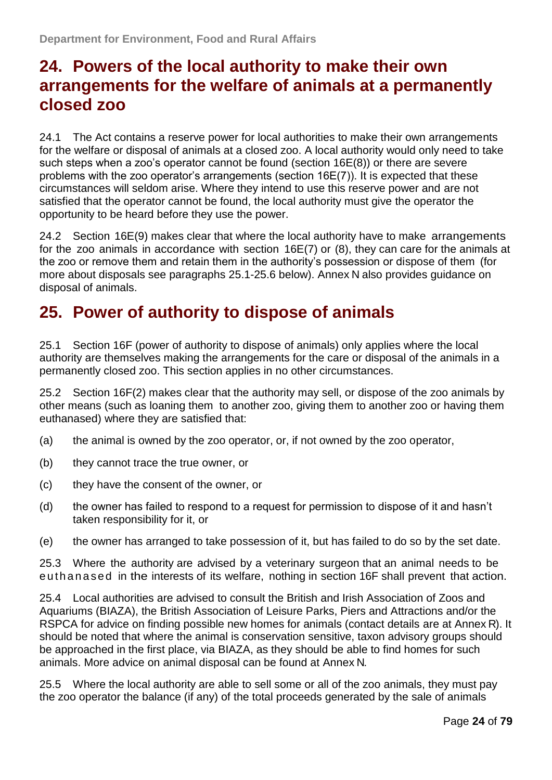#### <span id="page-23-0"></span>**24. Powers of the local authority to make their own arrangements for the welfare of animals at a permanently closed zoo**

24.1 The Act contains a reserve power for local authorities to make their own arrangements for the welfare or disposal of animals at a closed zoo. A local authority would only need to take such steps when a zoo's operator cannot be found (section 16E(8)) or there are severe problems with the zoo operator's arrangements (section 16E(7)). It is expected that these circumstances will seldom arise. Where they intend to use this reserve power and are not satisfied that the operator cannot be found, the local authority must give the operator the opportunity to be heard before they use the power.

24.2 Section 16E(9) makes clear that where the local authority have to make arrangements for the zoo animals in accordance with section 16E(7) or (8), they can care for the animals at the zoo or remove them and retain them in the authority's possession or dispose of them (for more about disposals see paragraphs 25.1-25.6 below). [Annex](#page-70-0) N also provides guidance on disposal of animals.

#### <span id="page-23-1"></span>**25. Power of authority to dispose of animals**

25.1 Section 16F (power of authority to dispose of animals) only applies where the local authority are themselves making the arrangements for the care or disposal of the animals in a permanently closed zoo. This section applies in no other circumstances.

25.2 Section 16F(2) makes clear that the authority may sell, or dispose of the zoo animals by other means (such as loaning them to another zoo, giving them to another zoo or having them euthanased) where they are satisfied that:

- (a) the animal is owned by the zoo operator, or, if not owned by the zoo operator,
- (b) they cannot trace the true owner, or
- (c) they have the consent of the owner, or
- (d) the owner has failed to respond to a request for permission to dispose of it and hasn't taken responsibility for it, or
- (e) the owner has arranged to take possession of it, but has failed to do so by the set date.

25.3 Where the authority are advised by a veterinary surgeon that an animal needs to be e uth an a sed in the interests of its welfare, nothing in section 16F shall prevent that action.

25.4 Local authorities are advised to consult the British and Irish Association of Zoos and Aquariums (BIAZA), the British Association of Leisure Parks, Piers and Attractions and/or the RSPCA for advice on finding possible new homes for animals (contact details are at [Annex](#page-74-0) R). It should be noted that where the animal is conservation sensitive, taxon advisory groups should be approached in the first place, via BIAZA, as they should be able to find homes for such animals. More advice on animal disposal can be found at [Annex](#page-70-0) N.

25.5 Where the local authority are able to sell some or all of the zoo animals, they must pay the zoo operator the balance (if any) of the total proceeds generated by the sale of animals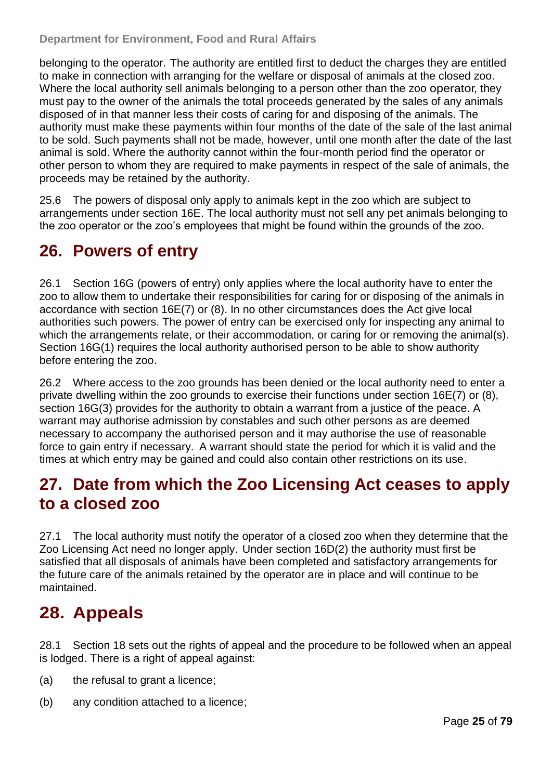belonging to the operator. The authority are entitled first to deduct the charges they are entitled to make in connection with arranging for the welfare or disposal of animals at the closed zoo. Where the local authority sell animals belonging to a person other than the zoo operator, they must pay to the owner of the animals the total proceeds generated by the sales of any animals disposed of in that manner less their costs of caring for and disposing of the animals. The authority must make these payments within four months of the date of the sale of the last animal to be sold. Such payments shall not be made, however, until one month after the date of the last animal is sold. Where the authority cannot within the four-month period find the operator or other person to whom they are required to make payments in respect of the sale of animals, the proceeds may be retained by the authority.

25.6 The powers of disposal only apply to animals kept in the zoo which are subject to arrangements under section 16E. The local authority must not sell any pet animals belonging to the zoo operator or the zoo's employees that might be found within the grounds of the zoo.

#### <span id="page-24-0"></span>**26. Powers of entry**

26.1 Section 16G (powers of entry) only applies where the local authority have to enter the zoo to allow them to undertake their responsibilities for caring for or disposing of the animals in accordance with section 16E(7) or (8). In no other circumstances does the Act give local authorities such powers. The power of entry can be exercised only for inspecting any animal to which the arrangements relate, or their accommodation, or caring for or removing the animal(s). Section 16G(1) requires the local authority authorised person to be able to show authority before entering the zoo.

26.2 Where access to the zoo grounds has been denied or the local authority need to enter a private dwelling within the zoo grounds to exercise their functions under section 16E(7) or (8), section 16G(3) provides for the authority to obtain a warrant from a justice of the peace. A warrant may authorise admission by constables and such other persons as are deemed necessary to accompany the authorised person and it may authorise the use of reasonable force to gain entry if necessary. A warrant should state the period for which it is valid and the times at which entry may be gained and could also contain other restrictions on its use.

#### <span id="page-24-1"></span>**27. Date from which the Zoo Licensing Act ceases to apply to a closed zoo**

27.1 The local authority must notify the operator of a closed zoo when they determine that the Zoo Licensing Act need no longer apply. Under section 16D(2) the authority must first be satisfied that all disposals of animals have been completed and satisfactory arrangements for the future care of the animals retained by the operator are in place and will continue to be maintained.

### <span id="page-24-2"></span>**28. Appeals**

28.1 Section 18 sets out the rights of appeal and the procedure to be followed when an appeal is lodged. There is a right of appeal against:

- (a) the refusal to grant a licence;
- (b) any condition attached to a licence;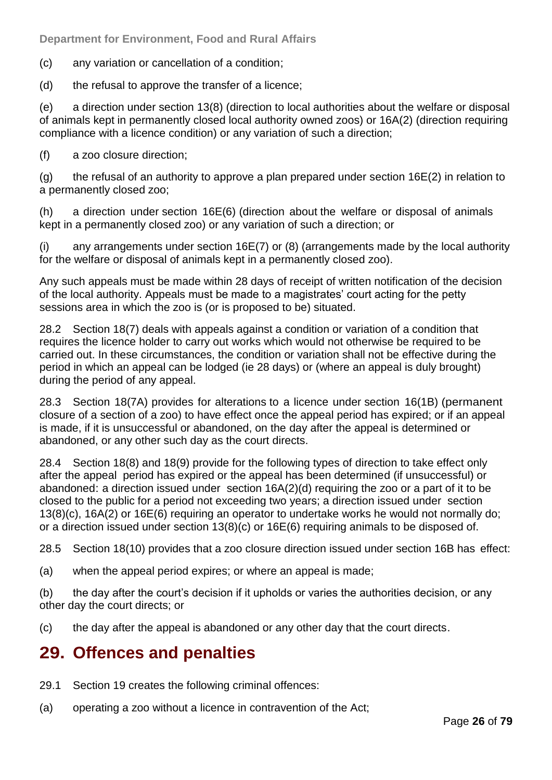(c) any variation or cancellation of a condition;

(d) the refusal to approve the transfer of a licence;

(e) a direction under section 13(8) (direction to local authorities about the welfare or disposal of animals kept in permanently closed local authority owned zoos) or 16A(2) (direction requiring compliance with a licence condition) or any variation of such a direction;

(f) a zoo closure direction;

 $(q)$  the refusal of an authority to approve a plan prepared under section 16E(2) in relation to a permanently closed zoo;

(h) a direction under section 16E(6) (direction about the welfare or disposal of animals kept in a permanently closed zoo) or any variation of such a direction; or

(i) any arrangements under section 16E(7) or (8) (arrangements made by the local authority for the welfare or disposal of animals kept in a permanently closed zoo).

Any such appeals must be made within 28 days of receipt of written notification of the decision of the local authority. Appeals must be made to a magistrates' court acting for the petty sessions area in which the zoo is (or is proposed to be) situated.

28.2 Section 18(7) deals with appeals against a condition or variation of a condition that requires the licence holder to carry out works which would not otherwise be required to be carried out. In these circumstances, the condition or variation shall not be effective during the period in which an appeal can be lodged (ie 28 days) or (where an appeal is duly brought) during the period of any appeal.

28.3 Section 18(7A) provides for alterations to a licence under section 16(1B) (permanent closure of a section of a zoo) to have effect once the appeal period has expired; or if an appeal is made, if it is unsuccessful or abandoned, on the day after the appeal is determined or abandoned, or any other such day as the court directs.

28.4 Section 18(8) and 18(9) provide for the following types of direction to take effect only after the appeal period has expired or the appeal has been determined (if unsuccessful) or abandoned: a direction issued under section 16A(2)(d) requiring the zoo or a part of it to be closed to the public for a period not exceeding two years; a direction issued under section 13(8)(c), 16A(2) or 16E(6) requiring an operator to undertake works he would not normally do; or a direction issued under section 13(8)(c) or 16E(6) requiring animals to be disposed of.

28.5 Section 18(10) provides that a zoo closure direction issued under section 16B has effect:

(a) when the appeal period expires; or where an appeal is made;

(b) the day after the court's decision if it upholds or varies the authorities decision, or any other day the court directs; or

(c) the day after the appeal is abandoned or any other day that the court directs.

#### <span id="page-25-0"></span>**29. Offences and penalties**

- 29.1 Section 19 creates the following criminal offences:
- (a) operating a zoo without a licence in contravention of the Act;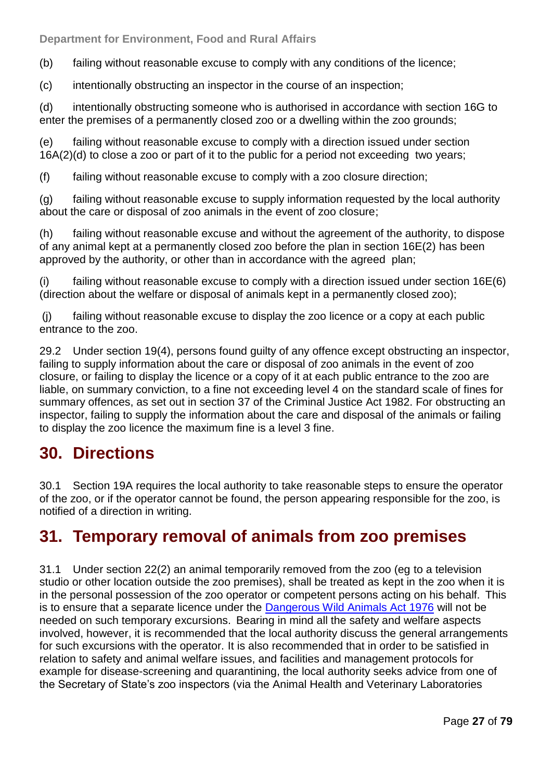(b) failing without reasonable excuse to comply with any conditions of the licence;

(c) intentionally obstructing an inspector in the course of an inspection;

(d) intentionally obstructing someone who is authorised in accordance with section 16G to enter the premises of a permanently closed zoo or a dwelling within the zoo grounds;

(e) failing without reasonable excuse to comply with a direction issued under section 16A(2)(d) to close a zoo or part of it to the public for a period not exceeding two years;

(f) failing without reasonable excuse to comply with a zoo closure direction;

(g) failing without reasonable excuse to supply information requested by the local authority about the care or disposal of zoo animals in the event of zoo closure;

(h) failing without reasonable excuse and without the agreement of the authority, to dispose of any animal kept at a permanently closed zoo before the plan in section 16E(2) has been approved by the authority, or other than in accordance with the agreed plan;

(i) failing without reasonable excuse to comply with a direction issued under section 16E(6) (direction about the welfare or disposal of animals kept in a permanently closed zoo);

(j) failing without reasonable excuse to display the zoo licence or a copy at each public entrance to the zoo.

29.2 Under section 19(4), persons found guilty of any offence except obstructing an inspector, failing to supply information about the care or disposal of zoo animals in the event of zoo closure, or failing to display the licence or a copy of it at each public entrance to the zoo are liable, on summary conviction, to a fine not exceeding level 4 on the standard scale of fines for summary offences, as set out in section 37 of the Criminal Justice Act 1982. For obstructing an inspector, failing to supply the information about the care and disposal of the animals or failing to display the zoo licence the maximum fine is a level 3 fine.

#### <span id="page-26-0"></span>**30. Directions**

30.1 Section 19A requires the local authority to take reasonable steps to ensure the operator of the zoo, or if the operator cannot be found, the person appearing responsible for the zoo, is notified of a direction in writing.

#### <span id="page-26-1"></span>**31. Temporary removal of animals from zoo premises**

31.1 Under section 22(2) an animal temporarily removed from the zoo (eg to a television studio or other location outside the zoo premises), shall be treated as kept in the zoo when it is in the personal possession of the zoo operator or competent persons acting on his behalf. This is to ensure that a separate licence under the [Dangerous Wild Animals Act 1976](http://www.legislation.gov.uk/ukpga/1976/38) will not be needed on such temporary excursions. Bearing in mind all the safety and welfare aspects involved, however, it is recommended that the local authority discuss the general arrangements for such excursions with the operator. It is also recommended that in order to be satisfied in relation to safety and animal welfare issues, and facilities and management protocols for example for disease-screening and quarantining, the local authority seeks advice from one of the Secretary of State's zoo inspectors (via the Animal Health and Veterinary Laboratories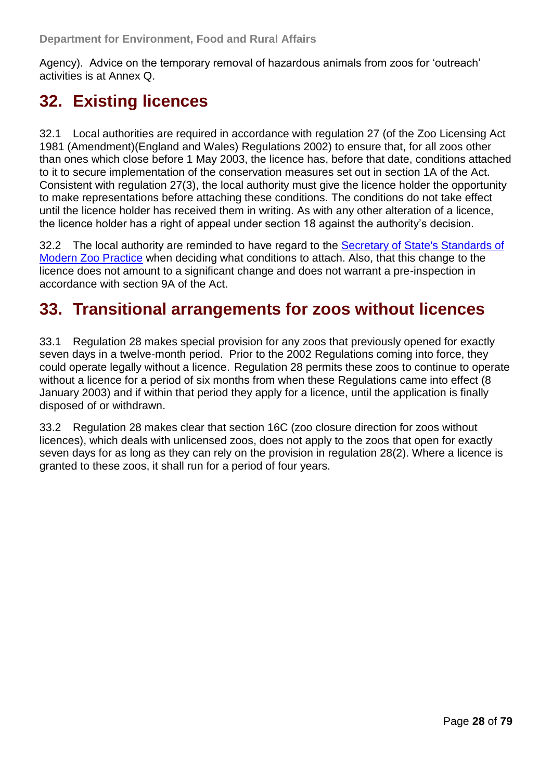Agency). Advice on the temporary removal of hazardous animals from zoos for 'outreach' activities is at [Annex Q.](#page-72-0)

#### <span id="page-27-0"></span>**32. Existing licences**

32.1 Local authorities are required in accordance with regulation 27 (of the Zoo Licensing Act 1981 (Amendment)(England and Wales) Regulations 2002) to ensure that, for all zoos other than ones which close before 1 May 2003, the licence has, before that date, conditions attached to it to secure implementation of the conservation measures set out in section 1A of the Act. Consistent with regulation 27(3), the local authority must give the licence holder the opportunity to make representations before attaching these conditions. The conditions do not take effect until the licence holder has received them in writing. As with any other alteration of a licence, the licence holder has a right of appeal under section 18 against the authority's decision.

32.2 The local authority are reminded to have regard to the Secretary of State's Standards of [Modern Zoo Practice](http://www.defra.gov.uk/wildlife-pets/zoos/) when deciding what conditions to attach. Also, that this change to the licence does not amount to a significant change and does not warrant a pre-inspection in accordance with section 9A of the Act.

#### <span id="page-27-1"></span>**33. Transitional arrangements for zoos without licences**

33.1 Regulation 28 makes special provision for any zoos that previously opened for exactly seven days in a twelve-month period. Prior to the 2002 Regulations coming into force, they could operate legally without a licence. Regulation 28 permits these zoos to continue to operate without a licence for a period of six months from when these Regulations came into effect (8) January 2003) and if within that period they apply for a licence, until the application is finally disposed of or withdrawn.

33.2 Regulation 28 makes clear that section 16C (zoo closure direction for zoos without licences), which deals with unlicensed zoos, does not apply to the zoos that open for exactly seven days for as long as they can rely on the provision in regulation 28(2). Where a licence is granted to these zoos, it shall run for a period of four years.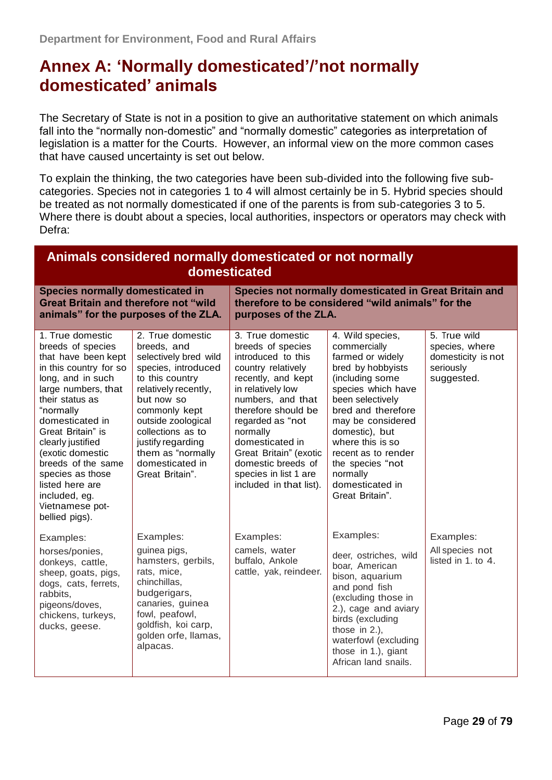#### <span id="page-28-0"></span>**Annex A: "Normally domesticated"/"not normally domesticated" animals**

The Secretary of State is not in a position to give an authoritative statement on which animals fall into the "normally non-domestic" and "normally domestic" categories as interpretation of legislation is a matter for the Courts. However, an informal view on the more common cases that have caused uncertainty is set out below.

To explain the thinking, the two categories have been sub-divided into the following five subcategories. Species not in categories 1 to 4 will almost certainly be in 5. Hybrid species should be treated as not normally domesticated if one of the parents is from sub-categories 3 to 5. Where there is doubt about a species, local authorities, inspectors or operators may check with Defra:

| Animals considered normally domesticated or not normally<br>domesticated                                                                                                                                                                                                                                                                                               |                                                                                                                                                                                                                                                                                      |                                                                                                                                                                                                                                                                                                                                 |                                                                                                                                                                                                                                                                                                                      |                                                                                 |  |  |  |  |  |
|------------------------------------------------------------------------------------------------------------------------------------------------------------------------------------------------------------------------------------------------------------------------------------------------------------------------------------------------------------------------|--------------------------------------------------------------------------------------------------------------------------------------------------------------------------------------------------------------------------------------------------------------------------------------|---------------------------------------------------------------------------------------------------------------------------------------------------------------------------------------------------------------------------------------------------------------------------------------------------------------------------------|----------------------------------------------------------------------------------------------------------------------------------------------------------------------------------------------------------------------------------------------------------------------------------------------------------------------|---------------------------------------------------------------------------------|--|--|--|--|--|
| <b>Species normally domesticated in</b><br><b>Great Britain and therefore not "wild</b><br>animals" for the purposes of the ZLA.                                                                                                                                                                                                                                       |                                                                                                                                                                                                                                                                                      | Species not normally domesticated in Great Britain and<br>therefore to be considered "wild animals" for the<br>purposes of the ZLA.                                                                                                                                                                                             |                                                                                                                                                                                                                                                                                                                      |                                                                                 |  |  |  |  |  |
| 1. True domestic<br>breeds of species<br>that have been kept<br>in this country for so<br>long, and in such<br>large numbers, that<br>their status as<br>"normally<br>domesticated in<br>Great Britain" is<br>clearly justified<br>(exotic domestic<br>breeds of the same<br>species as those<br>listed here are<br>included, eg.<br>Vietnamese pot-<br>bellied pigs). | 2. True domestic<br>breeds, and<br>selectively bred wild<br>species, introduced<br>to this country<br>relatively recently,<br>but now so<br>commonly kept<br>outside zoological<br>collections as to<br>justify regarding<br>them as "normally<br>domesticated in<br>Great Britain". | 3. True domestic<br>breeds of species<br>introduced to this<br>country relatively<br>recently, and kept<br>in relatively low<br>numbers, and that<br>therefore should be<br>regarded as "not<br>normally<br>domesticated in<br>Great Britain" (exotic<br>domestic breeds of<br>species in list 1 are<br>included in that list). | 4. Wild species,<br>commercially<br>farmed or widely<br>bred by hobbyists<br>(including some<br>species which have<br>been selectively<br>bred and therefore<br>may be considered<br>domestic), but<br>where this is so<br>recent as to render<br>the species "not<br>normally<br>domesticated in<br>Great Britain". | 5. True wild<br>species, where<br>domesticity is not<br>seriously<br>suggested. |  |  |  |  |  |
| Examples:<br>horses/ponies,<br>donkeys, cattle,<br>sheep, goats, pigs,<br>dogs, cats, ferrets,<br>rabbits,<br>pigeons/doves,<br>chickens, turkeys,<br>ducks, geese.                                                                                                                                                                                                    | Examples:<br>guinea pigs,<br>hamsters, gerbils,<br>rats, mice,<br>chinchillas,<br>budgerigars,<br>canaries, guinea<br>fowl, peafowl,<br>goldfish, koi carp,<br>golden orfe, llamas,<br>alpacas.                                                                                      | Examples:<br>camels, water<br>buffalo, Ankole<br>cattle, yak, reindeer.                                                                                                                                                                                                                                                         | Examples:<br>deer, ostriches, wild<br>boar, American<br>bison, aquarium<br>and pond fish<br>(excluding those in<br>2.), cage and aviary<br>birds (excluding<br>those in $2.$ ),<br>waterfowl (excluding<br>those in 1.), giant<br>African land snails.                                                               | Examples:<br>All species not<br>listed in 1. to 4.                              |  |  |  |  |  |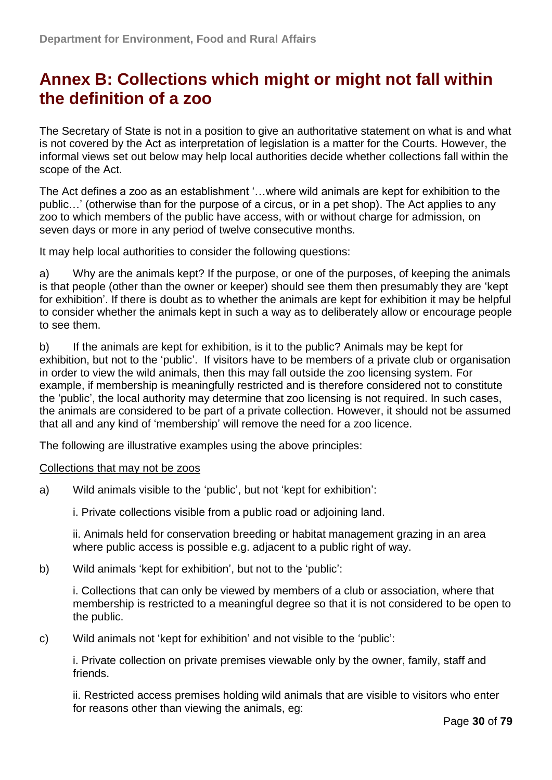### <span id="page-29-0"></span>**Annex B: Collections which might or might not fall within the definition of a zoo**

The Secretary of State is not in a position to give an authoritative statement on what is and what is not covered by the Act as interpretation of legislation is a matter for the Courts. However, the informal views set out below may help local authorities decide whether collections fall within the scope of the Act.

The Act defines a zoo as an establishment '... where wild animals are kept for exhibition to the public…' (otherwise than for the purpose of a circus, or in a pet shop). The Act applies to any zoo to which members of the public have access, with or without charge for admission, on seven days or more in any period of twelve consecutive months.

It may help local authorities to consider the following questions:

a) Why are the animals kept? If the purpose, or one of the purposes, of keeping the animals is that people (other than the owner or keeper) should see them then presumably they are 'kept for exhibition'. If there is doubt as to whether the animals are kept for exhibition it may be helpful to consider whether the animals kept in such a way as to deliberately allow or encourage people to see them.

b) If the animals are kept for exhibition, is it to the public? Animals may be kept for exhibition, but not to the 'public'. If visitors have to be members of a private club or organisation in order to view the wild animals, then this may fall outside the zoo licensing system. For example, if membership is meaningfully restricted and is therefore considered not to constitute the 'public', the local authority may determine that zoo licensing is not required. In such cases, the animals are considered to be part of a private collection. However, it should not be assumed that all and any kind of 'membership' will remove the need for a zoo licence.

The following are illustrative examples using the above principles:

#### Collections that may not be zoos

a) Wild animals visible to the 'public', but not 'kept for exhibition':

i. Private collections visible from a public road or adjoining land.

ii. Animals held for conservation breeding or habitat management grazing in an area where public access is possible e.g. adjacent to a public right of way.

b) Wild animals 'kept for exhibition', but not to the 'public':

i. Collections that can only be viewed by members of a club or association, where that membership is restricted to a meaningful degree so that it is not considered to be open to the public.

c) Wild animals not 'kept for exhibition' and not visible to the 'public':

i. Private collection on private premises viewable only by the owner, family, staff and friends.

ii. Restricted access premises holding wild animals that are visible to visitors who enter for reasons other than viewing the animals, eg: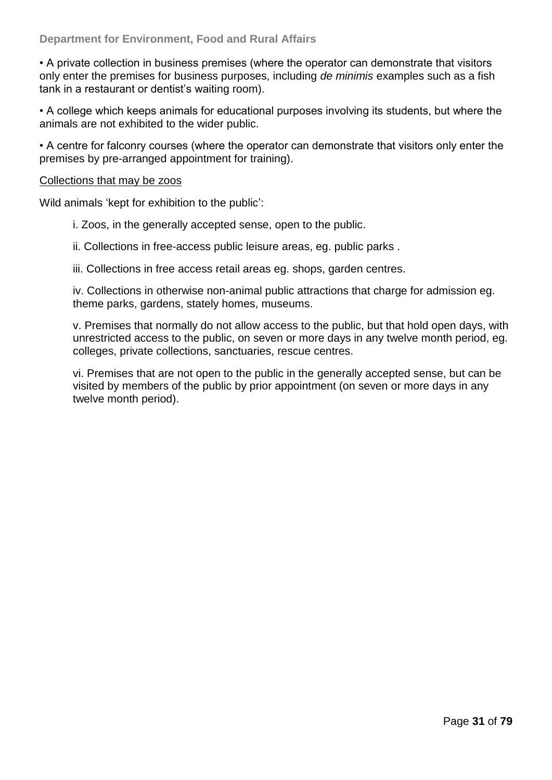• A private collection in business premises (where the operator can demonstrate that visitors only enter the premises for business purposes, including *de minimis* examples such as a fish tank in a restaurant or dentist's waiting room).

• A college which keeps animals for educational purposes involving its students, but where the animals are not exhibited to the wider public.

• A centre for falconry courses (where the operator can demonstrate that visitors only enter the premises by pre-arranged appointment for training).

#### Collections that may be zoos

Wild animals 'kept for exhibition to the public':

i. Zoos, in the generally accepted sense, open to the public.

ii. Collections in free-access public leisure areas, eg. public parks .

iii. Collections in free access retail areas eg. shops, garden centres.

iv. Collections in otherwise non-animal public attractions that charge for admission eg. theme parks, gardens, stately homes, museums.

v. Premises that normally do not allow access to the public, but that hold open days, with unrestricted access to the public, on seven or more days in any twelve month period, eg. colleges, private collections, sanctuaries, rescue centres.

vi. Premises that are not open to the public in the generally accepted sense, but can be visited by members of the public by prior appointment (on seven or more days in any twelve month period).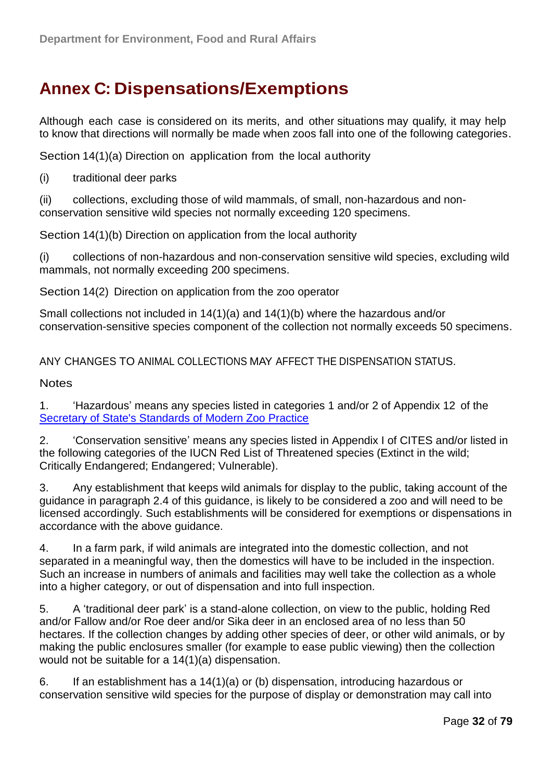### <span id="page-31-0"></span>**Annex C: Dispensations/Exemptions**

Although each case is considered on its merits, and other situations may qualify, it may help to know that directions will normally be made when zoos fall into one of the following categories.

Section 14(1)(a) Direction on application from the local authority

(i) traditional deer parks

(ii) collections, excluding those of wild mammals, of small, non-hazardous and nonconservation sensitive wild species not normally exceeding 120 specimens.

Section 14(1)(b) Direction on application from the local authority

(i) collections of non-hazardous and non-conservation sensitive wild species, excluding wild mammals, not normally exceeding 200 specimens.

Section 14(2) Direction on application from the zoo operator

Small collections not included in 14(1)(a) and 14(1)(b) where the hazardous and/or conservation-sensitive species component of the collection not normally exceeds 50 specimens.

ANY CHANGES TO ANIMAL COLLECTIONS MAY AFFECT THE DISPENSATION STATUS.

**Notes** 

1. ‗Hazardous' means any species listed in categories 1 and/or 2 of Appendix 12 of the [Secretary of State's Standards of Modern Zoo Practice](http://www.defra.gov.uk/wildlife-pets/zoos/)

2. ‗Conservation sensitive' means any species listed in Appendix I of CITES and/or listed in the following categories of the IUCN Red List of Threatened species (Extinct in the wild; Critically Endangered; Endangered; Vulnerable).

3. Any establishment that keeps wild animals for display to the public, taking account of the guidance in paragraph 2.4 of this guidance, is likely to be considered a zoo and will need to be licensed accordingly. Such establishments will be considered for exemptions or dispensations in accordance with the above guidance.

4. In a farm park, if wild animals are integrated into the domestic collection, and not separated in a meaningful way, then the domestics will have to be included in the inspection. Such an increase in numbers of animals and facilities may well take the collection as a whole into a higher category, or out of dispensation and into full inspection.

5. A ‗traditional deer park' is a stand-alone collection, on view to the public, holding Red and/or Fallow and/or Roe deer and/or Sika deer in an enclosed area of no less than 50 hectares. If the collection changes by adding other species of deer, or other wild animals, or by making the public enclosures smaller (for example to ease public viewing) then the collection would not be suitable for a 14(1)(a) dispensation.

6. If an establishment has a 14(1)(a) or (b) dispensation, introducing hazardous or conservation sensitive wild species for the purpose of display or demonstration may call into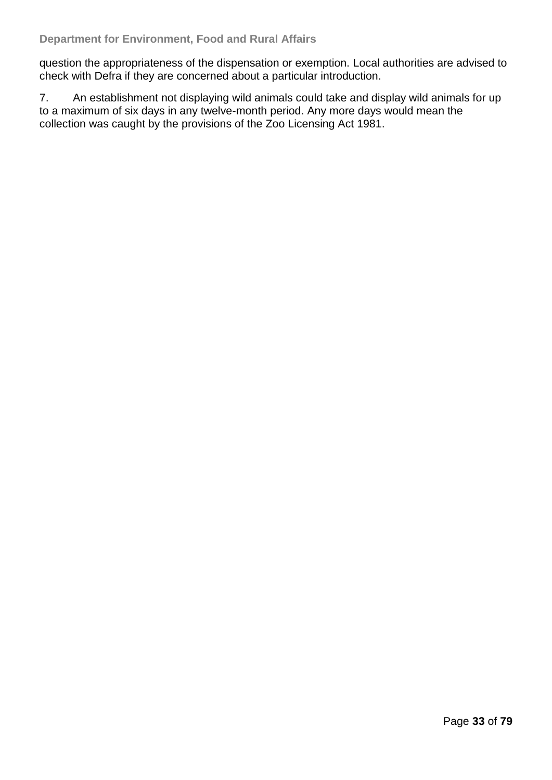question the appropriateness of the dispensation or exemption. Local authorities are advised to check with Defra if they are concerned about a particular introduction.

7. An establishment not displaying wild animals could take and display wild animals for up to a maximum of six days in any twelve-month period. Any more days would mean the collection was caught by the provisions of the Zoo Licensing Act 1981.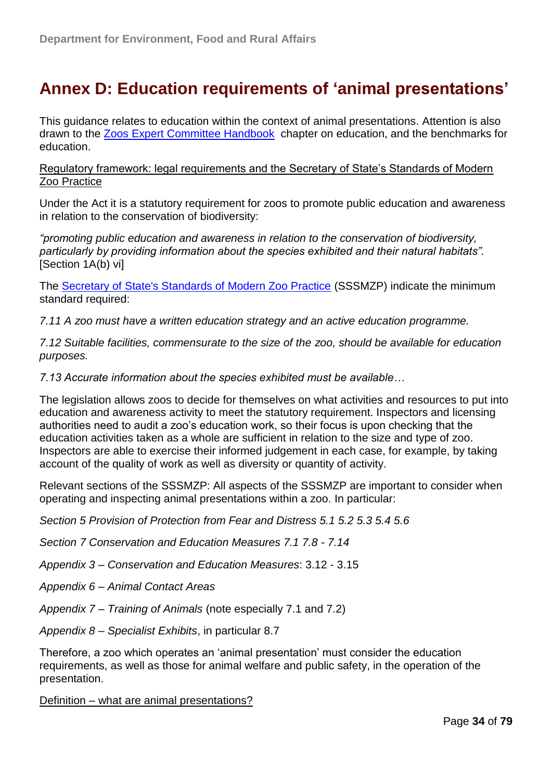### <span id="page-33-0"></span>**Annex D: Education requirements of "animal presentations"**

This guidance relates to education within the context of animal presentations. Attention is also drawn to the [Zoos Expert Committee Handbook](http://www.defra.gov.uk/wildlife-pets/zoos/) chapter on education, and the benchmarks for education.

Regulatory framework: legal requirements and the Secretary of State's Standards of Modern Zoo Practice

Under the Act it is a statutory requirement for zoos to promote public education and awareness in relation to the conservation of biodiversity:

*"promoting public education and awareness in relation to the conservation of biodiversity, particularly by providing information about the species exhibited and their natural habitats".*  [Section 1A(b) vi]

The [Secretary of State's Standards of Modern Zoo Practice](http://www.defra.gov.uk/wildlife-pets/zoos/) (SSSMZP) indicate the minimum standard required:

*7.11 A zoo must have a written education strategy and an active education programme.* 

*7.12 Suitable facilities, commensurate to the size of the zoo, should be available for education purposes.* 

*7.13 Accurate information about the species exhibited must be available…* 

The legislation allows zoos to decide for themselves on what activities and resources to put into education and awareness activity to meet the statutory requirement. Inspectors and licensing authorities need to audit a zoo's education work, so their focus is upon checking that the education activities taken as a whole are sufficient in relation to the size and type of zoo. Inspectors are able to exercise their informed judgement in each case, for example, by taking account of the quality of work as well as diversity or quantity of activity.

Relevant sections of the SSSMZP: All aspects of the SSSMZP are important to consider when operating and inspecting animal presentations within a zoo. In particular:

*Section 5 Provision of Protection from Fear and Distress 5.1 5.2 5.3 5.4 5.6* 

*Section 7 Conservation and Education Measures 7.1 7.8 - 7.14* 

*Appendix 3 – Conservation and Education Measures*: 3.12 - 3.15

*Appendix 6 – Animal Contact Areas* 

*Appendix 7 – Training of Animals* (note especially 7.1 and 7.2)

*Appendix 8 – Specialist Exhibits*, in particular 8.7

Therefore, a zoo which operates an 'animal presentation' must consider the education requirements, as well as those for animal welfare and public safety, in the operation of the presentation.

Definition – what are animal presentations?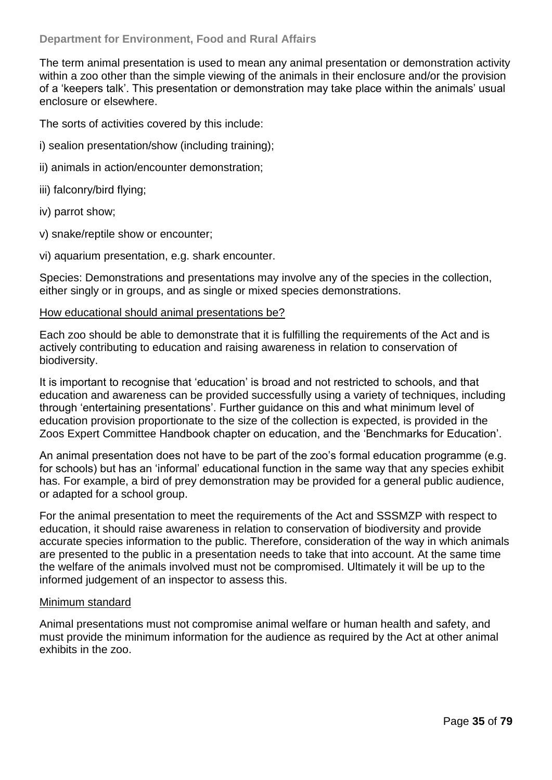The term animal presentation is used to mean any animal presentation or demonstration activity within a zoo other than the simple viewing of the animals in their enclosure and/or the provision of a ‗keepers talk'. This presentation or demonstration may take place within the animals' usual enclosure or elsewhere.

The sorts of activities covered by this include:

- i) sealion presentation/show (including training);
- ii) animals in action/encounter demonstration;
- iii) falconry/bird flying;
- iv) parrot show;
- v) snake/reptile show or encounter;
- vi) aquarium presentation, e.g. shark encounter.

Species: Demonstrations and presentations may involve any of the species in the collection, either singly or in groups, and as single or mixed species demonstrations.

#### How educational should animal presentations be?

Each zoo should be able to demonstrate that it is fulfilling the requirements of the Act and is actively contributing to education and raising awareness in relation to conservation of biodiversity.

It is important to recognise that 'education' is broad and not restricted to schools, and that education and awareness can be provided successfully using a variety of techniques, including through ‗entertaining presentations'. Further guidance on this and what minimum level of education provision proportionate to the size of the collection is expected, is provided in the Zoos Expert Committee Handbook chapter on education, and the 'Benchmarks for Education'.

An animal presentation does not have to be part of the zoo's formal education programme (e.g. for schools) but has an 'informal' educational function in the same way that any species exhibit has. For example, a bird of prey demonstration may be provided for a general public audience, or adapted for a school group.

For the animal presentation to meet the requirements of the Act and SSSMZP with respect to education, it should raise awareness in relation to conservation of biodiversity and provide accurate species information to the public. Therefore, consideration of the way in which animals are presented to the public in a presentation needs to take that into account. At the same time the welfare of the animals involved must not be compromised. Ultimately it will be up to the informed judgement of an inspector to assess this.

#### Minimum standard

Animal presentations must not compromise animal welfare or human health and safety, and must provide the minimum information for the audience as required by the Act at other animal exhibits in the zoo.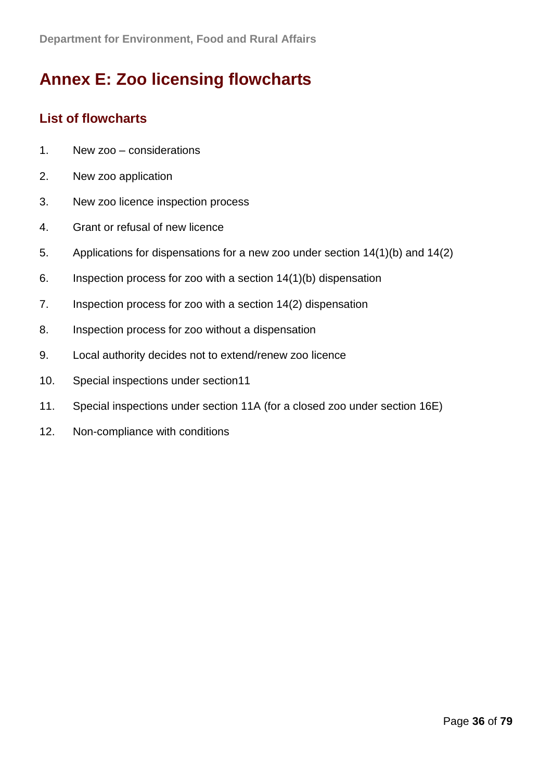## <span id="page-35-0"></span>**Annex E: Zoo licensing flowcharts**

#### <span id="page-35-1"></span>**List of flowcharts**

- 1. New zoo considerations
- 2. New zoo application
- 3. New zoo licence inspection process
- 4. Grant or refusal of new licence
- 5. Applications for dispensations for a new zoo under section 14(1)(b) and 14(2)
- 6. Inspection process for zoo with a section 14(1)(b) dispensation
- 7. Inspection process for zoo with a section 14(2) dispensation
- 8. Inspection process for zoo without a dispensation
- 9. Local authority decides not to extend/renew zoo licence
- 10. Special inspections under section11
- 11. Special inspections under section 11A (for a closed zoo under section 16E)
- 12. Non-compliance with conditions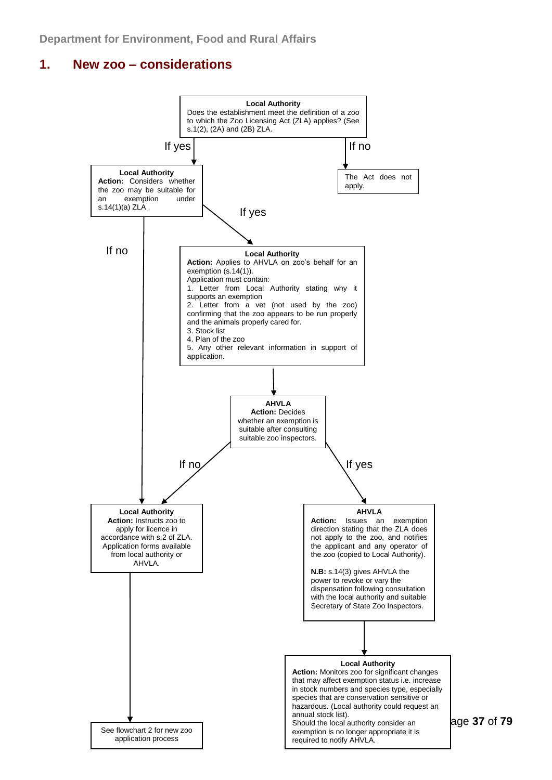## **1. New zoo – considerations**



Page **37** of **79**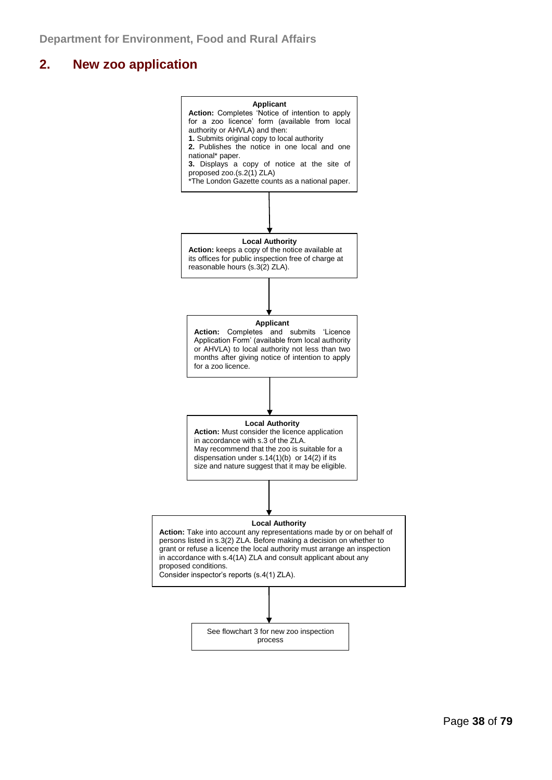## **2. New zoo application**

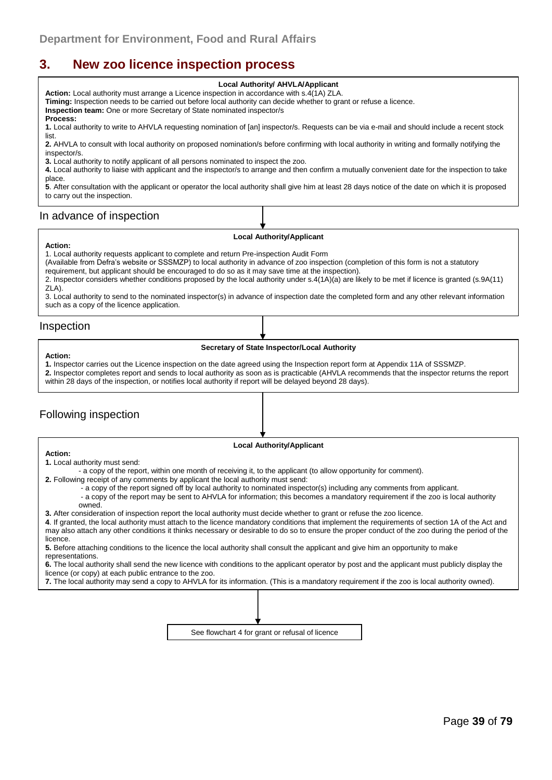## **3. New zoo licence inspection process**

#### **Local Authority/ AHVLA/Applicant**

**Action:** Local authority must arrange a Licence inspection in accordance with s.4(1A) ZLA. **Timing:** Inspection needs to be carried out before local authority can decide whether to grant or refuse a licence.

**Inspection team:** One or more Secretary of State nominated inspector/s **Process:**

**1.** Local authority to write to AHVLA requesting nomination of [an] inspector/s. Requests can be via e-mail and should include a recent stock list.

**2.** AHVLA to consult with local authority on proposed nomination/s before confirming with local authority in writing and formally notifying the inspector/s.

**3.** Local authority to notify applicant of all persons nominated to inspect the zoo.

**4.** Local authority to liaise with applicant and the inspector/s to arrange and then confirm a mutually convenient date for the inspection to take place.

**5**. After consultation with the applicant or operator the local authority shall give him at least 28 days notice of the date on which it is proposed to carry out the inspection.

#### In advance of inspection

#### **Local Authority/Applicant**

#### **Action:**

1. Local authority requests applicant to complete and return Pre-inspection Audit Form

(Available from Defra's website or SSSMZP) to local authority in advance of zoo inspection (completion of this form is not a statutory requirement, but applicant should be encouraged to do so as it may save time at the inspection).

2. Inspector considers whether conditions proposed by the local authority under s.4(1A)(a) are likely to be met if licence is granted (s.9A(11) ZLA).

3. Local authority to send to the nominated inspector(s) in advance of inspection date the completed form and any other relevant information such as a copy of the licence application.

#### Inspection

**Action:**

#### **Secretary of State Inspector/Local Authority**

**1.** Inspector carries out the Licence inspection on the date agreed using the Inspection report form at Appendix 11A of SSSMZP.

**2.** Inspector completes report and sends to local authority as soon as is practicable (AHVLA recommends that the inspector returns the report within 28 days of the inspection, or notifies local authority if report will be delayed beyond 28 days).

### Following inspection

#### **Local Authority/Applicant**

**Action: 1.** Local authority must send:

- a copy of the report, within one month of receiving it, to the applicant (to allow opportunity for comment).

**2.** Following receipt of any comments by applicant the local authority must send:

- a copy of the report signed off by local authority to nominated inspector(s) including any comments from applicant.

- a copy of the report may be sent to AHVLA for information; this becomes a mandatory requirement if the zoo is local authority owned.

**3.** After consideration of inspection report the local authority must decide whether to grant or refuse the zoo licence.

**4**. If granted, the local authority must attach to the licence mandatory conditions that implement the requirements of section 1A of the Act and may also attach any other conditions it thinks necessary or desirable to do so to ensure the proper conduct of the zoo during the period of the licence.

**5.** Before attaching conditions to the licence the local authority shall consult the applicant and give him an opportunity to make representations.

**6.** The local authority shall send the new licence with conditions to the applicant operator by post and the applicant must publicly display the licence (or copy) at each public entrance to the zoo.

**7.** The local authority may send a copy to AHVLA for its information. (This is a mandatory requirement if the zoo is local authority owned).

See flowchart 4 for grant or refusal of licence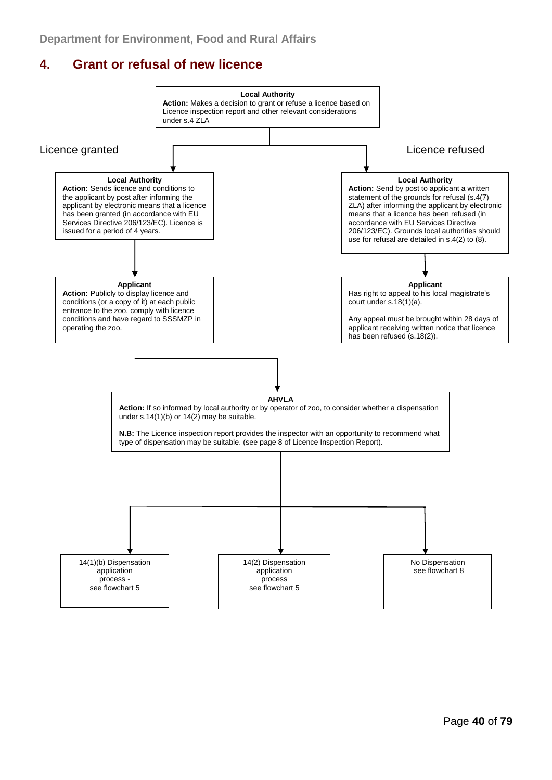## **4. Grant or refusal of new licence**

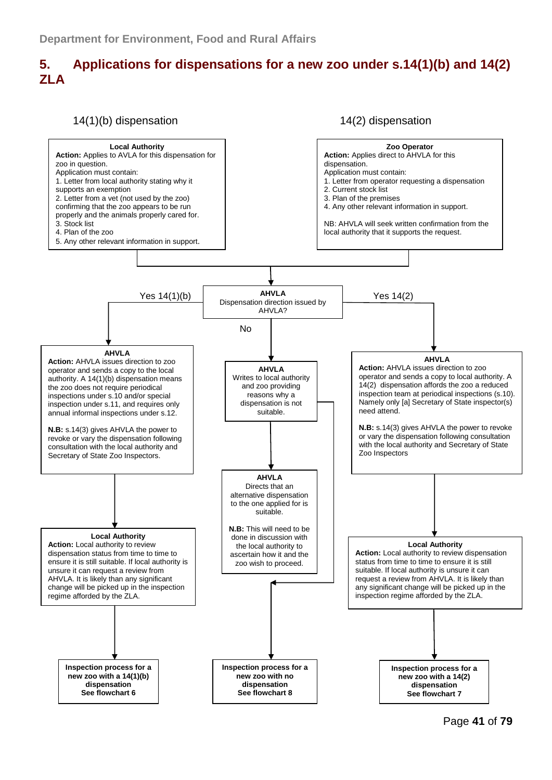## **5. Applications for dispensations for a new zoo under s.14(1)(b) and 14(2) ZLA**



Page **41** of **79**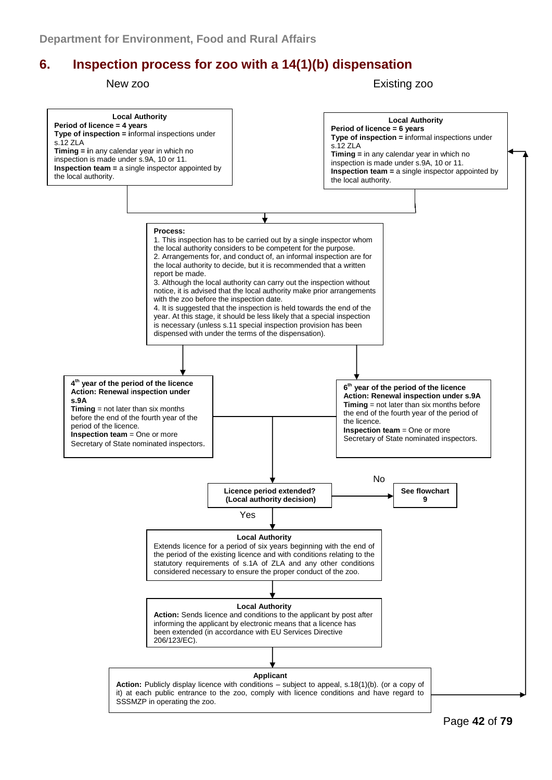## **6. Inspection process for zoo with a 14(1)(b) dispensation**

New zoo **Existing zoo** 

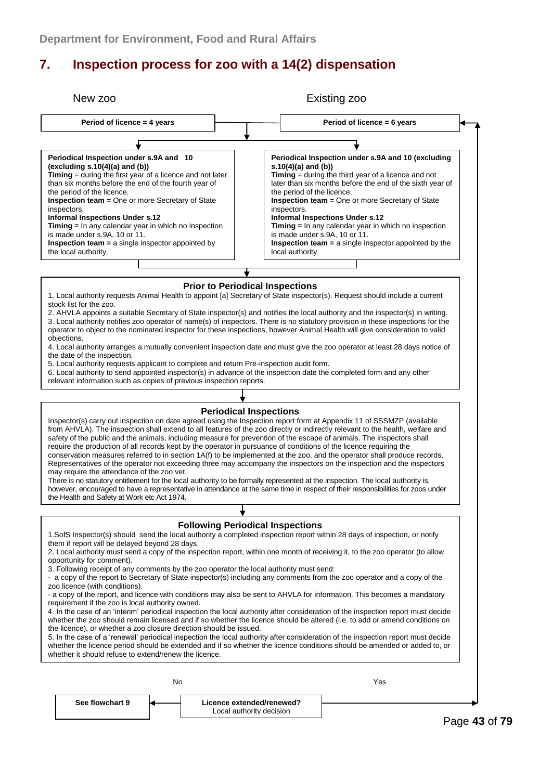## **7. Inspection process for zoo with a 14(2) dispensation**

| New zoo                                                                                                                                                                                                                                                                                                                                                                                                                                                                                                                                                                                                                                                                                                                                                                                                                                                                                                                                                                                                                                                                                                                                                                                                                                                                                                                                                                                                                                                                                         |                                                                                                                                                                                                                                                                                                                                                                                                                                                                                                                                                                                                                                                                                                                                                                                                                                                                                                                                                                                                                                  |  |  | Existing zoo                                          |                                                                                                                                                                                                                                                                                                                                                                                                                                                                                                                                  |  |  |  |
|-------------------------------------------------------------------------------------------------------------------------------------------------------------------------------------------------------------------------------------------------------------------------------------------------------------------------------------------------------------------------------------------------------------------------------------------------------------------------------------------------------------------------------------------------------------------------------------------------------------------------------------------------------------------------------------------------------------------------------------------------------------------------------------------------------------------------------------------------------------------------------------------------------------------------------------------------------------------------------------------------------------------------------------------------------------------------------------------------------------------------------------------------------------------------------------------------------------------------------------------------------------------------------------------------------------------------------------------------------------------------------------------------------------------------------------------------------------------------------------------------|----------------------------------------------------------------------------------------------------------------------------------------------------------------------------------------------------------------------------------------------------------------------------------------------------------------------------------------------------------------------------------------------------------------------------------------------------------------------------------------------------------------------------------------------------------------------------------------------------------------------------------------------------------------------------------------------------------------------------------------------------------------------------------------------------------------------------------------------------------------------------------------------------------------------------------------------------------------------------------------------------------------------------------|--|--|-------------------------------------------------------|----------------------------------------------------------------------------------------------------------------------------------------------------------------------------------------------------------------------------------------------------------------------------------------------------------------------------------------------------------------------------------------------------------------------------------------------------------------------------------------------------------------------------------|--|--|--|
|                                                                                                                                                                                                                                                                                                                                                                                                                                                                                                                                                                                                                                                                                                                                                                                                                                                                                                                                                                                                                                                                                                                                                                                                                                                                                                                                                                                                                                                                                                 | Period of licence = 4 years                                                                                                                                                                                                                                                                                                                                                                                                                                                                                                                                                                                                                                                                                                                                                                                                                                                                                                                                                                                                      |  |  | Period of licence = 6 years                           |                                                                                                                                                                                                                                                                                                                                                                                                                                                                                                                                  |  |  |  |
|                                                                                                                                                                                                                                                                                                                                                                                                                                                                                                                                                                                                                                                                                                                                                                                                                                                                                                                                                                                                                                                                                                                                                                                                                                                                                                                                                                                                                                                                                                 |                                                                                                                                                                                                                                                                                                                                                                                                                                                                                                                                                                                                                                                                                                                                                                                                                                                                                                                                                                                                                                  |  |  |                                                       |                                                                                                                                                                                                                                                                                                                                                                                                                                                                                                                                  |  |  |  |
|                                                                                                                                                                                                                                                                                                                                                                                                                                                                                                                                                                                                                                                                                                                                                                                                                                                                                                                                                                                                                                                                                                                                                                                                                                                                                                                                                                                                                                                                                                 | Periodical Inspection under s.9A and 10<br>(excluding $s.10(4)(a)$ and $(b)$ )<br><b>Timing</b> = during the first year of a licence and not later<br>than six months before the end of the fourth year of<br>the period of the licence.<br><b>Inspection team</b> = One or more Secretary of State<br>inspectors.<br><b>Informal Inspections Under s.12</b><br>Timing = In any calendar year in which no inspection<br>is made under s.9A, 10 or 11.<br><b>Inspection team = a single inspector appointed by</b><br>the local authority.                                                                                                                                                                                                                                                                                                                                                                                                                                                                                        |  |  |                                                       | Periodical Inspection under s.9A and 10 (excluding<br>s.10(4)(a) and (b))<br>Timing $=$ during the third year of a licence and not<br>later than six months before the end of the sixth year of<br>the period of the licence.<br><b>Inspection team</b> = One or more Secretary of State<br>inspectors.<br><b>Informal Inspections Under s.12</b><br>Timing = In any calendar year in which no inspection<br>is made under s.9A, 10 or 11.<br><b>Inspection team</b> = $a$ single inspector appointed by the<br>local authority. |  |  |  |
| <b>Prior to Periodical Inspections</b>                                                                                                                                                                                                                                                                                                                                                                                                                                                                                                                                                                                                                                                                                                                                                                                                                                                                                                                                                                                                                                                                                                                                                                                                                                                                                                                                                                                                                                                          |                                                                                                                                                                                                                                                                                                                                                                                                                                                                                                                                                                                                                                                                                                                                                                                                                                                                                                                                                                                                                                  |  |  |                                                       |                                                                                                                                                                                                                                                                                                                                                                                                                                                                                                                                  |  |  |  |
|                                                                                                                                                                                                                                                                                                                                                                                                                                                                                                                                                                                                                                                                                                                                                                                                                                                                                                                                                                                                                                                                                                                                                                                                                                                                                                                                                                                                                                                                                                 | 1. Local authority requests Animal Health to appoint [a] Secretary of State inspector(s). Request should include a current<br>stock list for the zoo.<br>2. AHVLA appoints a suitable Secretary of State inspector(s) and notifies the local authority and the inspector(s) in writing.<br>3. Local authority notifies zoo operator of name(s) of inspectors. There is no statutory provision in these inspections for the<br>operator to object to the nominated inspector for these inspections, however Animal Health will give consideration to valid<br>objections.<br>4. Local authority arranges a mutually convenient inspection date and must give the zoo operator at least 28 days notice of<br>the date of the inspection.<br>5. Local authority requests applicant to complete and return Pre-inspection audit form.<br>6. Local authority to send appointed inspector(s) in advance of the inspection date the completed form and any other<br>relevant information such as copies of previous inspection reports. |  |  |                                                       |                                                                                                                                                                                                                                                                                                                                                                                                                                                                                                                                  |  |  |  |
| <b>Periodical Inspections</b><br>Inspector(s) carry out inspection on date agreed using the Inspection report form at Appendix 11 of SSSMZP (available<br>from AHVLA). The inspection shall extend to all features of the zoo directly or indirectly relevant to the health, welfare and<br>safety of the public and the animals, including measure for prevention of the escape of animals. The inspectors shall<br>require the production of all records kept by the operator in pursuance of conditions of the licence requiring the<br>conservation measures referred to in section 1A(f) to be implemented at the zoo, and the operator shall produce records.<br>Representatives of the operator not exceeding three may accompany the inspectors on the inspection and the inspectors<br>may require the attendance of the zoo vet.<br>There is no statutory entitlement for the local authority to be formally represented at the inspection. The local authority is,<br>however, encouraged to have a representative in attendance at the same time in respect of their responsibilities for zoos under<br>the Health and Safety at Work etc Act 1974.                                                                                                                                                                                                                                                                                                                                 |                                                                                                                                                                                                                                                                                                                                                                                                                                                                                                                                                                                                                                                                                                                                                                                                                                                                                                                                                                                                                                  |  |  |                                                       |                                                                                                                                                                                                                                                                                                                                                                                                                                                                                                                                  |  |  |  |
|                                                                                                                                                                                                                                                                                                                                                                                                                                                                                                                                                                                                                                                                                                                                                                                                                                                                                                                                                                                                                                                                                                                                                                                                                                                                                                                                                                                                                                                                                                 |                                                                                                                                                                                                                                                                                                                                                                                                                                                                                                                                                                                                                                                                                                                                                                                                                                                                                                                                                                                                                                  |  |  |                                                       |                                                                                                                                                                                                                                                                                                                                                                                                                                                                                                                                  |  |  |  |
| <b>Following Periodical Inspections</b><br>1. SofS Inspector(s) should send the local authority a completed inspection report within 28 days of inspection, or notify<br>them if report will be delayed beyond 28 days.<br>2. Local authority must send a copy of the inspection report, within one month of receiving it, to the zoo operator (to allow<br>opportunity for comment).<br>3. Following receipt of any comments by the zoo operator the local authority must send:<br>- a copy of the report to Secretary of State inspector(s) including any comments from the zoo operator and a copy of the<br>zoo licence (with conditions).<br>- a copy of the report, and licence with conditions may also be sent to AHVLA for information. This becomes a mandatory<br>requirement if the zoo is local authority owned.<br>4. In the case of an 'interim' periodical inspection the local authority after consideration of the inspection report must decide<br>whether the zoo should remain licensed and if so whether the licence should be altered (i.e. to add or amend conditions on<br>the licence), or whether a zoo closure direction should be issued.<br>5. In the case of a 'renewal' periodical inspection the local authority after consideration of the inspection report must decide<br>whether the licence period should be extended and if so whether the licence conditions should be amended or added to, or<br>whether it should refuse to extend/renew the licence. |                                                                                                                                                                                                                                                                                                                                                                                                                                                                                                                                                                                                                                                                                                                                                                                                                                                                                                                                                                                                                                  |  |  |                                                       |                                                                                                                                                                                                                                                                                                                                                                                                                                                                                                                                  |  |  |  |
| No<br>Yes                                                                                                                                                                                                                                                                                                                                                                                                                                                                                                                                                                                                                                                                                                                                                                                                                                                                                                                                                                                                                                                                                                                                                                                                                                                                                                                                                                                                                                                                                       |                                                                                                                                                                                                                                                                                                                                                                                                                                                                                                                                                                                                                                                                                                                                                                                                                                                                                                                                                                                                                                  |  |  |                                                       |                                                                                                                                                                                                                                                                                                                                                                                                                                                                                                                                  |  |  |  |
|                                                                                                                                                                                                                                                                                                                                                                                                                                                                                                                                                                                                                                                                                                                                                                                                                                                                                                                                                                                                                                                                                                                                                                                                                                                                                                                                                                                                                                                                                                 | See flowchart 9                                                                                                                                                                                                                                                                                                                                                                                                                                                                                                                                                                                                                                                                                                                                                                                                                                                                                                                                                                                                                  |  |  | Licence extended/renewed?<br>Local authority decision |                                                                                                                                                                                                                                                                                                                                                                                                                                                                                                                                  |  |  |  |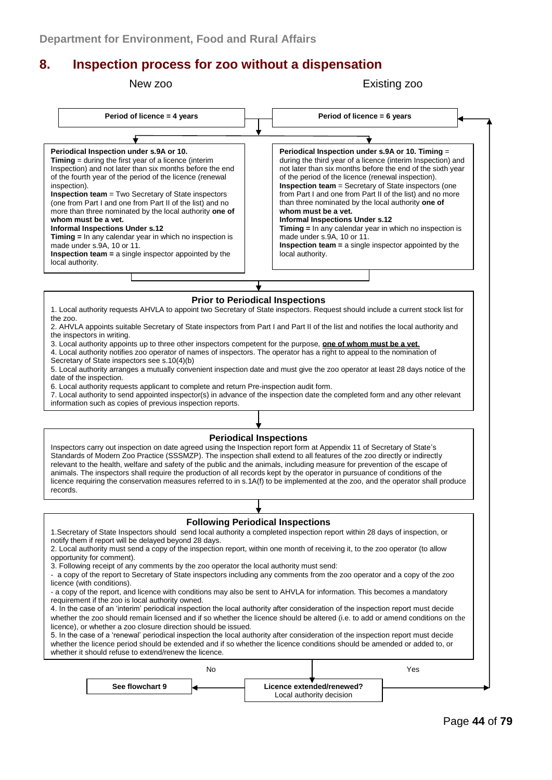## **8. Inspection process for zoo without a dispensation**

New zoo Existing zoo



Local authority decision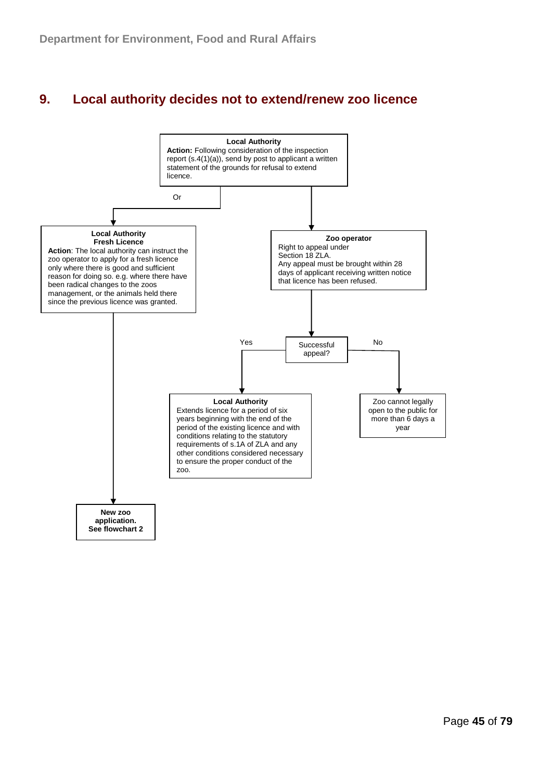## **9. Local authority decides not to extend/renew zoo licence**

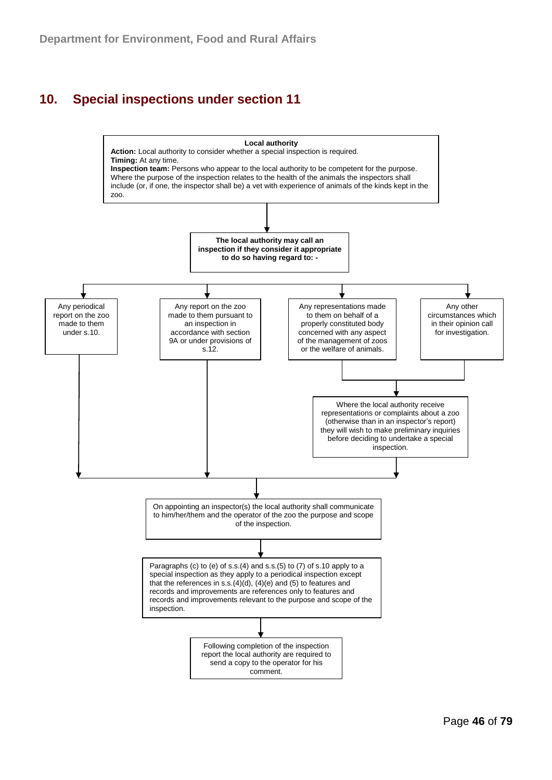## **10. Special inspections under section 11**

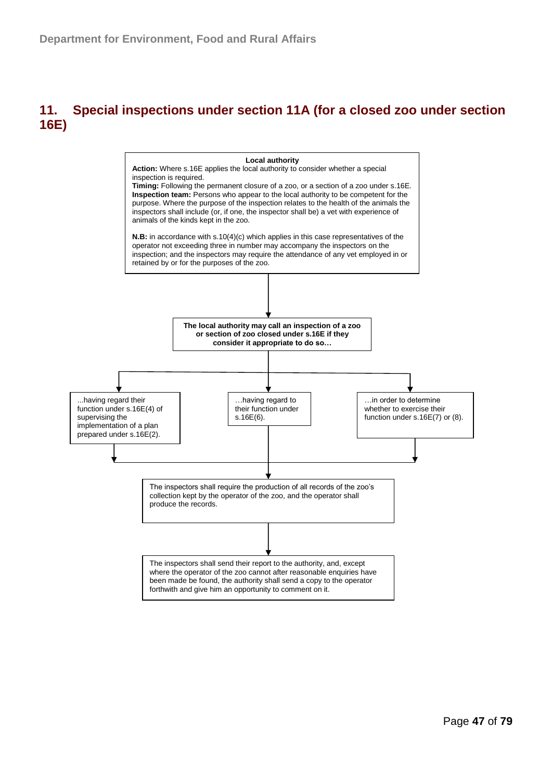## **11. Special inspections under section 11A (for a closed zoo under section 16E)**

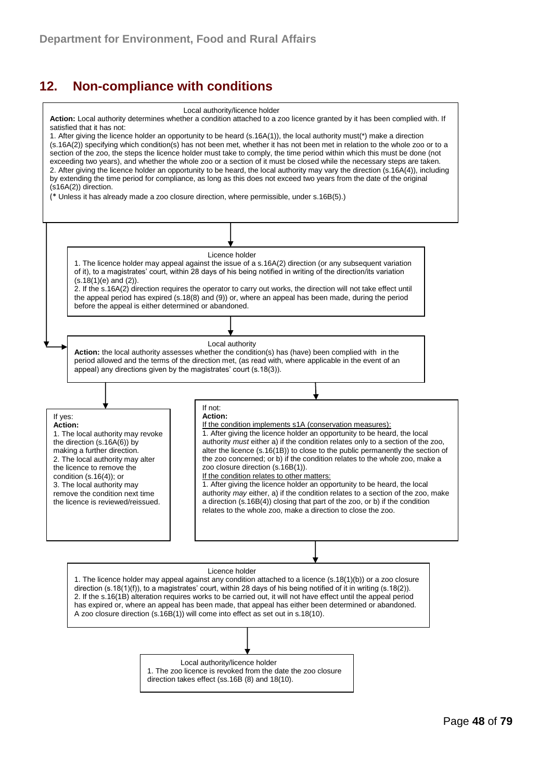## **12. Non-compliance with conditions**

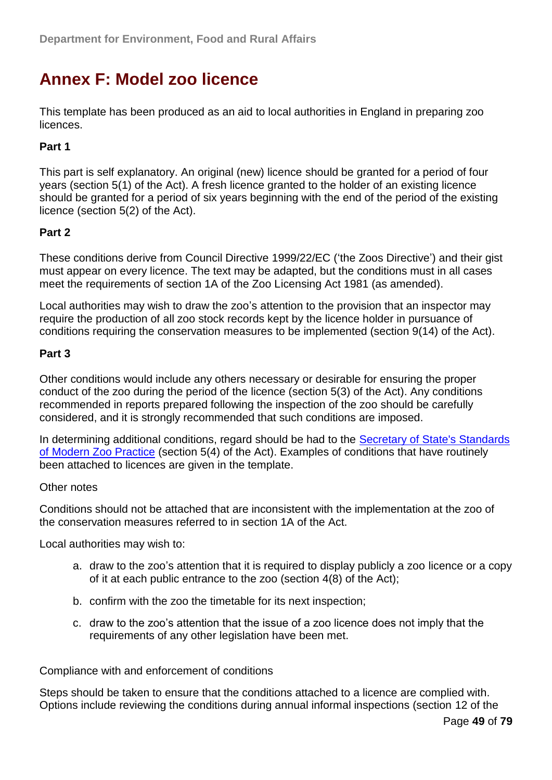# **Annex F: Model zoo licence**

This template has been produced as an aid to local authorities in England in preparing zoo licences.

### **Part 1**

This part is self explanatory. An original (new) licence should be granted for a period of four years (section 5(1) of the Act). A fresh licence granted to the holder of an existing licence should be granted for a period of six years beginning with the end of the period of the existing licence (section 5(2) of the Act).

#### **Part 2**

These conditions derive from Council Directive 1999/22/EC ('the Zoos Directive') and their gist must appear on every licence. The text may be adapted, but the conditions must in all cases meet the requirements of section 1A of the Zoo Licensing Act 1981 (as amended).

Local authorities may wish to draw the zoo's attention to the provision that an inspector may require the production of all zoo stock records kept by the licence holder in pursuance of conditions requiring the conservation measures to be implemented (section 9(14) of the Act).

#### **Part 3**

Other conditions would include any others necessary or desirable for ensuring the proper conduct of the zoo during the period of the licence (section 5(3) of the Act). Any conditions recommended in reports prepared following the inspection of the zoo should be carefully considered, and it is strongly recommended that such conditions are imposed.

In determining additional conditions, regard should be had to the [Secretary of State's Standards](http://www.defra.gov.uk/wildlife-pets/zoos/)  [of Modern Zoo Practice](http://www.defra.gov.uk/wildlife-pets/zoos/) (section 5(4) of the Act). Examples of conditions that have routinely been attached to licences are given in the template.

#### Other notes

Conditions should not be attached that are inconsistent with the implementation at the zoo of the conservation measures referred to in section 1A of the Act.

Local authorities may wish to:

- a. draw to the zoo's attention that it is required to display publicly a zoo licence or a copy of it at each public entrance to the zoo (section 4(8) of the Act);
- b. confirm with the zoo the timetable for its next inspection;
- c. draw to the zoo's attention that the issue of a zoo licence does not imply that the requirements of any other legislation have been met.

Compliance with and enforcement of conditions

Steps should be taken to ensure that the conditions attached to a licence are complied with. Options include reviewing the conditions during annual informal inspections (section 12 of the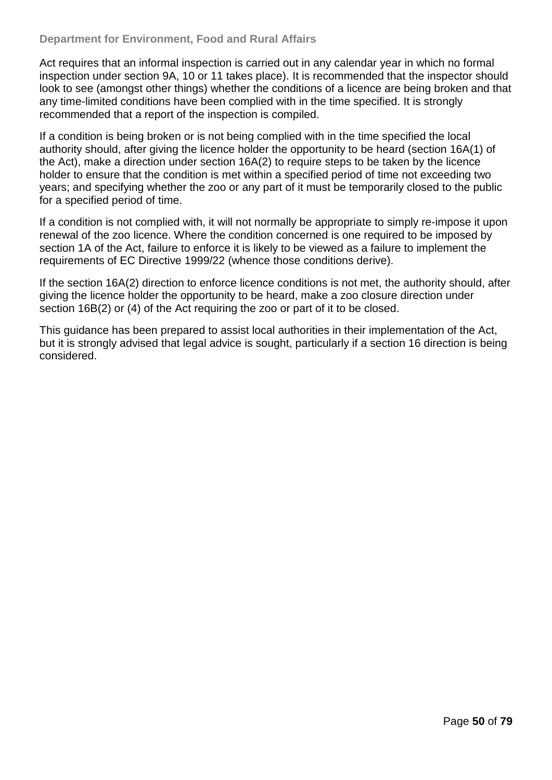#### **Department for Environment, Food and Rural Affairs**

Act requires that an informal inspection is carried out in any calendar year in which no formal inspection under section 9A, 10 or 11 takes place). It is recommended that the inspector should look to see (amongst other things) whether the conditions of a licence are being broken and that any time-limited conditions have been complied with in the time specified. It is strongly recommended that a report of the inspection is compiled.

If a condition is being broken or is not being complied with in the time specified the local authority should, after giving the licence holder the opportunity to be heard (section 16A(1) of the Act), make a direction under section 16A(2) to require steps to be taken by the licence holder to ensure that the condition is met within a specified period of time not exceeding two years; and specifying whether the zoo or any part of it must be temporarily closed to the public for a specified period of time.

If a condition is not complied with, it will not normally be appropriate to simply re-impose it upon renewal of the zoo licence. Where the condition concerned is one required to be imposed by section 1A of the Act, failure to enforce it is likely to be viewed as a failure to implement the requirements of EC Directive 1999/22 (whence those conditions derive).

If the section 16A(2) direction to enforce licence conditions is not met, the authority should, after giving the licence holder the opportunity to be heard, make a zoo closure direction under section 16B(2) or (4) of the Act requiring the zoo or part of it to be closed.

This guidance has been prepared to assist local authorities in their implementation of the Act, but it is strongly advised that legal advice is sought, particularly if a section 16 direction is being considered.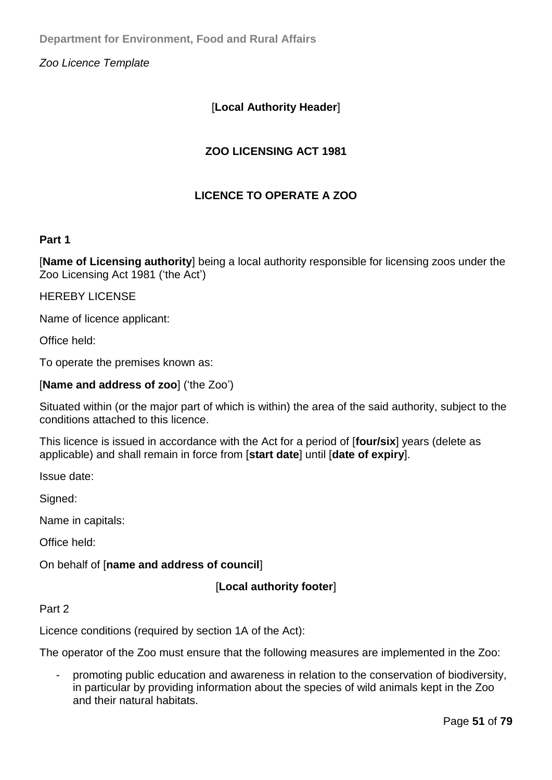*Zoo Licence Template* 

### [**Local Authority Header**]

### **ZOO LICENSING ACT 1981**

### **LICENCE TO OPERATE A ZOO**

#### **Part 1**

[**Name of Licensing authority**] being a local authority responsible for licensing zoos under the Zoo Licensing Act 1981 ('the Act')

HEREBY LICENSE

Name of licence applicant:

Office held:

To operate the premises known as:

#### [**Name and address of zoo**] ('the Zoo')

Situated within (or the major part of which is within) the area of the said authority, subject to the conditions attached to this licence.

This licence is issued in accordance with the Act for a period of [**four/six**] years (delete as applicable) and shall remain in force from [**start date**] until [**date of expiry**].

Issue date:

Signed:

Name in capitals:

Office held:

On behalf of [**name and address of council**]

[**Local authority footer**]

#### Part 2

Licence conditions (required by section 1A of the Act):

The operator of the Zoo must ensure that the following measures are implemented in the Zoo:

- promoting public education and awareness in relation to the conservation of biodiversity, in particular by providing information about the species of wild animals kept in the Zoo and their natural habitats.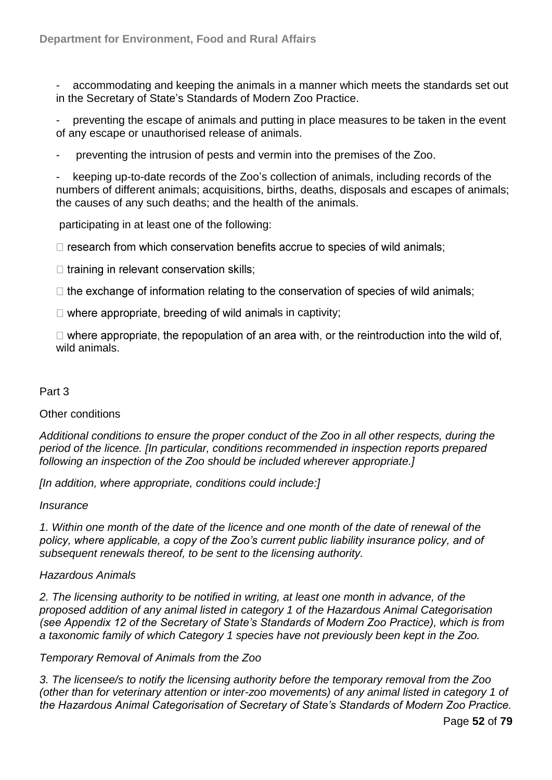accommodating and keeping the animals in a manner which meets the standards set out in the Secretary of State's Standards of Modern Zoo Practice.

preventing the escape of animals and putting in place measures to be taken in the event of any escape or unauthorised release of animals.

preventing the intrusion of pests and vermin into the premises of the Zoo.

keeping up-to-date records of the Zoo's collection of animals, including records of the numbers of different animals; acquisitions, births, deaths, disposals and escapes of animals; the causes of any such deaths; and the health of the animals.

participating in at least one of the following:

 $\Box$  research from which conservation benefits accrue to species of wild animals;

 $\Box$  training in relevant conservation skills;

 $\Box$  the exchange of information relating to the conservation of species of wild animals:

 $\Box$  where appropriate, breeding of wild animals in captivity;

 $\Box$  where appropriate, the repopulation of an area with, or the reintroduction into the wild of, wild animals.

#### Part 3

#### Other conditions

*Additional conditions to ensure the proper conduct of the Zoo in all other respects, during the period of the licence. [In particular, conditions recommended in inspection reports prepared following an inspection of the Zoo should be included wherever appropriate.]* 

*[In addition, where appropriate, conditions could include:]* 

*Insurance* 

*1. Within one month of the date of the licence and one month of the date of renewal of the policy, where applicable, a copy of the Zoo's current public liability insurance policy, and of subsequent renewals thereof, to be sent to the licensing authority.* 

#### *Hazardous Animals*

*2. The licensing authority to be notified in writing, at least one month in advance, of the proposed addition of any animal listed in category 1 of the Hazardous Animal Categorisation (see Appendix 12 of the Secretary of State's Standards of Modern Zoo Practice), which is from a taxonomic family of which Category 1 species have not previously been kept in the Zoo.* 

#### *Temporary Removal of Animals from the Zoo*

*3. The licensee/s to notify the licensing authority before the temporary removal from the Zoo (other than for veterinary attention or inter-zoo movements) of any animal listed in category 1 of the Hazardous Animal Categorisation of Secretary of State's Standards of Modern Zoo Practice.*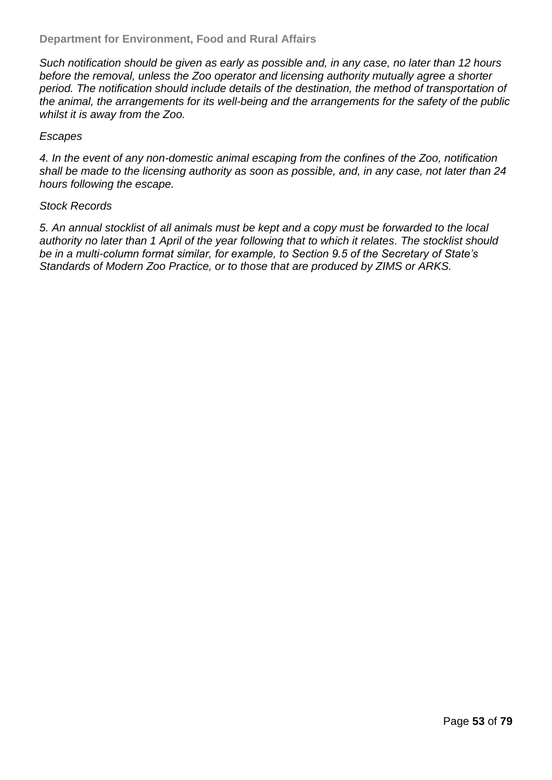*Such notification should be given as early as possible and, in any case, no later than 12 hours before the removal, unless the Zoo operator and licensing authority mutually agree a shorter period. The notification should include details of the destination, the method of transportation of the animal, the arrangements for its well-being and the arrangements for the safety of the public whilst it is away from the Zoo.* 

#### *Escapes*

*4. In the event of any non-domestic animal escaping from the confines of the Zoo, notification shall be made to the licensing authority as soon as possible, and, in any case, not later than 24 hours following the escape.* 

#### *Stock Records*

*5. An annual stocklist of all animals must be kept and a copy must be forwarded to the local authority no later than 1 April of the year following that to which it relates. The stocklist should be in a multi-column format similar, for example, to Section 9.5 of the Secretary of State's Standards of Modern Zoo Practice, or to those that are produced by ZIMS or ARKS.*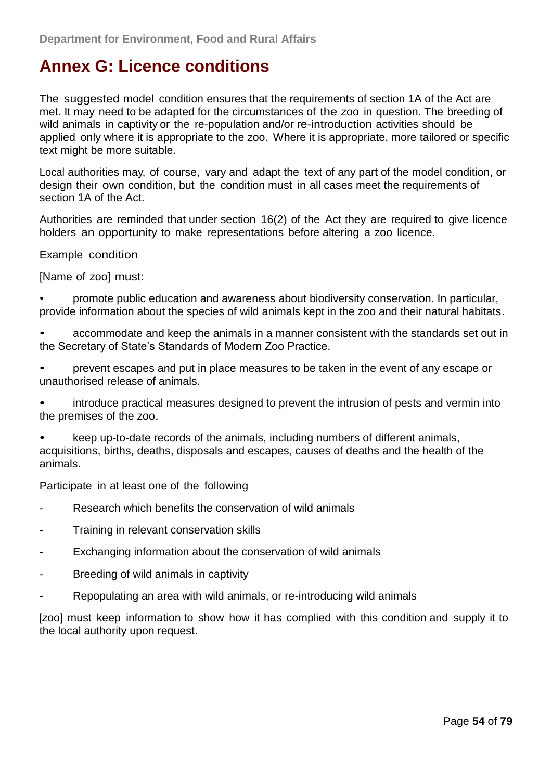# **Annex G: Licence conditions**

The suggested model condition ensures that the requirements of section 1A of the Act are met. It may need to be adapted for the circumstances of the zoo in question. The breeding of wild animals in captivity or the re-population and/or re-introduction activities should be applied only where it is appropriate to the zoo. Where it is appropriate, more tailored or specific text might be more suitable.

Local authorities may, of course, vary and adapt the text of any part of the model condition, or design their own condition, but the condition must in all cases meet the requirements of section 1A of the Act.

Authorities are reminded that under section 16(2) of the Act they are required to give licence holders an opportunity to make representations before altering a zoo licence.

Example condition

[Name of zoo] must:

• promote public education and awareness about biodiversity conservation. In particular, provide information about the species of wild animals kept in the zoo and their natural habitats.

• accommodate and keep the animals in a manner consistent with the standards set out in the Secretary of State's Standards of Modern Zoo Practice.

• prevent escapes and put in place measures to be taken in the event of any escape or unauthorised release of animals.

• introduce practical measures designed to prevent the intrusion of pests and vermin into the premises of the zoo.

• keep up-to-date records of the animals, including numbers of different animals, acquisitions, births, deaths, disposals and escapes, causes of deaths and the health of the animals.

Participate in at least one of the following

- Research which benefits the conservation of wild animals
- Training in relevant conservation skills
- Exchanging information about the conservation of wild animals
- Breeding of wild animals in captivity
- Repopulating an area with wild animals, or re-introducing wild animals

[zoo] must keep information to show how it has complied with this condition and supply it to the local authority upon request.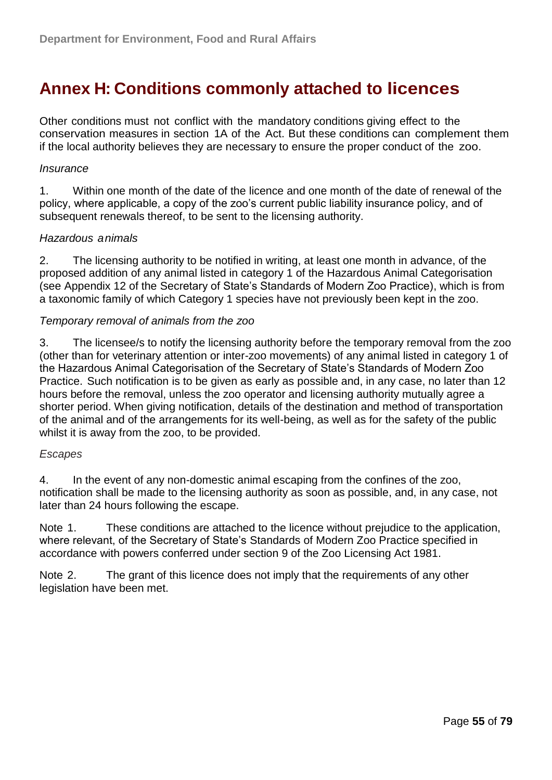# **Annex H: Conditions commonly attached to licences**

Other conditions must not conflict with the mandatory conditions giving effect to the conservation measures in section 1A of the Act. But these conditions can complement them if the local authority believes they are necessary to ensure the proper conduct of the zoo.

#### *Insurance*

1. Within one month of the date of the licence and one month of the date of renewal of the policy, where applicable, a copy of the zoo's current public liability insurance policy, and of subsequent renewals thereof, to be sent to the licensing authority.

#### *Hazardous animals*

2. The licensing authority to be notified in writing, at least one month in advance, of the proposed addition of any animal listed in category 1 of the Hazardous Animal Categorisation (see Appendix 12 of the Secretary of State's Standards of Modern Zoo Practice), which is from a taxonomic family of which Category 1 species have not previously been kept in the zoo.

#### *Temporary removal of animals from the zoo*

3. The licensee/s to notify the licensing authority before the temporary removal from the zoo (other than for veterinary attention or inter-zoo movements) of any animal listed in category 1 of the Hazardous Animal Categorisation of the Secretary of State's Standards of Modern Zoo Practice. Such notification is to be given as early as possible and, in any case, no later than 12 hours before the removal, unless the zoo operator and licensing authority mutually agree a shorter period. When giving notification, details of the destination and method of transportation of the animal and of the arrangements for its well-being, as well as for the safety of the public whilst it is away from the zoo, to be provided.

#### *Escapes*

4. In the event of any non-domestic animal escaping from the confines of the zoo, notification shall be made to the licensing authority as soon as possible, and, in any case, not later than 24 hours following the escape.

Note 1. These conditions are attached to the licence without prejudice to the application, where relevant, of the Secretary of State's Standards of Modern Zoo Practice specified in accordance with powers conferred under section 9 of the Zoo Licensing Act 1981.

Note 2. The grant of this licence does not imply that the requirements of any other legislation have been met.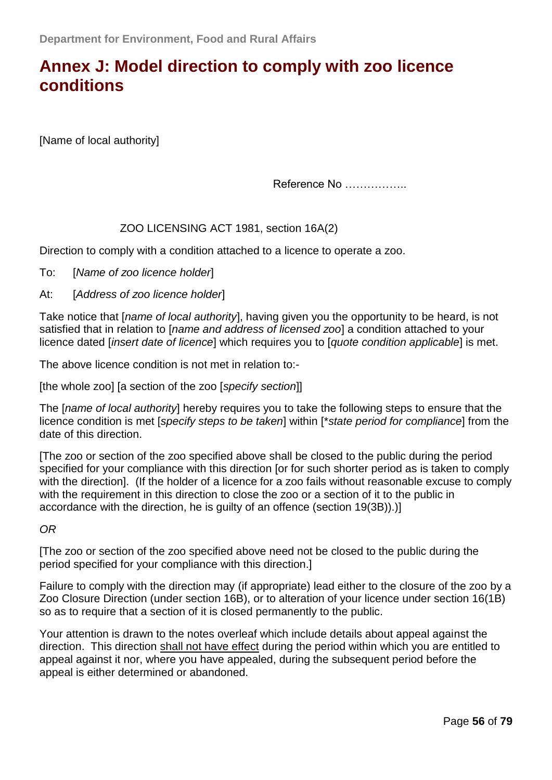# **Annex J: [Model direction to comply with zoo licence](http://archive.defra.gov.uk/wildlife-pets/zoos/documents/zoo-close-direct.pdf)  [conditions](http://archive.defra.gov.uk/wildlife-pets/zoos/documents/zoo-close-direct.pdf)**

[Name of local authority]

Reference No ……………..

#### ZOO LICENSING ACT 1981, section 16A(2)

Direction to comply with a condition attached to a licence to operate a zoo.

To: [*Name of zoo licence holder*]

#### At: [*Address of zoo licence holder*]

Take notice that [*name of local authority*], having given you the opportunity to be heard, is not satisfied that in relation to [*name and address of licensed zoo*] a condition attached to your licence dated [*insert date of licence*] which requires you to [*quote condition applicable*] is met.

The above licence condition is not met in relation to:-

[the whole zoo] [a section of the zoo [*specify section*]]

The [*name of local authority*] hereby requires you to take the following steps to ensure that the licence condition is met [*specify steps to be taken*] within [\**state period for compliance*] from the date of this direction.

[The zoo or section of the zoo specified above shall be closed to the public during the period specified for your compliance with this direction [or for such shorter period as is taken to comply with the direction]. (If the holder of a licence for a zoo fails without reasonable excuse to comply with the requirement in this direction to close the zoo or a section of it to the public in accordance with the direction, he is guilty of an offence (section 19(3B)).)]

*OR*

[The zoo or section of the zoo specified above need not be closed to the public during the period specified for your compliance with this direction.]

Failure to comply with the direction may (if appropriate) lead either to the closure of the zoo by a Zoo Closure Direction (under section 16B), or to alteration of your licence under section 16(1B) so as to require that a section of it is closed permanently to the public.

Your attention is drawn to the notes overleaf which include details about appeal against the direction. This direction shall not have effect during the period within which you are entitled to appeal against it nor, where you have appealed, during the subsequent period before the appeal is either determined or abandoned.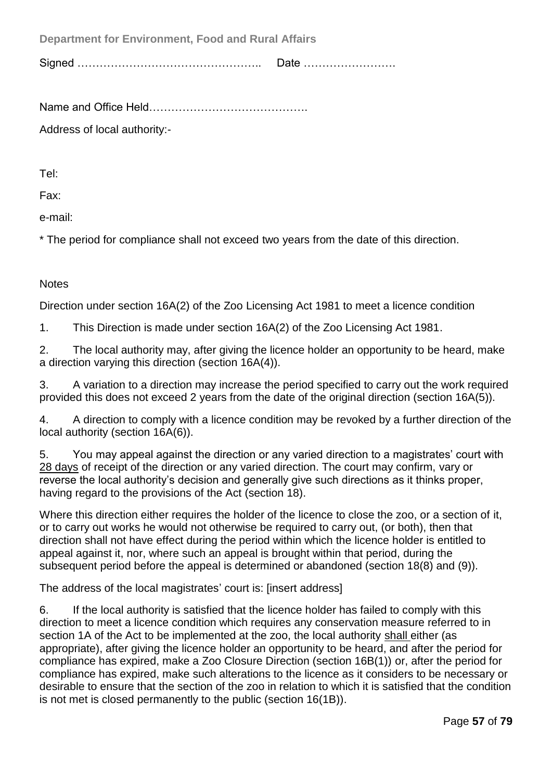**Department for Environment, Food and Rural Affairs**

Signed ………………………………………….. Date …………………….

Name and Office Held…………………………………….

Address of local authority:-

Tel:

Fax:

e-mail:

\* The period for compliance shall not exceed two years from the date of this direction.

### **Notes**

Direction under section 16A(2) of the Zoo Licensing Act 1981 to meet a licence condition

1. This Direction is made under section 16A(2) of the Zoo Licensing Act 1981.

2. The local authority may, after giving the licence holder an opportunity to be heard, make a direction varying this direction (section 16A(4)).

3. A variation to a direction may increase the period specified to carry out the work required provided this does not exceed 2 years from the date of the original direction (section 16A(5)).

4. A direction to comply with a licence condition may be revoked by a further direction of the local authority (section 16A(6)).

5. You may appeal against the direction or any varied direction to a magistrates' court with 28 days of receipt of the direction or any varied direction. The court may confirm, vary or reverse the local authority's decision and generally give such directions as it thinks proper, having regard to the provisions of the Act (section 18).

Where this direction either requires the holder of the licence to close the zoo, or a section of it, or to carry out works he would not otherwise be required to carry out, (or both), then that direction shall not have effect during the period within which the licence holder is entitled to appeal against it, nor, where such an appeal is brought within that period, during the subsequent period before the appeal is determined or abandoned (section 18(8) and (9)).

The address of the local magistrates' court is: [insert address]

6. If the local authority is satisfied that the licence holder has failed to comply with this direction to meet a licence condition which requires any conservation measure referred to in section 1A of the Act to be implemented at the zoo, the local authority shall either (as appropriate), after giving the licence holder an opportunity to be heard, and after the period for compliance has expired, make a Zoo Closure Direction (section 16B(1)) or, after the period for compliance has expired, make such alterations to the licence as it considers to be necessary or desirable to ensure that the section of the zoo in relation to which it is satisfied that the condition is not met is closed permanently to the public (section 16(1B)).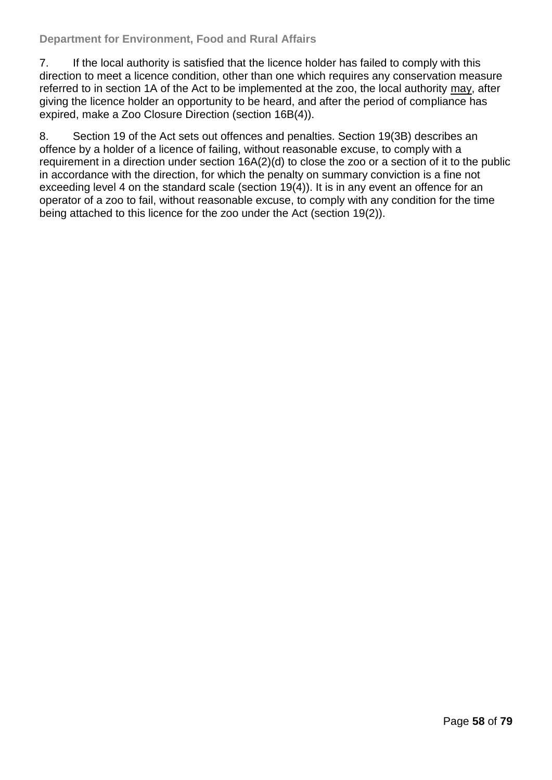#### **Department for Environment, Food and Rural Affairs**

7. If the local authority is satisfied that the licence holder has failed to comply with this direction to meet a licence condition, other than one which requires any conservation measure referred to in section 1A of the Act to be implemented at the zoo, the local authority may, after giving the licence holder an opportunity to be heard, and after the period of compliance has expired, make a Zoo Closure Direction (section 16B(4)).

8. Section 19 of the Act sets out offences and penalties. Section 19(3B) describes an offence by a holder of a licence of failing, without reasonable excuse, to comply with a requirement in a direction under section 16A(2)(d) to close the zoo or a section of it to the public in accordance with the direction, for which the penalty on summary conviction is a fine not exceeding level 4 on the standard scale (section 19(4)). It is in any event an offence for an operator of a zoo to fail, without reasonable excuse, to comply with any condition for the time being attached to this licence for the zoo under the Act (section 19(2)).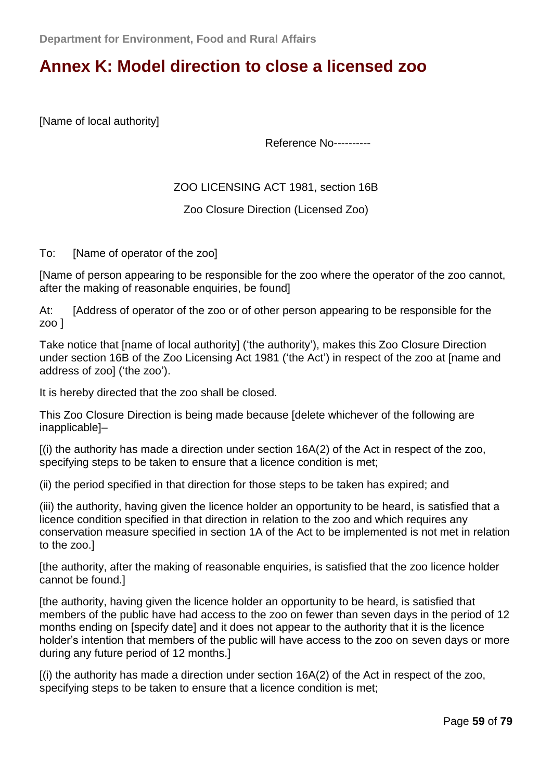## **Annex K: [Model direction to close a licensed zoo](http://archive.defra.gov.uk/wildlife-pets/zoos/documents/zoo-closure-direct.pdf)**

[Name of local authority]

Reference No----------

ZOO LICENSING ACT 1981, section 16B

Zoo Closure Direction (Licensed Zoo)

To: [Name of operator of the zoo]

[Name of person appearing to be responsible for the zoo where the operator of the zoo cannot, after the making of reasonable enquiries, be found]

At: [Address of operator of the zoo or of other person appearing to be responsible for the zoo ]

Take notice that [name of local authority] ('the authority'), makes this Zoo Closure Direction under section 16B of the Zoo Licensing Act 1981 ('the Act') in respect of the zoo at [name and address of zool ('the zoo').

It is hereby directed that the zoo shall be closed.

This Zoo Closure Direction is being made because [delete whichever of the following are inapplicable]–

 $(i)$  the authority has made a direction under section 16A(2) of the Act in respect of the zoo, specifying steps to be taken to ensure that a licence condition is met;

(ii) the period specified in that direction for those steps to be taken has expired; and

(iii) the authority, having given the licence holder an opportunity to be heard, is satisfied that a licence condition specified in that direction in relation to the zoo and which requires any conservation measure specified in section 1A of the Act to be implemented is not met in relation to the zoo.]

[the authority, after the making of reasonable enquiries, is satisfied that the zoo licence holder cannot be found.]

[the authority, having given the licence holder an opportunity to be heard, is satisfied that members of the public have had access to the zoo on fewer than seven days in the period of 12 months ending on [specify date] and it does not appear to the authority that it is the licence holder's intention that members of the public will have access to the zoo on seven days or more during any future period of 12 months.]

[(i) the authority has made a direction under section 16A(2) of the Act in respect of the zoo, specifying steps to be taken to ensure that a licence condition is met;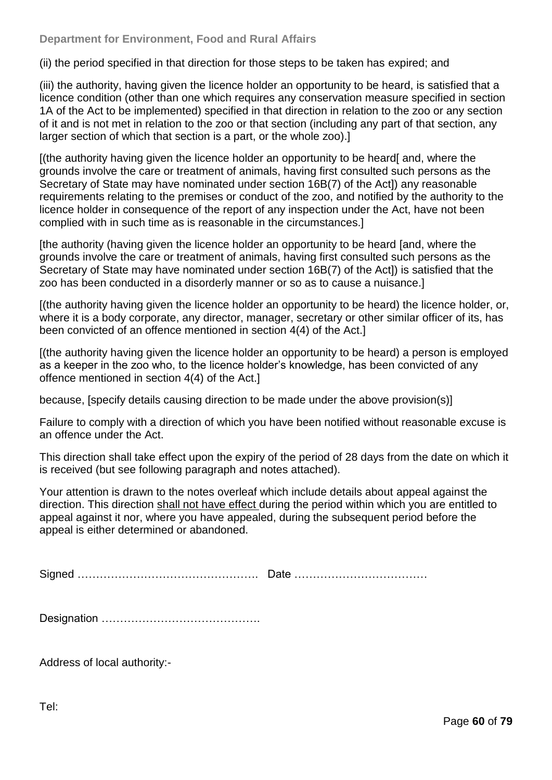#### **Department for Environment, Food and Rural Affairs**

(ii) the period specified in that direction for those steps to be taken has expired; and

(iii) the authority, having given the licence holder an opportunity to be heard, is satisfied that a licence condition (other than one which requires any conservation measure specified in section 1A of the Act to be implemented) specified in that direction in relation to the zoo or any section of it and is not met in relation to the zoo or that section (including any part of that section, any larger section of which that section is a part, or the whole zoo).]

[(the authority having given the licence holder an opportunity to be heard[ and, where the grounds involve the care or treatment of animals, having first consulted such persons as the Secretary of State may have nominated under section 16B(7) of the Act]) any reasonable requirements relating to the premises or conduct of the zoo, and notified by the authority to the licence holder in consequence of the report of any inspection under the Act, have not been complied with in such time as is reasonable in the circumstances.]

[the authority (having given the licence holder an opportunity to be heard [and, where the grounds involve the care or treatment of animals, having first consulted such persons as the Secretary of State may have nominated under section 16B(7) of the Act]) is satisfied that the zoo has been conducted in a disorderly manner or so as to cause a nuisance.]

[(the authority having given the licence holder an opportunity to be heard) the licence holder, or, where it is a body corporate, any director, manager, secretary or other similar officer of its, has been convicted of an offence mentioned in section 4(4) of the Act.]

[(the authority having given the licence holder an opportunity to be heard) a person is employed as a keeper in the zoo who, to the licence holder's knowledge, has been convicted of any offence mentioned in section 4(4) of the Act.]

because, [specify details causing direction to be made under the above provision(s)]

Failure to comply with a direction of which you have been notified without reasonable excuse is an offence under the Act.

This direction shall take effect upon the expiry of the period of 28 days from the date on which it is received (but see following paragraph and notes attached).

Your attention is drawn to the notes overleaf which include details about appeal against the direction. This direction shall not have effect during the period within which you are entitled to appeal against it nor, where you have appealed, during the subsequent period before the appeal is either determined or abandoned.

Signed …………………………………………. Date ………………………………

Designation …………………………………….

Address of local authority:-

Tel: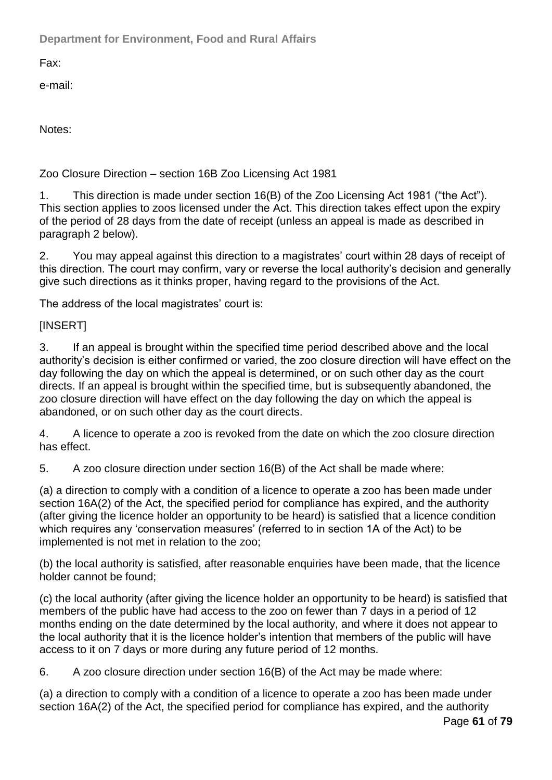**Department for Environment, Food and Rural Affairs**

Fax:

e-mail:

Notes:

### Zoo Closure Direction – section 16B Zoo Licensing Act 1981

1. This direction is made under section 16(B) of the Zoo Licensing Act 1981 ("the Act"). This section applies to zoos licensed under the Act. This direction takes effect upon the expiry of the period of 28 days from the date of receipt (unless an appeal is made as described in paragraph 2 below).

2. You may appeal against this direction to a magistrates' court within 28 days of receipt of this direction. The court may confirm, vary or reverse the local authority's decision and generally give such directions as it thinks proper, having regard to the provisions of the Act.

The address of the local magistrates' court is:

### [INSERT]

3. If an appeal is brought within the specified time period described above and the local authority's decision is either confirmed or varied, the zoo closure direction will have effect on the day following the day on which the appeal is determined, or on such other day as the court directs. If an appeal is brought within the specified time, but is subsequently abandoned, the zoo closure direction will have effect on the day following the day on which the appeal is abandoned, or on such other day as the court directs.

4. A licence to operate a zoo is revoked from the date on which the zoo closure direction has effect.

5. A zoo closure direction under section 16(B) of the Act shall be made where:

(a) a direction to comply with a condition of a licence to operate a zoo has been made under section 16A(2) of the Act, the specified period for compliance has expired, and the authority (after giving the licence holder an opportunity to be heard) is satisfied that a licence condition which requires any 'conservation measures' (referred to in section 1A of the Act) to be implemented is not met in relation to the zoo;

(b) the local authority is satisfied, after reasonable enquiries have been made, that the licence holder cannot be found;

(c) the local authority (after giving the licence holder an opportunity to be heard) is satisfied that members of the public have had access to the zoo on fewer than 7 days in a period of 12 months ending on the date determined by the local authority, and where it does not appear to the local authority that it is the licence holder's intention that members of the public will have access to it on 7 days or more during any future period of 12 months.

6. A zoo closure direction under section 16(B) of the Act may be made where:

(a) a direction to comply with a condition of a licence to operate a zoo has been made under section 16A(2) of the Act, the specified period for compliance has expired, and the authority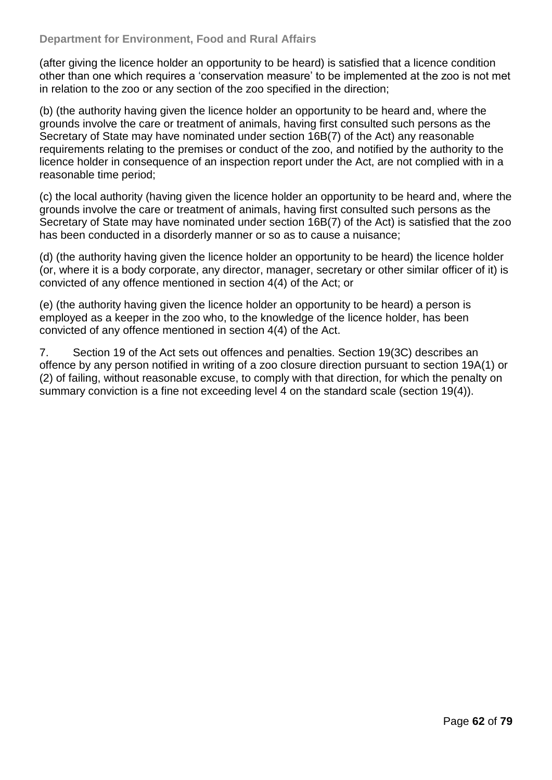(after giving the licence holder an opportunity to be heard) is satisfied that a licence condition other than one which requires a 'conservation measure' to be implemented at the zoo is not met in relation to the zoo or any section of the zoo specified in the direction;

(b) (the authority having given the licence holder an opportunity to be heard and, where the grounds involve the care or treatment of animals, having first consulted such persons as the Secretary of State may have nominated under section 16B(7) of the Act) any reasonable requirements relating to the premises or conduct of the zoo, and notified by the authority to the licence holder in consequence of an inspection report under the Act, are not complied with in a reasonable time period;

(c) the local authority (having given the licence holder an opportunity to be heard and, where the grounds involve the care or treatment of animals, having first consulted such persons as the Secretary of State may have nominated under section 16B(7) of the Act) is satisfied that the zoo has been conducted in a disorderly manner or so as to cause a nuisance;

(d) (the authority having given the licence holder an opportunity to be heard) the licence holder (or, where it is a body corporate, any director, manager, secretary or other similar officer of it) is convicted of any offence mentioned in section 4(4) of the Act; or

(e) (the authority having given the licence holder an opportunity to be heard) a person is employed as a keeper in the zoo who, to the knowledge of the licence holder, has been convicted of any offence mentioned in section 4(4) of the Act.

7. Section 19 of the Act sets out offences and penalties. Section 19(3C) describes an offence by any person notified in writing of a zoo closure direction pursuant to section 19A(1) or (2) of failing, without reasonable excuse, to comply with that direction, for which the penalty on summary conviction is a fine not exceeding level 4 on the standard scale (section 19(4)).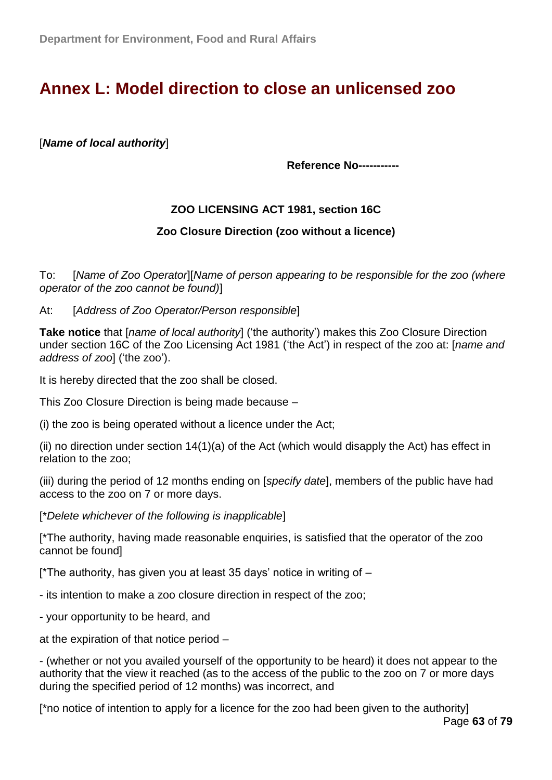# **Annex L: [Model direction to close an unlicensed zoo](http://archive.defra.gov.uk/wildlife-pets/zoos/documents/zoo-close-unlicense.pdf)**

[*Name of local authority*]

**Reference No-----------**

### **ZOO LICENSING ACT 1981, section 16C**

#### **Zoo Closure Direction (zoo without a licence)**

To: [*Name of Zoo Operator*][*Name of person appearing to be responsible for the zoo (where operator of the zoo cannot be found)*]

At: [*Address of Zoo Operator/Person responsible*]

**Take notice** that [*name of local authority*] ('the authority') makes this Zoo Closure Direction under section 16C of the Zoo Licensing Act 1981 (‗the Act') in respect of the zoo at: [*name and address of zoo*] ('the zoo').

It is hereby directed that the zoo shall be closed.

This Zoo Closure Direction is being made because –

(i) the zoo is being operated without a licence under the Act;

(ii) no direction under section 14(1)(a) of the Act (which would disapply the Act) has effect in relation to the zoo;

(iii) during the period of 12 months ending on [*specify date*], members of the public have had access to the zoo on 7 or more days.

[\**Delete whichever of the following is inapplicable*]

[\*The authority, having made reasonable enquiries, is satisfied that the operator of the zoo cannot be found]

[\*The authority, has given you at least 35 days' notice in writing of –

- its intention to make a zoo closure direction in respect of the zoo;

- your opportunity to be heard, and

at the expiration of that notice period –

- (whether or not you availed yourself of the opportunity to be heard) it does not appear to the authority that the view it reached (as to the access of the public to the zoo on 7 or more days during the specified period of 12 months) was incorrect, and

[\*no notice of intention to apply for a licence for the zoo had been given to the authority]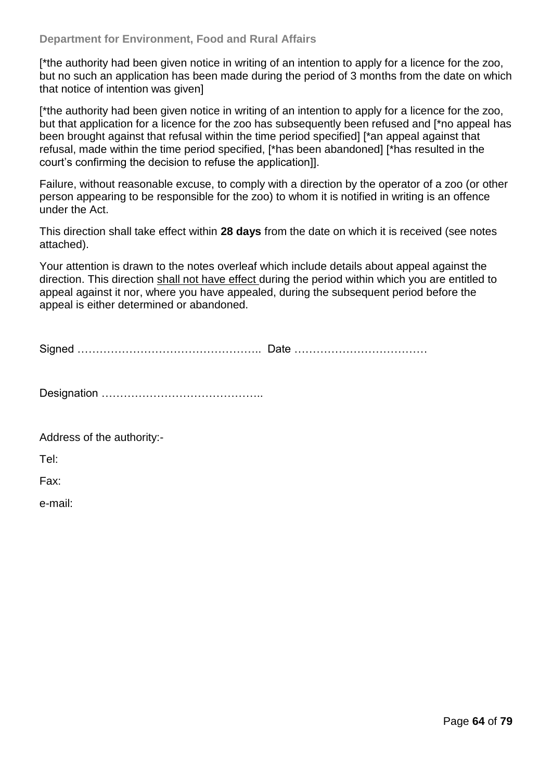[\*the authority had been given notice in writing of an intention to apply for a licence for the zoo, but no such an application has been made during the period of 3 months from the date on which that notice of intention was given]

[\*the authority had been given notice in writing of an intention to apply for a licence for the zoo, but that application for a licence for the zoo has subsequently been refused and [\*no appeal has been brought against that refusal within the time period specified] [\*an appeal against that refusal, made within the time period specified, [\*has been abandoned] [\*has resulted in the court's confirming the decision to refuse the application]].

Failure, without reasonable excuse, to comply with a direction by the operator of a zoo (or other person appearing to be responsible for the zoo) to whom it is notified in writing is an offence under the Act.

This direction shall take effect within **28 days** from the date on which it is received (see notes attached).

Your attention is drawn to the notes overleaf which include details about appeal against the direction. This direction shall not have effect during the period within which you are entitled to appeal against it nor, where you have appealed, during the subsequent period before the appeal is either determined or abandoned.

Signed ………………………………………….. Date ………………………………

Designation ……………………………………..

Address of the authority:-

Tel:

Fax:

e-mail: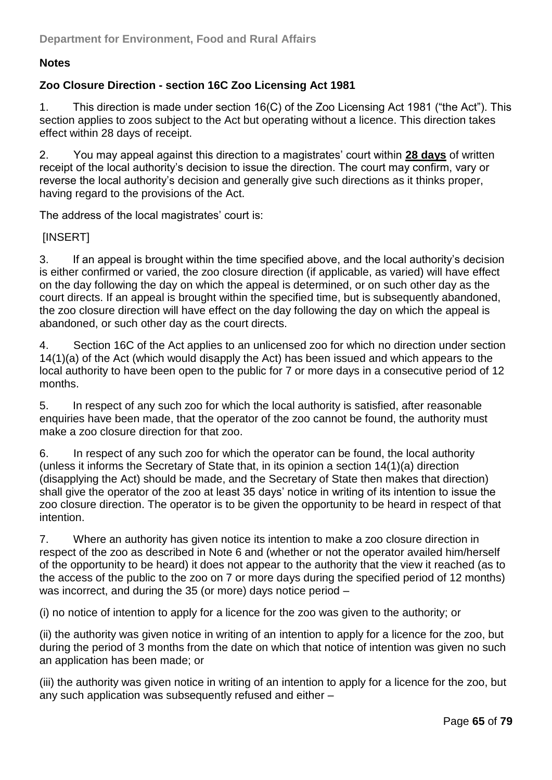### **Notes**

### **Zoo Closure Direction - section 16C Zoo Licensing Act 1981**

1. This direction is made under section 16(C) of the Zoo Licensing Act 1981 ("the Act"). This section applies to zoos subject to the Act but operating without a licence. This direction takes effect within 28 days of receipt.

2. You may appeal against this direction to a magistrates' court within **28 days** of written receipt of the local authority's decision to issue the direction. The court may confirm, vary or reverse the local authority's decision and generally give such directions as it thinks proper, having regard to the provisions of the Act.

The address of the local magistrates' court is:

#### [INSERT]

3. If an appeal is brought within the time specified above, and the local authority's decision is either confirmed or varied, the zoo closure direction (if applicable, as varied) will have effect on the day following the day on which the appeal is determined, or on such other day as the court directs. If an appeal is brought within the specified time, but is subsequently abandoned, the zoo closure direction will have effect on the day following the day on which the appeal is abandoned, or such other day as the court directs.

4. Section 16C of the Act applies to an unlicensed zoo for which no direction under section 14(1)(a) of the Act (which would disapply the Act) has been issued and which appears to the local authority to have been open to the public for 7 or more days in a consecutive period of 12 months.

5. In respect of any such zoo for which the local authority is satisfied, after reasonable enquiries have been made, that the operator of the zoo cannot be found, the authority must make a zoo closure direction for that zoo.

6. In respect of any such zoo for which the operator can be found, the local authority (unless it informs the Secretary of State that, in its opinion a section 14(1)(a) direction (disapplying the Act) should be made, and the Secretary of State then makes that direction) shall give the operator of the zoo at least 35 days' notice in writing of its intention to issue the zoo closure direction. The operator is to be given the opportunity to be heard in respect of that intention.

7. Where an authority has given notice its intention to make a zoo closure direction in respect of the zoo as described in Note 6 and (whether or not the operator availed him/herself of the opportunity to be heard) it does not appear to the authority that the view it reached (as to the access of the public to the zoo on 7 or more days during the specified period of 12 months) was incorrect, and during the 35 (or more) days notice period –

(i) no notice of intention to apply for a licence for the zoo was given to the authority; or

(ii) the authority was given notice in writing of an intention to apply for a licence for the zoo, but during the period of 3 months from the date on which that notice of intention was given no such an application has been made; or

(iii) the authority was given notice in writing of an intention to apply for a licence for the zoo, but any such application was subsequently refused and either –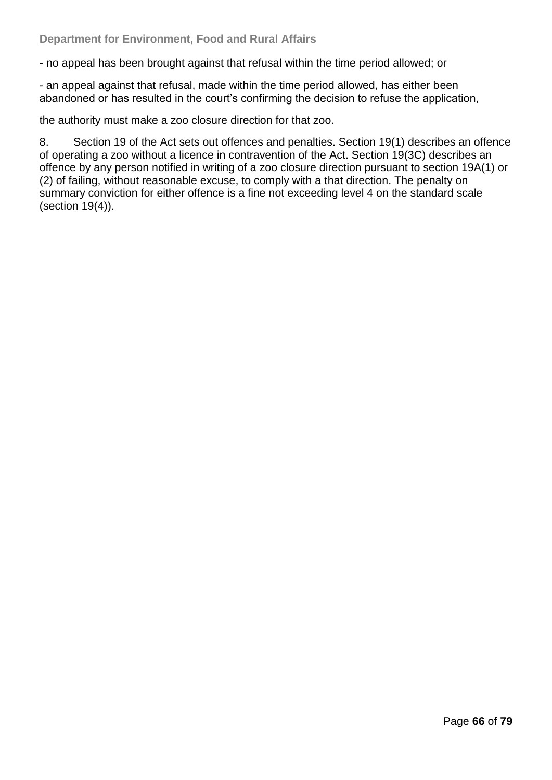- no appeal has been brought against that refusal within the time period allowed; or

- an appeal against that refusal, made within the time period allowed, has either been abandoned or has resulted in the court's confirming the decision to refuse the application,

the authority must make a zoo closure direction for that zoo.

8. Section 19 of the Act sets out offences and penalties. Section 19(1) describes an offence of operating a zoo without a licence in contravention of the Act. Section 19(3C) describes an offence by any person notified in writing of a zoo closure direction pursuant to section 19A(1) or (2) of failing, without reasonable excuse, to comply with a that direction. The penalty on summary conviction for either offence is a fine not exceeding level 4 on the standard scale (section 19(4)).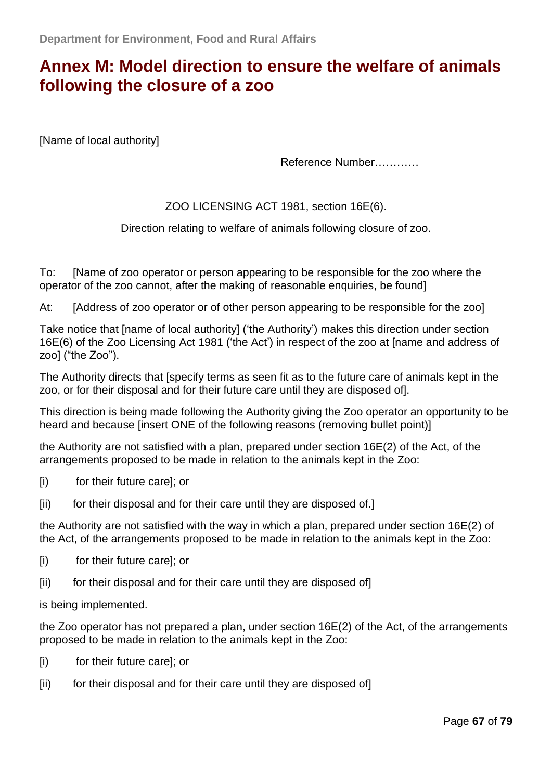# **Annex M: [Model direction to ensure the welfare of animals](http://archive.defra.gov.uk/wildlife-pets/zoos/documents/zoo-close-awelfare.pdf)  [following the closure of a zoo](http://archive.defra.gov.uk/wildlife-pets/zoos/documents/zoo-close-awelfare.pdf)**

[Name of local authority]

Reference Number…………

#### ZOO LICENSING ACT 1981, section 16E(6).

Direction relating to welfare of animals following closure of zoo.

To: [Name of zoo operator or person appearing to be responsible for the zoo where the operator of the zoo cannot, after the making of reasonable enquiries, be found]

At: [Address of zoo operator or of other person appearing to be responsible for the zoo]

Take notice that [name of local authority] ('the Authority') makes this direction under section 16E(6) of the Zoo Licensing Act 1981 ('the Act') in respect of the zoo at [name and address of  $zoo$ ] ("the  $Zoo$ ").

The Authority directs that [specify terms as seen fit as to the future care of animals kept in the zoo, or for their disposal and for their future care until they are disposed of].

This direction is being made following the Authority giving the Zoo operator an opportunity to be heard and because [insert ONE of the following reasons (removing bullet point)]

the Authority are not satisfied with a plan, prepared under section 16E(2) of the Act, of the arrangements proposed to be made in relation to the animals kept in the Zoo:

- [i) for their future care]; or
- [ii) for their disposal and for their care until they are disposed of.]

the Authority are not satisfied with the way in which a plan, prepared under section 16E(2) of the Act, of the arrangements proposed to be made in relation to the animals kept in the Zoo:

- [i) for their future care]; or
- [ii) for their disposal and for their care until they are disposed of]

is being implemented.

the Zoo operator has not prepared a plan, under section 16E(2) of the Act, of the arrangements proposed to be made in relation to the animals kept in the Zoo:

- [i) for their future care]; or
- [ii] for their disposal and for their care until they are disposed of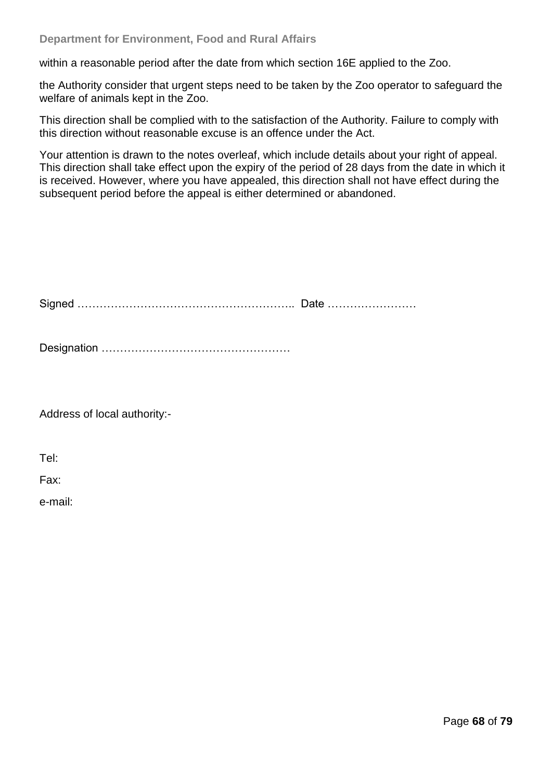within a reasonable period after the date from which section 16E applied to the Zoo.

the Authority consider that urgent steps need to be taken by the Zoo operator to safeguard the welfare of animals kept in the Zoo.

This direction shall be complied with to the satisfaction of the Authority. Failure to comply with this direction without reasonable excuse is an offence under the Act.

Your attention is drawn to the notes overleaf, which include details about your right of appeal. This direction shall take effect upon the expiry of the period of 28 days from the date in which it is received. However, where you have appealed, this direction shall not have effect during the subsequent period before the appeal is either determined or abandoned.

Signed ………………………………………………….. Date ……………………

Designation ……………………………………………

Address of local authority:-

Tel:

Fax:

e-mail: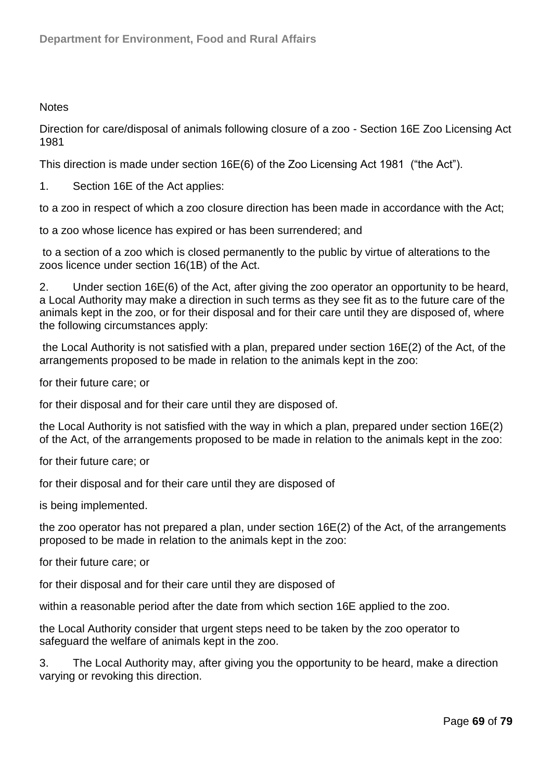#### **Notes**

Direction for care/disposal of animals following closure of a zoo - Section 16E Zoo Licensing Act 1981

This direction is made under section  $16E(6)$  of the Zoo Licensing Act 1981 ("the Act").

1. Section 16E of the Act applies:

to a zoo in respect of which a zoo closure direction has been made in accordance with the Act;

to a zoo whose licence has expired or has been surrendered; and

to a section of a zoo which is closed permanently to the public by virtue of alterations to the zoos licence under section 16(1B) of the Act.

2. Under section 16E(6) of the Act, after giving the zoo operator an opportunity to be heard, a Local Authority may make a direction in such terms as they see fit as to the future care of the animals kept in the zoo, or for their disposal and for their care until they are disposed of, where the following circumstances apply:

the Local Authority is not satisfied with a plan, prepared under section 16E(2) of the Act, of the arrangements proposed to be made in relation to the animals kept in the zoo:

for their future care; or

for their disposal and for their care until they are disposed of.

the Local Authority is not satisfied with the way in which a plan, prepared under section 16E(2) of the Act, of the arrangements proposed to be made in relation to the animals kept in the zoo:

for their future care; or

for their disposal and for their care until they are disposed of

is being implemented.

the zoo operator has not prepared a plan, under section 16E(2) of the Act, of the arrangements proposed to be made in relation to the animals kept in the zoo:

for their future care; or

for their disposal and for their care until they are disposed of

within a reasonable period after the date from which section 16E applied to the zoo.

the Local Authority consider that urgent steps need to be taken by the zoo operator to safeguard the welfare of animals kept in the zoo.

3. The Local Authority may, after giving you the opportunity to be heard, make a direction varying or revoking this direction.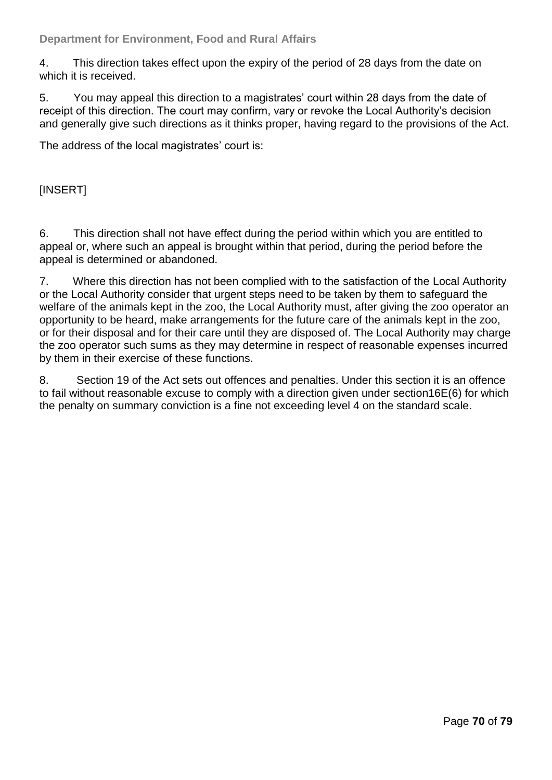#### **Department for Environment, Food and Rural Affairs**

4. This direction takes effect upon the expiry of the period of 28 days from the date on which it is received.

5. You may appeal this direction to a magistrates' court within 28 days from the date of receipt of this direction. The court may confirm, vary or revoke the Local Authority's decision and generally give such directions as it thinks proper, having regard to the provisions of the Act.

The address of the local magistrates' court is:

[INSERT]

6. This direction shall not have effect during the period within which you are entitled to appeal or, where such an appeal is brought within that period, during the period before the appeal is determined or abandoned.

7. Where this direction has not been complied with to the satisfaction of the Local Authority or the Local Authority consider that urgent steps need to be taken by them to safeguard the welfare of the animals kept in the zoo, the Local Authority must, after giving the zoo operator an opportunity to be heard, make arrangements for the future care of the animals kept in the zoo, or for their disposal and for their care until they are disposed of. The Local Authority may charge the zoo operator such sums as they may determine in respect of reasonable expenses incurred by them in their exercise of these functions.

8. Section 19 of the Act sets out offences and penalties. Under this section it is an offence to fail without reasonable excuse to comply with a direction given under section16E(6) for which the penalty on summary conviction is a fine not exceeding level 4 on the standard scale.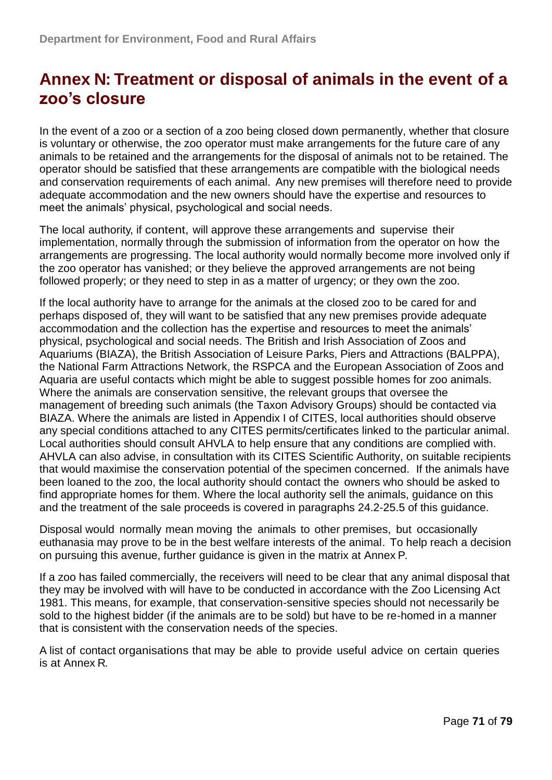# **Annex N: Treatment or disposal of animals in the event of a zoo"s closure**

In the event of a zoo or a section of a zoo being closed down permanently, whether that closure is voluntary or otherwise, the zoo operator must make arrangements for the future care of any animals to be retained and the arrangements for the disposal of animals not to be retained. The operator should be satisfied that these arrangements are compatible with the biological needs and conservation requirements of each animal. Any new premises will therefore need to provide adequate accommodation and the new owners should have the expertise and resources to meet the animals' physical, psychological and social needs.

The local authority, if content, will approve these arrangements and supervise their implementation, normally through the submission of information from the operator on how the arrangements are progressing. The local authority would normally become more involved only if the zoo operator has vanished; or they believe the approved arrangements are not being followed properly; or they need to step in as a matter of urgency; or they own the zoo.

If the local authority have to arrange for the animals at the closed zoo to be cared for and perhaps disposed of, they will want to be satisfied that any new premises provide adequate accommodation and the collection has the expertise and resources to meet the animals' physical, psychological and social needs. The British and Irish Association of Zoos and Aquariums (BIAZA), the British Association of Leisure Parks, Piers and Attractions (BALPPA), the National Farm Attractions Network, the RSPCA and the European Association of Zoos and Aquaria are useful contacts which might be able to suggest possible homes for zoo animals. Where the animals are conservation sensitive, the relevant groups that oversee the management of breeding such animals (the Taxon Advisory Groups) should be contacted via BIAZA. Where the animals are listed in Appendix I of CITES, local authorities should observe any special conditions attached to any CITES permits/certificates linked to the particular animal. Local authorities should consult AHVLA to help ensure that any conditions are complied with. AHVLA can also advise, in consultation with its CITES Scientific Authority, on suitable recipients that would maximise the conservation potential of the specimen concerned. If the animals have been loaned to the zoo, the local authority should contact the owners who should be asked to find appropriate homes for them. Where the local authority sell the animals, guidance on this and the treatment of the sale proceeds is covered in paragraphs 24.2-25.5 of this guidance.

Disposal would normally mean moving the animals to other premises, but occasionally euthanasia may prove to be in the best welfare interests of the animal. To help reach a decision on pursuing this avenue, further guidance is given in the matrix at [Annex](#page-71-0) P.

If a zoo has failed commercially, the receivers will need to be clear that any animal disposal that they may be involved with will have to be conducted in accordance with the Zoo Licensing Act 1981. This means, for example, that conservation-sensitive species should not necessarily be sold to the highest bidder (if the animals are to be sold) but have to be re-homed in a manner that is consistent with the conservation needs of the species.

A list of contact organisations that may be able to provide useful advice on certain queries is at [Annex](#page-74-0) R.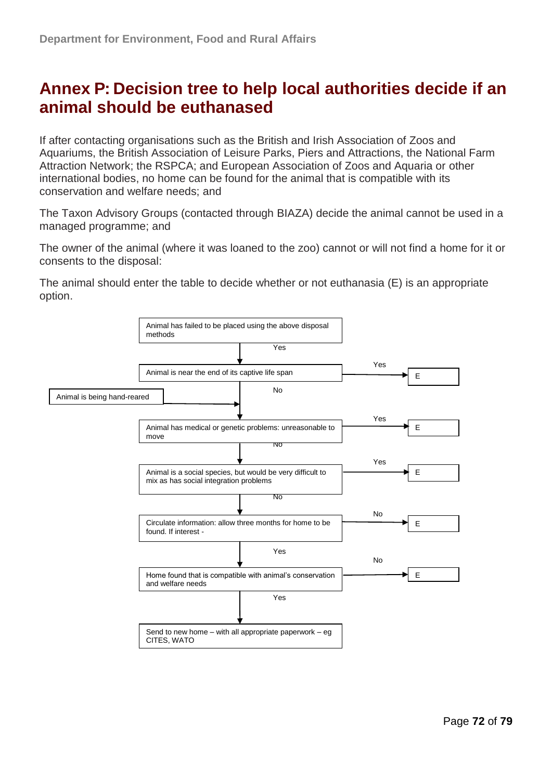## <span id="page-71-0"></span>**Annex P: Decision tree to help local authorities decide if an animal should be euthanased**

If after contacting organisations such as the British and Irish Association of Zoos and Aquariums, the British Association of Leisure Parks, Piers and Attractions, the National Farm Attraction Network; the RSPCA; and European Association of Zoos and Aquaria or other international bodies, no home can be found for the animal that is compatible with its conservation and welfare needs; and

The Taxon Advisory Groups (contacted through BIAZA) decide the animal cannot be used in a managed programme; and

The owner of the animal (where it was loaned to the zoo) cannot or will not find a home for it or consents to the disposal:

The animal should enter the table to decide whether or not euthanasia (E) is an appropriate option.

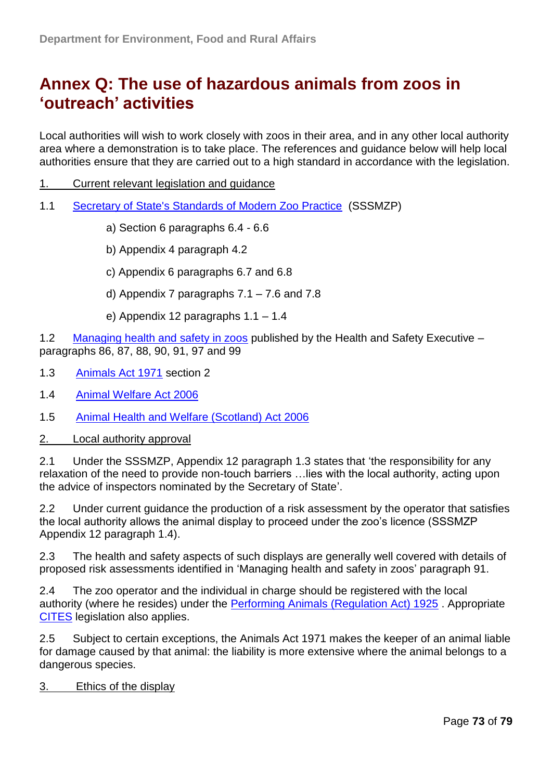# **Annex Q: The use of hazardous animals from zoos in "outreach" activities**

Local authorities will wish to work closely with zoos in their area, and in any other local authority area where a demonstration is to take place. The references and guidance below will help local authorities ensure that they are carried out to a high standard in accordance with the legislation.

- 1. Current relevant legislation and guidance
- 1.1 [Secretary of State's Standards of Modern Zoo Practice](http://www.defra.gov.uk/wildlife-pets/zoos/) (SSSMZP)
	- a) Section 6 paragraphs 6.4 6.6
	- b) Appendix 4 paragraph 4.2
	- c) Appendix 6 paragraphs 6.7 and 6.8
	- d) Appendix 7 paragraphs 7.1 7.6 and 7.8
	- e) Appendix 12 paragraphs 1.1 1.4

1.2 [Managing health and safety in zoos](http://www.hse.gov.uk/pubns/books/hsg219.htm) published by the Health and Safety Executive – paragraphs 86, 87, 88, 90, 91, 97 and 99

- 1.3 [Animals Act 1971](http://www.legislation.gov.uk/ukpga/1971/22) section 2
- 1.4 [Animal Welfare Act 2006](http://www.legislation.gov.uk/ukpga/2006/45/contents)
- 1.5 [Animal Health and Welfare \(Scotland\) Act 2006](http://www.legislation.gov.uk/asp/2006/11/contents)
- 2. Local authority approval

2.1 Under the SSSMZP, Appendix 12 paragraph 1.3 states that 'the responsibility for any relaxation of the need to provide non-touch barriers …lies with the local authority, acting upon the advice of inspectors nominated by the Secretary of State'.

2.2 Under current guidance the production of a risk assessment by the operator that satisfies the local authority allows the animal display to proceed under the zoo's licence (SSSMZP Appendix 12 paragraph 1.4).

2.3 The health and safety aspects of such displays are generally well covered with details of proposed risk assessments identified in 'Managing health and safety in zoos' paragraph 91.

2.4 The zoo operator and the individual in charge should be registered with the local authority (where he resides) under the [Performing Animals \(Regulation Act\) 1925](http://www.legislation.gov.uk/ukpga/Geo5/15-16/38) . Appropriate [CITES](http://animalhealth.defra.gov.uk/cites/index.htm) legislation also applies.

2.5 Subject to certain exceptions, the Animals Act 1971 makes the keeper of an animal liable for damage caused by that animal: the liability is more extensive where the animal belongs to a dangerous species.

#### 3. Ethics of the display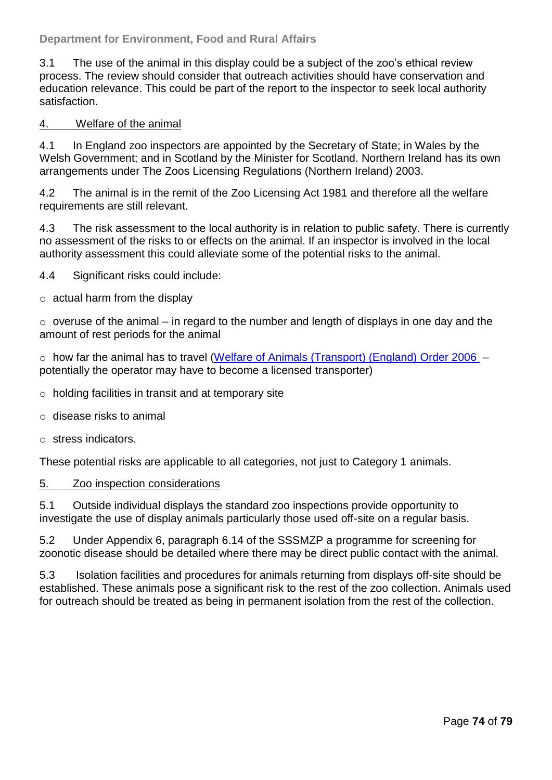## **Department for Environment, Food and Rural Affairs**

3.1 The use of the animal in this display could be a subject of the zoo's ethical review process. The review should consider that outreach activities should have conservation and education relevance. This could be part of the report to the inspector to seek local authority satisfaction.

#### 4. Welfare of the animal

4.1 In England zoo inspectors are appointed by the Secretary of State; in Wales by the Welsh Government; and in Scotland by the Minister for Scotland. Northern Ireland has its own arrangements under The Zoos Licensing Regulations (Northern Ireland) 2003.

4.2 The animal is in the remit of the Zoo Licensing Act 1981 and therefore all the welfare requirements are still relevant.

4.3 The risk assessment to the local authority is in relation to public safety. There is currently no assessment of the risks to or effects on the animal. If an inspector is involved in the local authority assessment this could alleviate some of the potential risks to the animal.

4.4 Significant risks could include:

 $\circ$  actual harm from the display

 $\circ$  overuse of the animal – in regard to the number and length of displays in one day and the amount of rest periods for the animal

o how far the animal has to travel [\(Welfare of Animals \(Transport\) \(England\) Order 2006](http://www.legislation.gov.uk/uksi/2006/3260/contents/made) – potentially the operator may have to become a licensed transporter)

- o holding facilities in transit and at temporary site
- o disease risks to animal
- o stress indicators.

These potential risks are applicable to all categories, not just to Category 1 animals.

#### 5. Zoo inspection considerations

5.1 Outside individual displays the standard zoo inspections provide opportunity to investigate the use of display animals particularly those used off-site on a regular basis.

5.2 Under Appendix 6, paragraph 6.14 of the SSSMZP a programme for screening for zoonotic disease should be detailed where there may be direct public contact with the animal.

5.3 Isolation facilities and procedures for animals returning from displays off-site should be established. These animals pose a significant risk to the rest of the zoo collection. Animals used for outreach should be treated as being in permanent isolation from the rest of the collection.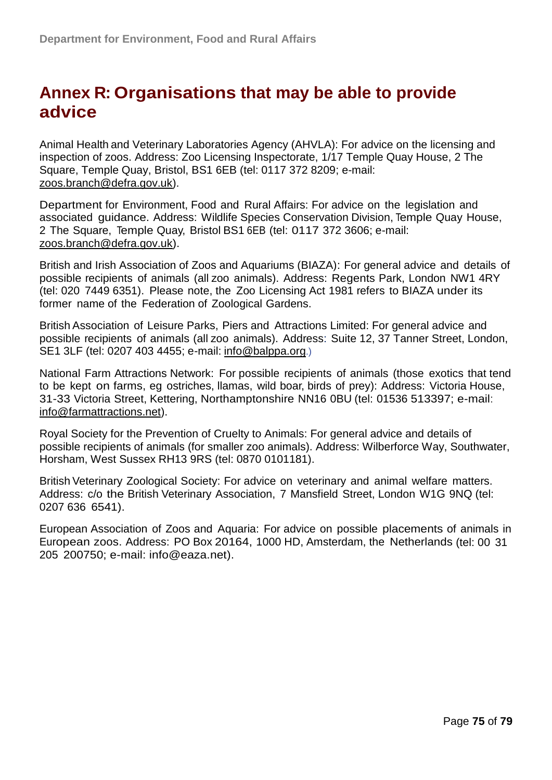## **Annex R: Organisations that may be able to provide advice**

Animal Health and Veterinary Laboratories Agency (AHVLA): For advice on the licensing and inspection of zoos. Address: Zoo Licensing Inspectorate, 1/17 Temple Quay House, 2 The Square, Temple Quay, Bristol, BS1 6EB (tel: 0117 372 8209; e-mail: zoos.branch@defra.gov.uk).

Department for Environment, Food and Rural Affairs: For advice on the legislation and associated guidance. Address: Wildlife Species Conservation Division, Temple Quay House, 2 The Square, Temple Quay, Bristol BS1 6EB (tel: 0117 372 3606; e-mail: zoos.branch@defra.gov.uk).

British and Irish Association of Zoos and Aquariums (BIAZA): For general advice and details of possible recipients of animals (all zoo animals). Address: Regents Park, London NW1 4RY (tel: 020 7449 6351). Please note, the Zoo Licensing Act 1981 refers to BIAZA under its former name of the Federation of Zoological Gardens.

British Association of Leisure Parks, Piers and Attractions Limited: For general advice and possible recipients of animals (all zoo animals). Address: Suite 12, 37 Tanner Street, London, SE1 3LF (tel: 0207 403 4455; e-mail: [info@balppa.org](mailto:info@balppa.org).)

National Farm Attractions Network: For possible recipients of animals (those exotics that tend to be kept on farms, eg ostriches, llamas, wild boar, birds of prey): Address: Victoria House, 31-33 Victoria Street, Kettering, Northamptonshire NN16 0BU (tel: 01536 513397; e-mail: [info@farmattractions.net\)](mailto:info@farmattractions.net).

Royal Society for the Prevention of Cruelty to Animals: For general advice and details of possible recipients of animals (for smaller zoo animals). Address: Wilberforce Way, Southwater, Horsham, West Sussex RH13 9RS (tel: 0870 0101181).

British Veterinary Zoological Society: For advice on veterinary and animal welfare matters. Address: c/o the British Veterinary Association, 7 Mansfield Street, London W1G 9NQ (tel: 0207 636 6541).

European Association of Zoos and Aquaria: For advice on possible placements of animals in European zoos. Address: PO Box 20164, 1000 HD, Amsterdam, the Netherlands (tel: 00 31 205 200750; e-mail: info@eaza.net).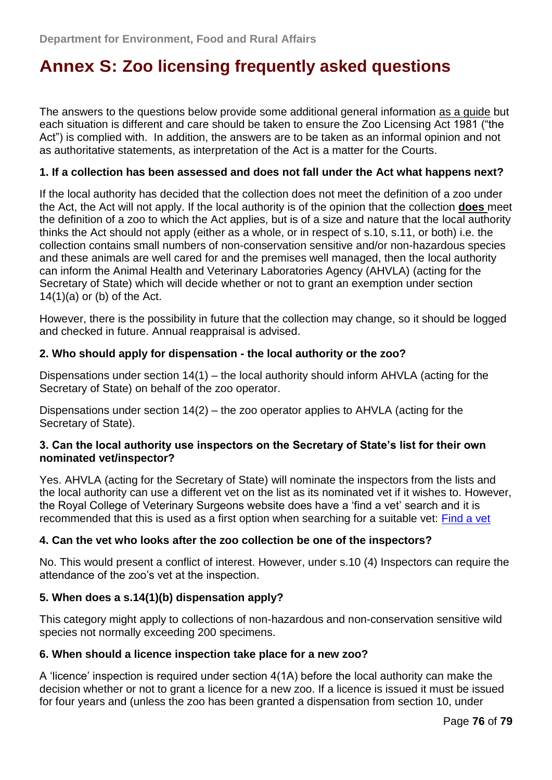# **Annex S: Zoo licensing frequently asked questions**

The answers to the questions below provide some additional general information as a guide but each situation is different and care should be taken to ensure the Zoo Licensing Act 1981 ("the Act") is complied with. In addition, the answers are to be taken as an informal opinion and not as authoritative statements, as interpretation of the Act is a matter for the Courts.

#### **1. If a collection has been assessed and does not fall under the Act what happens next?**

If the local authority has decided that the collection does not meet the definition of a zoo under the Act, the Act will not apply. If the local authority is of the opinion that the collection **does** meet the definition of a zoo to which the Act applies, but is of a size and nature that the local authority thinks the Act should not apply (either as a whole, or in respect of s.10, s.11, or both) i.e. the collection contains small numbers of non-conservation sensitive and/or non-hazardous species and these animals are well cared for and the premises well managed, then the local authority can inform the Animal Health and Veterinary Laboratories Agency (AHVLA) (acting for the Secretary of State) which will decide whether or not to grant an exemption under section  $14(1)(a)$  or (b) of the Act.

However, there is the possibility in future that the collection may change, so it should be logged and checked in future. Annual reappraisal is advised.

#### **2. Who should apply for dispensation - the local authority or the zoo?**

Dispensations under section 14(1) – the local authority should inform AHVLA (acting for the Secretary of State) on behalf of the zoo operator.

Dispensations under section 14(2) – the zoo operator applies to AHVLA (acting for the Secretary of State).

#### **3. Can the local authority use inspectors on the Secretary of State"s list for their own nominated vet/inspector?**

Yes. AHVLA (acting for the Secretary of State) will nominate the inspectors from the lists and the local authority can use a different vet on the list as its nominated vet if it wishes to. However, the Royal College of Veterinary Surgeons website does have a 'find a vet' search and it is recommended that this is used as a first option when searching for a suitable vet: [Find a vet](http://www.rcvs.org.uk/Templates/System/FAVSearch.asp?NodeID=89660&FAVSearchType=2#advanced)

#### **4. Can the vet who looks after the zoo collection be one of the inspectors?**

No. This would present a conflict of interest. However, under s.10 (4) Inspectors can require the attendance of the zoo's vet at the inspection.

#### **5. When does a s.14(1)(b) dispensation apply?**

This category might apply to collections of non-hazardous and non-conservation sensitive wild species not normally exceeding 200 specimens.

#### **6. When should a licence inspection take place for a new zoo?**

A 'licence' inspection is required under section 4(1A) before the local authority can make the decision whether or not to grant a licence for a new zoo. If a licence is issued it must be issued for four years and (unless the zoo has been granted a dispensation from section 10, under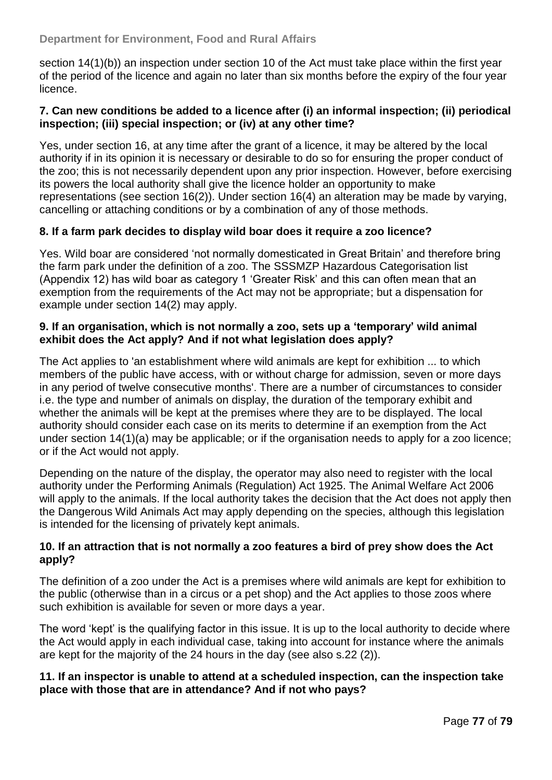### **Department for Environment, Food and Rural Affairs**

section 14(1)(b)) an inspection under section 10 of the Act must take place within the first year of the period of the licence and again no later than six months before the expiry of the four year licence.

#### **7. Can new conditions be added to a licence after (i) an informal inspection; (ii) periodical inspection; (iii) special inspection; or (iv) at any other time?**

Yes, under section 16, at any time after the grant of a licence, it may be altered by the local authority if in its opinion it is necessary or desirable to do so for ensuring the proper conduct of the zoo; this is not necessarily dependent upon any prior inspection. However, before exercising its powers the local authority shall give the licence holder an opportunity to make representations (see section 16(2)). Under section 16(4) an alteration may be made by varying, cancelling or attaching conditions or by a combination of any of those methods.

## **8. If a farm park decides to display wild boar does it require a zoo licence?**

Yes. Wild boar are considered 'not normally domesticated in Great Britain' and therefore bring the farm park under the definition of a zoo. The SSSMZP Hazardous Categorisation list (Appendix 12) has wild boar as category 1 ‗Greater Risk' and this can often mean that an exemption from the requirements of the Act may not be appropriate; but a dispensation for example under section 14(2) may apply.

#### **9. If an organisation, which is not normally a zoo, sets up a "temporary" wild animal exhibit does the Act apply? And if not what legislation does apply?**

The Act applies to 'an establishment where wild animals are kept for exhibition ... to which members of the public have access, with or without charge for admission, seven or more days in any period of twelve consecutive months'. There are a number of circumstances to consider i.e. the type and number of animals on display, the duration of the temporary exhibit and whether the animals will be kept at the premises where they are to be displayed. The local authority should consider each case on its merits to determine if an exemption from the Act under section 14(1)(a) may be applicable; or if the organisation needs to apply for a zoo licence; or if the Act would not apply.

Depending on the nature of the display, the operator may also need to register with the local authority under the Performing Animals (Regulation) Act 1925. The Animal Welfare Act 2006 will apply to the animals. If the local authority takes the decision that the Act does not apply then the Dangerous Wild Animals Act may apply depending on the species, although this legislation is intended for the licensing of privately kept animals.

#### **10. If an attraction that is not normally a zoo features a bird of prey show does the Act apply?**

The definition of a zoo under the Act is a premises where wild animals are kept for exhibition to the public (otherwise than in a circus or a pet shop) and the Act applies to those zoos where such exhibition is available for seven or more days a year.

The word 'kept' is the qualifying factor in this issue. It is up to the local authority to decide where the Act would apply in each individual case, taking into account for instance where the animals are kept for the majority of the 24 hours in the day (see also s.22 (2)).

#### **11. If an inspector is unable to attend at a scheduled inspection, can the inspection take place with those that are in attendance? And if not who pays?**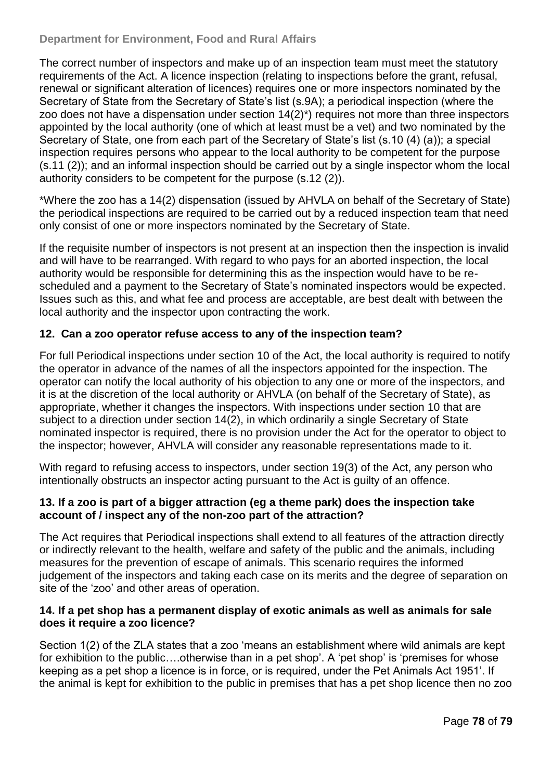The correct number of inspectors and make up of an inspection team must meet the statutory requirements of the Act. A licence inspection (relating to inspections before the grant, refusal, renewal or significant alteration of licences) requires one or more inspectors nominated by the Secretary of State from the Secretary of State's list (s.9A); a periodical inspection (where the zoo does not have a dispensation under section 14(2)\*) requires not more than three inspectors appointed by the local authority (one of which at least must be a vet) and two nominated by the Secretary of State, one from each part of the Secretary of State's list (s.10 (4) (a)); a special inspection requires persons who appear to the local authority to be competent for the purpose (s.11 (2)); and an informal inspection should be carried out by a single inspector whom the local authority considers to be competent for the purpose (s.12 (2)).

\*Where the zoo has a 14(2) dispensation (issued by AHVLA on behalf of the Secretary of State) the periodical inspections are required to be carried out by a reduced inspection team that need only consist of one or more inspectors nominated by the Secretary of State.

If the requisite number of inspectors is not present at an inspection then the inspection is invalid and will have to be rearranged. With regard to who pays for an aborted inspection, the local authority would be responsible for determining this as the inspection would have to be rescheduled and a payment to the Secretary of State's nominated inspectors would be expected. Issues such as this, and what fee and process are acceptable, are best dealt with between the local authority and the inspector upon contracting the work.

## **12. Can a zoo operator refuse access to any of the inspection team?**

For full Periodical inspections under section 10 of the Act, the local authority is required to notify the operator in advance of the names of all the inspectors appointed for the inspection. The operator can notify the local authority of his objection to any one or more of the inspectors, and it is at the discretion of the local authority or AHVLA (on behalf of the Secretary of State), as appropriate, whether it changes the inspectors. With inspections under section 10 that are subject to a direction under section 14(2), in which ordinarily a single Secretary of State nominated inspector is required, there is no provision under the Act for the operator to object to the inspector; however, AHVLA will consider any reasonable representations made to it.

With regard to refusing access to inspectors, under section 19(3) of the Act, any person who intentionally obstructs an inspector acting pursuant to the Act is guilty of an offence.

#### **13. If a zoo is part of a bigger attraction (eg a theme park) does the inspection take account of / inspect any of the non-zoo part of the attraction?**

The Act requires that Periodical inspections shall extend to all features of the attraction directly or indirectly relevant to the health, welfare and safety of the public and the animals, including measures for the prevention of escape of animals. This scenario requires the informed judgement of the inspectors and taking each case on its merits and the degree of separation on site of the 'zoo' and other areas of operation.

## **14. If a pet shop has a permanent display of exotic animals as well as animals for sale does it require a zoo licence?**

Section 1(2) of the ZLA states that a zoo 'means an establishment where wild animals are kept for exhibition to the public....otherwise than in a pet shop'. A 'pet shop' is 'premises for whose keeping as a pet shop a licence is in force, or is required, under the Pet Animals Act 1951'. If the animal is kept for exhibition to the public in premises that has a pet shop licence then no zoo